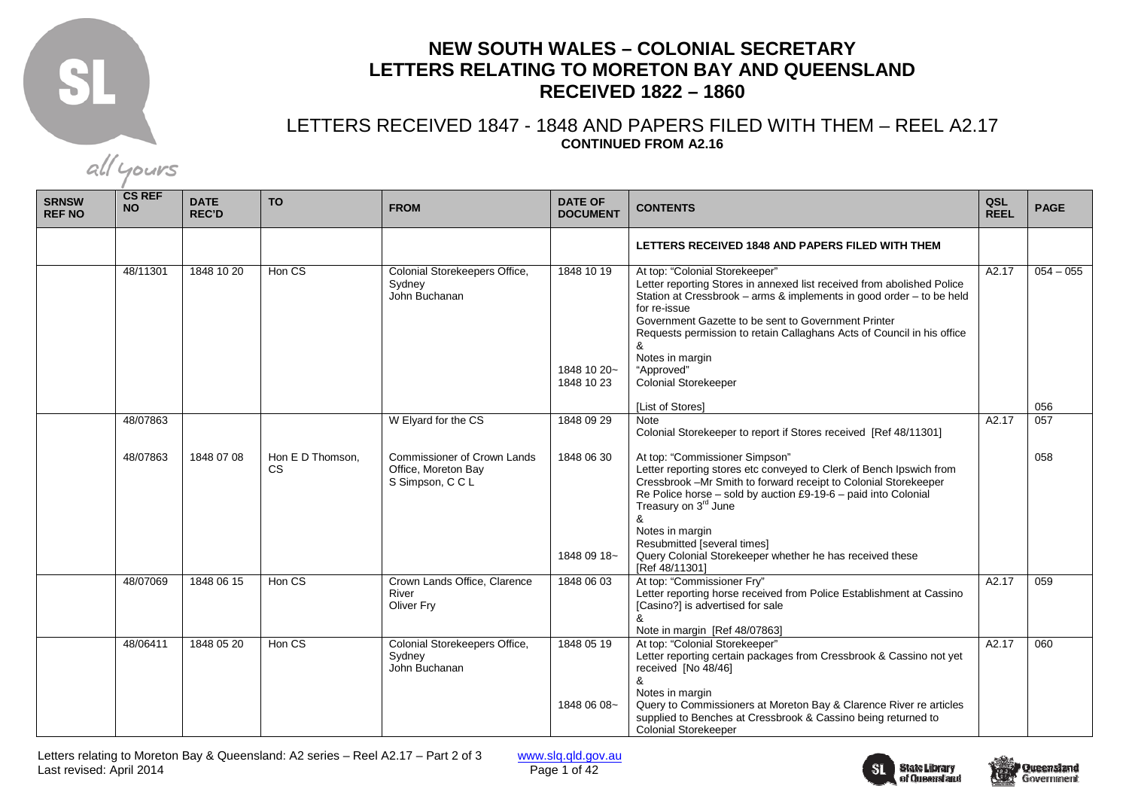

## **NEW SOUTH WALES – COLONIAL SECRETARY LETTERS RELATING TO MORETON BAY AND QUEENSLAND RECEIVED 1822 – 1860**

## LETTERS RECEIVED 1847 - 1848 AND PAPERS FILED WITH THEM – REEL A2.17 **CONTINUED FROM A2.16**

**SRNSW REF NO CS REF NO DATE REC'D TO FROM DATE OF DOCUMENT CONTENTS QSL REEL PAGE LETTERS RECEIVED 1848 AND PAPERS FILED WITH THEM** 48/11301 1848 10 20 Hon CS Colonial Storekeepers Office, Sydney John Buchanan 1848 10 19 1848 10 20~ 1848 10 23 At top: "Colonial Storekeeper" Letter reporting Stores in annexed list received from abolished Police Station at Cressbrook – arms & implements in good order – to be held for re-issue Government Gazette to be sent to Government Printer Requests permission to retain Callaghans Acts of Council in his office & Notes in margin "Approved" Colonial Storekeeper [List of Stores]  $A2.17$  054 – 055 056  $057$  48/07863 48/07863 1848 07 08 Hon E D Thomson. CS W Elyard for the CS Commissioner of Crown Lands Office, Moreton Bay S Simpson, C C L 1848 09 29 1848 06 30 1848 09 18~ **Note**  Colonial Storekeeper to report if Stores received [Ref 48/11301] At top: "Commissioner Simpson" Letter reporting stores etc conveyed to Clerk of Bench Ipswich from Cressbrook –Mr Smith to forward receipt to Colonial Storekeeper Re Police horse – sold by auction £9-19-6 – paid into Colonial Treasury on 3<sup>rd</sup> June & Notes in margin Resubmitted [several times] Query Colonial Storekeeper whether he has received these [Ref 48/11301] 1848 06 03 At top: "Commissioner Fry"  $A2.17$ 058 48/07069 1848 06 15 Hon CS Crown Lands Office, Clarence River Oliver Fry Letter reporting horse received from Police Establishment at Cassino [Casino?] is advertised for sale & Note in margin [Ref 48/07863] A2.17 059 48/06411 1848 05 20 Hon CS Colonial Storekeepers Office, Sydney John Buchanan 1848 05 19 1848 06 08~ At top: "Colonial Storekeeper" Letter reporting certain packages from Cressbrook & Cassino not yet received [No 48/46] & Notes in margin Query to Commissioners at Moreton Bay & Clarence River re articles supplied to Benches at Cressbrook & Cassino being returned to Colonial Storekeeper  $A2.17 060$ 



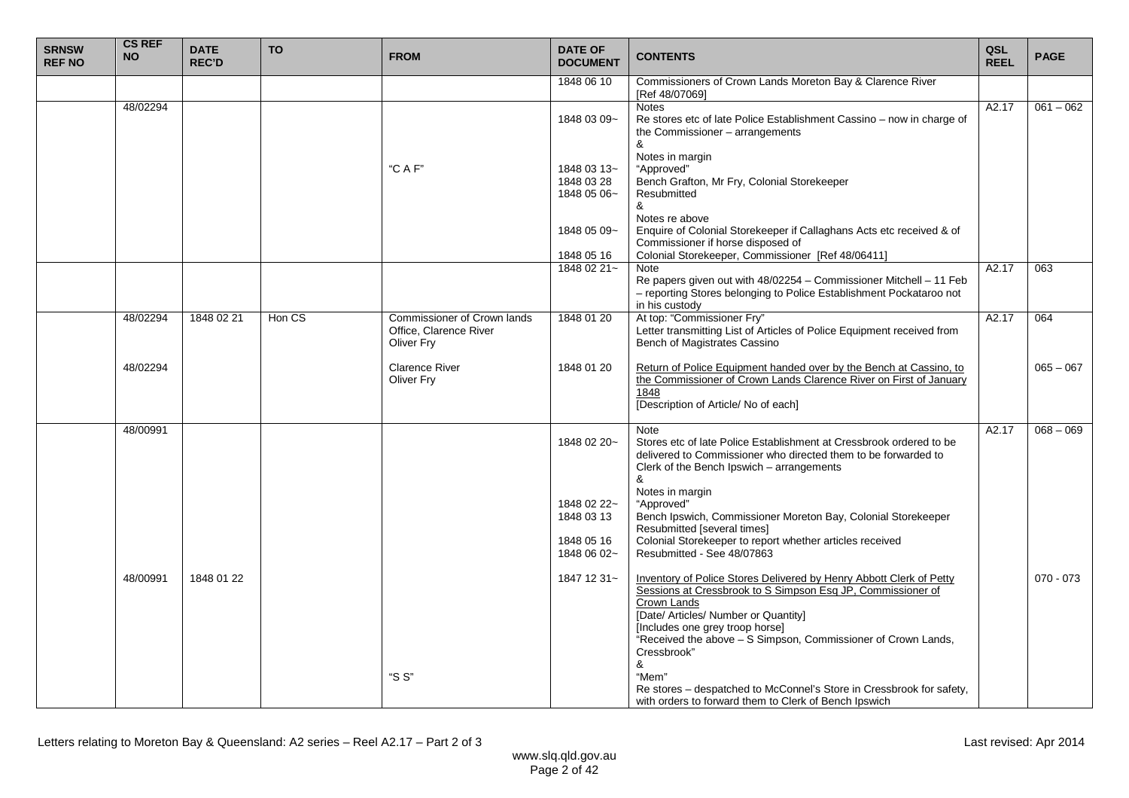| <b>SRNSW</b><br><b>REF NO</b> | <b>CS REF</b><br><b>NO</b> | <b>DATE</b><br><b>REC'D</b> | <b>TO</b> | <b>FROM</b>                                                         | <b>DATE OF</b><br><b>DOCUMENT</b>                                                    | <b>CONTENTS</b>                                                                                                                                                                                                                                                                                                                                                                                                                                                                                   | QSL<br><b>REEL</b> | <b>PAGE</b>                |
|-------------------------------|----------------------------|-----------------------------|-----------|---------------------------------------------------------------------|--------------------------------------------------------------------------------------|---------------------------------------------------------------------------------------------------------------------------------------------------------------------------------------------------------------------------------------------------------------------------------------------------------------------------------------------------------------------------------------------------------------------------------------------------------------------------------------------------|--------------------|----------------------------|
|                               |                            |                             |           |                                                                     | 1848 06 10                                                                           | Commissioners of Crown Lands Moreton Bay & Clarence River<br>[Ref 48/07069]                                                                                                                                                                                                                                                                                                                                                                                                                       |                    |                            |
|                               | 48/02294                   |                             |           |                                                                     | 1848 03 09~                                                                          | <b>Notes</b><br>Re stores etc of late Police Establishment Cassino - now in charge of<br>the Commissioner - arrangements<br>&                                                                                                                                                                                                                                                                                                                                                                     | A2.17              | $061 - 062$                |
|                               |                            |                             |           | "C A F"                                                             | 1848 03 13~<br>1848 03 28<br>1848 05 06~                                             | Notes in margin<br>"Approved"<br>Bench Grafton, Mr Fry, Colonial Storekeeper<br>Resubmitted<br>&                                                                                                                                                                                                                                                                                                                                                                                                  |                    |                            |
|                               |                            |                             |           |                                                                     | 1848 05 09~                                                                          | Notes re above<br>Enquire of Colonial Storekeeper if Callaghans Acts etc received & of<br>Commissioner if horse disposed of                                                                                                                                                                                                                                                                                                                                                                       |                    |                            |
|                               |                            |                             |           |                                                                     | 1848 05 16<br>1848 02 21~                                                            | Colonial Storekeeper, Commissioner [Ref 48/06411]<br><b>Note</b><br>Re papers given out with 48/02254 - Commissioner Mitchell - 11 Feb<br>- reporting Stores belonging to Police Establishment Pockataroo not<br>in his custody                                                                                                                                                                                                                                                                   | A2.17              | 063                        |
|                               | 48/02294                   | 1848 02 21                  | Hon CS    | Commissioner of Crown lands<br>Office, Clarence River<br>Oliver Fry | 1848 01 20                                                                           | At top: "Commissioner Fry"<br>Letter transmitting List of Articles of Police Equipment received from<br>Bench of Magistrates Cassino                                                                                                                                                                                                                                                                                                                                                              | A2.17              | 064                        |
|                               | 48/02294                   |                             |           | <b>Clarence River</b><br>Oliver Fry                                 | 1848 01 20                                                                           | Return of Police Equipment handed over by the Bench at Cassino, to the Commissioner of Crown Lands Clarence River on First of January<br>1848<br>[Description of Article/ No of each]                                                                                                                                                                                                                                                                                                             |                    | $065 - 067$                |
|                               | 48/00991<br>48/00991       | 1848 01 22                  |           |                                                                     | 1848 02 20~<br>1848 02 22~<br>1848 03 13<br>1848 05 16<br>1848 06 02~<br>1847 12 31~ | Note<br>Stores etc of late Police Establishment at Cressbrook ordered to be<br>delivered to Commissioner who directed them to be forwarded to<br>Clerk of the Bench Ipswich - arrangements<br>&<br>Notes in margin<br>"Approved"<br>Bench Ipswich, Commissioner Moreton Bay, Colonial Storekeeper<br>Resubmitted [several times]<br>Colonial Storekeeper to report whether articles received<br>Resubmitted - See 48/07863<br>Inventory of Police Stores Delivered by Henry Abbott Clerk of Petty | A2.17              | $068 - 069$<br>$070 - 073$ |
|                               |                            |                             |           | "S S"                                                               |                                                                                      | Sessions at Cressbrook to S Simpson Esq JP, Commissioner of<br>Crown Lands<br>[Date/ Articles/ Number or Quantity]<br>[Includes one grey troop horse]<br>"Received the above - S Simpson, Commissioner of Crown Lands,<br>Cressbrook"<br>&<br>"Mem"<br>Re stores – despatched to McConnel's Store in Cressbrook for safety,<br>with orders to forward them to Clerk of Bench Ipswich                                                                                                              |                    |                            |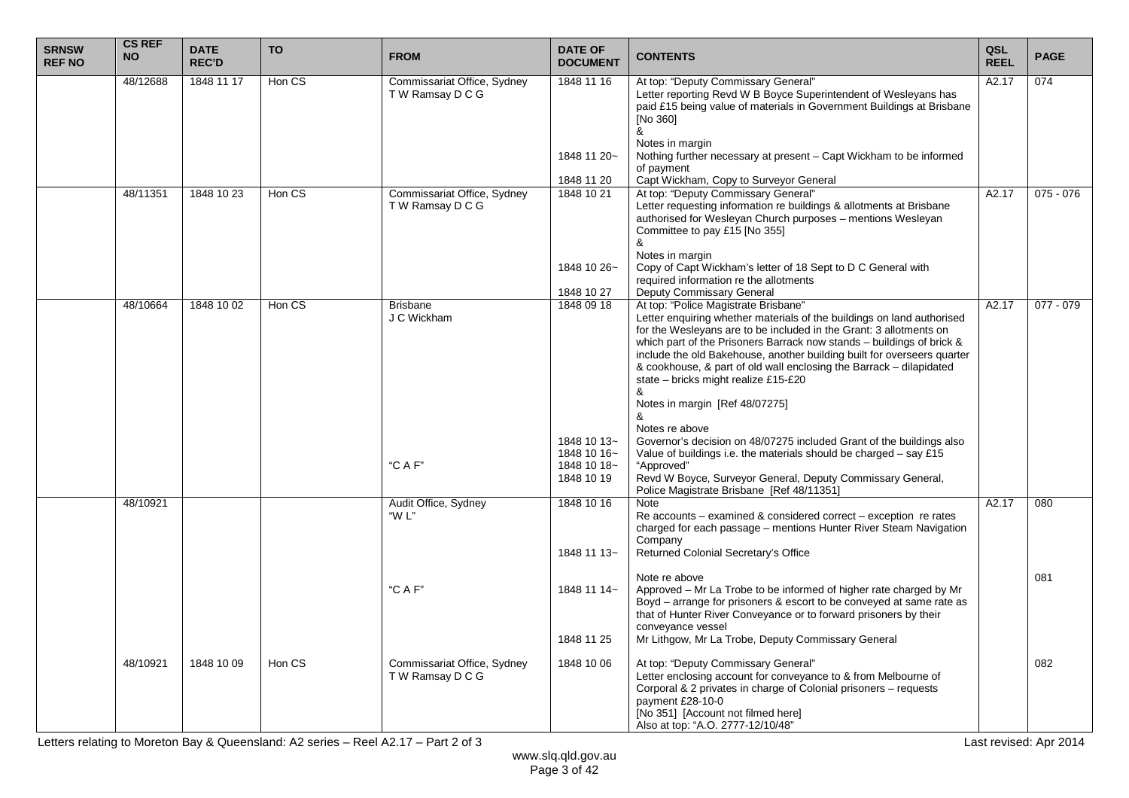| <b>SRNSW</b><br><b>REF NO</b> | <b>CS REF</b><br><b>NO</b> | <b>DATE</b><br><b>REC'D</b> | <b>TO</b> | <b>FROM</b>                                     | <b>DATE OF</b><br><b>DOCUMENT</b>                       | <b>CONTENTS</b>                                                                                                                                                                                                                                                                                                                                                                                                                                                                                | QSL<br><b>REEL</b> | <b>PAGE</b> |
|-------------------------------|----------------------------|-----------------------------|-----------|-------------------------------------------------|---------------------------------------------------------|------------------------------------------------------------------------------------------------------------------------------------------------------------------------------------------------------------------------------------------------------------------------------------------------------------------------------------------------------------------------------------------------------------------------------------------------------------------------------------------------|--------------------|-------------|
|                               | 48/12688                   | 1848 11 17                  | Hon CS    | Commissariat Office, Sydney<br>TW Ramsay DCG    | 1848 11 16                                              | At top: "Deputy Commissary General"<br>Letter reporting Revd W B Boyce Superintendent of Wesleyans has<br>paid £15 being value of materials in Government Buildings at Brisbane<br><b>INo 3601</b><br>&                                                                                                                                                                                                                                                                                        | A2.17              | 074         |
|                               |                            |                             |           |                                                 | 1848 11 20~                                             | Notes in margin<br>Nothing further necessary at present – Capt Wickham to be informed<br>of payment                                                                                                                                                                                                                                                                                                                                                                                            |                    |             |
|                               |                            |                             |           |                                                 | 1848 11 20                                              | Capt Wickham, Copy to Surveyor General                                                                                                                                                                                                                                                                                                                                                                                                                                                         |                    |             |
|                               | 48/11351                   | 1848 10 23                  | Hon CS    | Commissariat Office, Sydney<br>T W Ramsay D C G | 1848 10 21                                              | At top: "Deputy Commissary General"<br>Letter requesting information re buildings & allotments at Brisbane<br>authorised for Wesleyan Church purposes - mentions Wesleyan<br>Committee to pay £15 [No 355]<br>&<br>Notes in margin                                                                                                                                                                                                                                                             | A2.17              | $075 - 076$ |
|                               |                            |                             |           |                                                 | 1848 10 26~                                             | Copy of Capt Wickham's letter of 18 Sept to D C General with<br>required information re the allotments                                                                                                                                                                                                                                                                                                                                                                                         |                    |             |
|                               |                            |                             |           |                                                 | 1848 10 27                                              | Deputy Commissary General                                                                                                                                                                                                                                                                                                                                                                                                                                                                      |                    |             |
|                               | 48/10664                   | 1848 10 02                  | Hon CS    | <b>Brisbane</b><br>J C Wickham                  | 1848 09 18                                              | At top: "Police Magistrate Brisbane"<br>Letter enquiring whether materials of the buildings on land authorised<br>for the Wesleyans are to be included in the Grant: 3 allotments on<br>which part of the Prisoners Barrack now stands – buildings of brick &<br>include the old Bakehouse, another building built for overseers quarter<br>& cookhouse, & part of old wall enclosing the Barrack - dilapidated<br>state - bricks might realize £15-£20<br>&<br>Notes in margin [Ref 48/07275] | A2.17              | $077 - 079$ |
|                               |                            |                             |           | "C A F"                                         | 1848 10 13~<br>1848 10 16~<br>1848 10 18~<br>1848 10 19 | Notes re above<br>Governor's decision on 48/07275 included Grant of the buildings also<br>Value of buildings i.e. the materials should be charged – say £15<br>"Approved"<br>Revd W Boyce, Surveyor General, Deputy Commissary General,<br>Police Magistrate Brisbane [Ref 48/11351]                                                                                                                                                                                                           |                    |             |
|                               | 48/10921                   |                             |           | Audit Office, Sydney<br>"W L"                   | 1848 10 16<br>1848 11 13~                               | Note<br>Re accounts – examined & considered correct – exception re rates<br>charged for each passage - mentions Hunter River Steam Navigation<br>Company<br>Returned Colonial Secretary's Office                                                                                                                                                                                                                                                                                               | A2.17              | 080         |
|                               |                            |                             |           | "C A F"                                         | 1848 11 14~<br>1848 11 25                               | Note re above<br>Approved – Mr La Trobe to be informed of higher rate charged by Mr<br>Boyd - arrange for prisoners & escort to be conveyed at same rate as<br>that of Hunter River Conveyance or to forward prisoners by their<br>conveyance vessel<br>Mr Lithgow, Mr La Trobe, Deputy Commissary General                                                                                                                                                                                     |                    | 081         |
|                               | 48/10921                   | 1848 10 09                  | Hon CS    | Commissariat Office, Sydney<br>TW Ramsay DCG    | 1848 10 06                                              | At top: "Deputy Commissary General"<br>Letter enclosing account for conveyance to & from Melbourne of<br>Corporal & 2 privates in charge of Colonial prisoners - requests<br>payment £28-10-0<br>[No 351] [Account not filmed here]<br>Also at top: "A.O. 2777-12/10/48"                                                                                                                                                                                                                       |                    | 082         |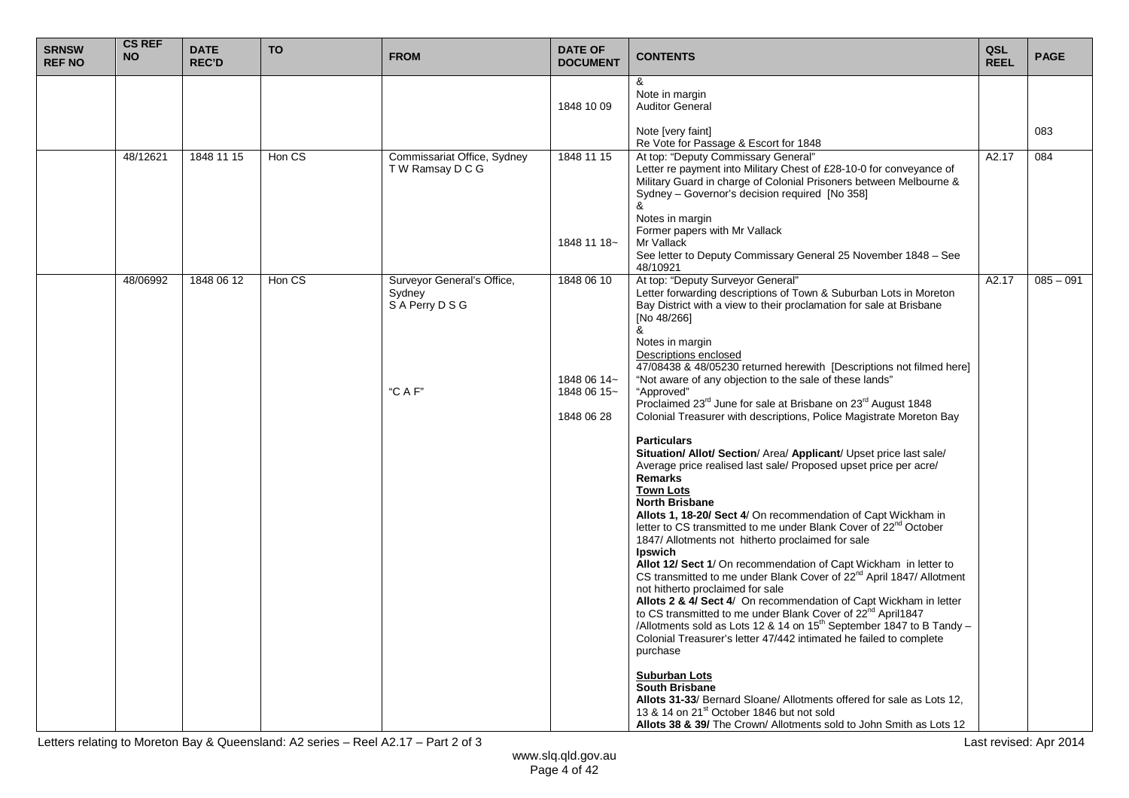| <b>SRNSW</b><br><b>REF NO</b> | <b>CS REF</b><br><b>NO</b> | <b>DATE</b><br><b>REC'D</b> | <b>TO</b> | <b>FROM</b>                                            | <b>DATE OF</b><br><b>DOCUMENT</b>        | <b>CONTENTS</b>                                                                                                                                                                                                                                                                                                                                                                                                                                                                                                                                                                                                                                                                                                                                                                                                                                                                                                                                         | QSL<br><b>REEL</b> | <b>PAGE</b> |
|-------------------------------|----------------------------|-----------------------------|-----------|--------------------------------------------------------|------------------------------------------|---------------------------------------------------------------------------------------------------------------------------------------------------------------------------------------------------------------------------------------------------------------------------------------------------------------------------------------------------------------------------------------------------------------------------------------------------------------------------------------------------------------------------------------------------------------------------------------------------------------------------------------------------------------------------------------------------------------------------------------------------------------------------------------------------------------------------------------------------------------------------------------------------------------------------------------------------------|--------------------|-------------|
|                               |                            |                             |           |                                                        | 1848 10 09                               | &<br>Note in margin<br><b>Auditor General</b>                                                                                                                                                                                                                                                                                                                                                                                                                                                                                                                                                                                                                                                                                                                                                                                                                                                                                                           |                    |             |
|                               |                            |                             |           |                                                        |                                          | Note [very faint]<br>Re Vote for Passage & Escort for 1848                                                                                                                                                                                                                                                                                                                                                                                                                                                                                                                                                                                                                                                                                                                                                                                                                                                                                              |                    | 083         |
|                               | 48/12621                   | 1848 11 15                  | Hon CS    | Commissariat Office, Sydney<br>T W Ramsay D C G        | 1848 11 15                               | At top: "Deputy Commissary General"<br>Letter re payment into Military Chest of £28-10-0 for conveyance of<br>Military Guard in charge of Colonial Prisoners between Melbourne &<br>Sydney - Governor's decision required [No 358]<br>&<br>Notes in margin<br>Former papers with Mr Vallack                                                                                                                                                                                                                                                                                                                                                                                                                                                                                                                                                                                                                                                             | A2.17              | 084         |
|                               |                            |                             |           |                                                        | 1848 11 18~                              | Mr Vallack<br>See letter to Deputy Commissary General 25 November 1848 - See<br>48/10921                                                                                                                                                                                                                                                                                                                                                                                                                                                                                                                                                                                                                                                                                                                                                                                                                                                                |                    |             |
|                               | 48/06992                   | 1848 06 12                  | Hon CS    | Surveyor General's Office,<br>Sydney<br>SA Perry D S G | 1848 06 10                               | At top: "Deputy Surveyor General"<br>Letter forwarding descriptions of Town & Suburban Lots in Moreton<br>Bay District with a view to their proclamation for sale at Brisbane<br>[No 48/266]<br>&<br>Notes in margin<br>Descriptions enclosed<br>47/08438 & 48/05230 returned herewith [Descriptions not filmed here]                                                                                                                                                                                                                                                                                                                                                                                                                                                                                                                                                                                                                                   | A2.17              | $085 - 091$ |
|                               |                            |                             |           | "C A F"                                                | 1848 06 14~<br>1848 06 15~<br>1848 06 28 | "Not aware of any objection to the sale of these lands"<br>"Approved"<br>Proclaimed 23 <sup>rd</sup> June for sale at Brisbane on 23 <sup>rd</sup> August 1848<br>Colonial Treasurer with descriptions, Police Magistrate Moreton Bay                                                                                                                                                                                                                                                                                                                                                                                                                                                                                                                                                                                                                                                                                                                   |                    |             |
|                               |                            |                             |           |                                                        |                                          | <b>Particulars</b><br>Situation/ Allot/ Section/ Area/ Applicant/ Upset price last sale/<br>Average price realised last sale/ Proposed upset price per acre/<br>Remarks<br><b>Town Lots</b><br><b>North Brisbane</b><br>Allots 1, 18-20/ Sect 4/ On recommendation of Capt Wickham in<br>letter to CS transmitted to me under Blank Cover of 22 <sup>nd</sup> October<br>1847/ Allotments not hitherto proclaimed for sale<br>Ipswich<br>Allot 12/ Sect 1/ On recommendation of Capt Wickham in letter to<br>CS transmitted to me under Blank Cover of 22 <sup>nd</sup> April 1847/ Allotment<br>not hitherto proclaimed for sale<br>Allots 2 & 4/ Sect 4/ On recommendation of Capt Wickham in letter<br>to CS transmitted to me under Blank Cover of 22 <sup>nd</sup> April1847<br>/Allotments sold as Lots 12 & 14 on 15 <sup>th</sup> September 1847 to B Tandy -<br>Colonial Treasurer's letter 47/442 intimated he failed to complete<br>purchase |                    |             |
|                               |                            |                             |           |                                                        |                                          | Suburban Lots<br><b>South Brisbane</b><br>Allots 31-33/ Bernard Sloane/ Allotments offered for sale as Lots 12,<br>13 & 14 on 21 <sup>st</sup> October 1846 but not sold<br>Allots 38 & 39/ The Crown/ Allotments sold to John Smith as Lots 12                                                                                                                                                                                                                                                                                                                                                                                                                                                                                                                                                                                                                                                                                                         |                    |             |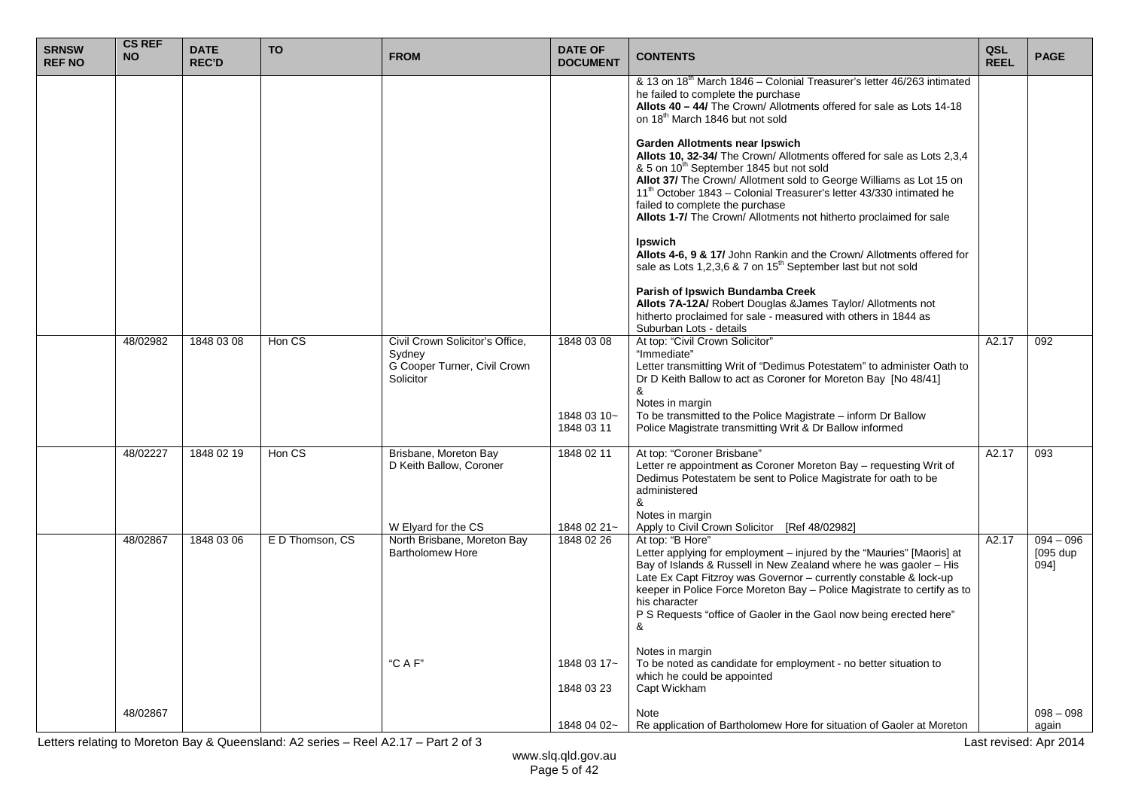| <b>SRNSW</b><br><b>REF NO</b> | <b>CS REF</b><br><b>NO</b> | <b>DATE</b><br><b>REC'D</b> | <b>TO</b>       | <b>FROM</b>                                                                            | <b>DATE OF</b><br><b>DOCUMENT</b> | <b>CONTENTS</b>                                                                                                                                                                                                                                                                                                                                                                                                               | QSL<br><b>REEL</b> | <b>PAGE</b>                       |
|-------------------------------|----------------------------|-----------------------------|-----------------|----------------------------------------------------------------------------------------|-----------------------------------|-------------------------------------------------------------------------------------------------------------------------------------------------------------------------------------------------------------------------------------------------------------------------------------------------------------------------------------------------------------------------------------------------------------------------------|--------------------|-----------------------------------|
|                               |                            |                             |                 |                                                                                        |                                   | & 13 on 18 <sup>th</sup> March 1846 – Colonial Treasurer's letter 46/263 intimated<br>he failed to complete the purchase<br>Allots 40 - 44/ The Crown/ Allotments offered for sale as Lots 14-18<br>on 18 <sup>th</sup> March 1846 but not sold                                                                                                                                                                               |                    |                                   |
|                               |                            |                             |                 |                                                                                        |                                   | <b>Garden Allotments near Ipswich</b><br>Allots 10, 32-34/ The Crown/ Allotments offered for sale as Lots 2,3,4<br>& 5 on 10th September 1845 but not sold<br>Allot 37/ The Crown/ Allotment sold to George Williams as Lot 15 on<br>11 <sup>th</sup> October 1843 – Colonial Treasurer's letter 43/330 intimated he<br>failed to complete the purchase<br>Allots 1-7/ The Crown/ Allotments not hitherto proclaimed for sale |                    |                                   |
|                               |                            |                             |                 |                                                                                        |                                   | Ipswich<br>Allots 4-6, 9 & 17/ John Rankin and the Crown/ Allotments offered for<br>sale as Lots 1,2,3,6 & 7 on 15 <sup>th</sup> September last but not sold                                                                                                                                                                                                                                                                  |                    |                                   |
|                               |                            |                             |                 |                                                                                        |                                   | Parish of Ipswich Bundamba Creek<br>Allots 7A-12A/ Robert Douglas &James Taylor/ Allotments not<br>hitherto proclaimed for sale - measured with others in 1844 as<br>Suburban Lots - details                                                                                                                                                                                                                                  |                    |                                   |
|                               | 48/02982                   | 1848 03 08                  | Hon CS          | Civil Crown Solicitor's Office,<br>Sydney<br>G Cooper Turner, Civil Crown<br>Solicitor | 1848 03 08<br>1848 03 10~         | At top: "Civil Crown Solicitor"<br>"Immediate"<br>Letter transmitting Writ of "Dedimus Potestatem" to administer Oath to<br>Dr D Keith Ballow to act as Coroner for Moreton Bay [No 48/41]<br>&<br>Notes in margin<br>To be transmitted to the Police Magistrate – inform Dr Ballow                                                                                                                                           | A2.17              | 092                               |
|                               |                            |                             |                 |                                                                                        | 1848 03 11                        | Police Magistrate transmitting Writ & Dr Ballow informed                                                                                                                                                                                                                                                                                                                                                                      |                    |                                   |
|                               | 48/02227                   | 1848 02 19                  | Hon CS          | Brisbane, Moreton Bay<br>D Keith Ballow, Coroner                                       | 1848 02 11                        | At top: "Coroner Brisbane"<br>Letter re appointment as Coroner Moreton Bay - requesting Writ of<br>Dedimus Potestatem be sent to Police Magistrate for oath to be<br>administered<br>&<br>Notes in margin                                                                                                                                                                                                                     | A2.17              | 093                               |
|                               |                            |                             |                 | W Elyard for the CS                                                                    | 1848 02 21~                       | Apply to Civil Crown Solicitor [Ref 48/02982]                                                                                                                                                                                                                                                                                                                                                                                 |                    |                                   |
|                               | 48/02867                   | 1848 03 06                  | E D Thomson, CS | North Brisbane, Moreton Bay<br><b>Bartholomew Hore</b>                                 | 1848 02 26                        | At top: "B Hore"<br>Letter applying for employment – injured by the "Mauries" [Maoris] at<br>Bay of Islands & Russell in New Zealand where he was gaoler - His<br>Late Ex Capt Fitzroy was Governor - currently constable & lock-up<br>keeper in Police Force Moreton Bay - Police Magistrate to certify as to<br>his character<br>P S Requests "office of Gaoler in the Gaol now being erected here"<br>&                    | A2.17              | $094 - 096$<br>$[095$ dup<br>094] |
|                               |                            |                             |                 | "C A F"                                                                                | 1848 03 17~<br>1848 03 23         | Notes in margin<br>To be noted as candidate for employment - no better situation to<br>which he could be appointed<br>Capt Wickham                                                                                                                                                                                                                                                                                            |                    |                                   |
|                               | 48/02867                   |                             |                 |                                                                                        | 1848 04 02~                       | Note<br>Re application of Bartholomew Hore for situation of Gaoler at Moreton                                                                                                                                                                                                                                                                                                                                                 |                    | $098 - 098$<br>again              |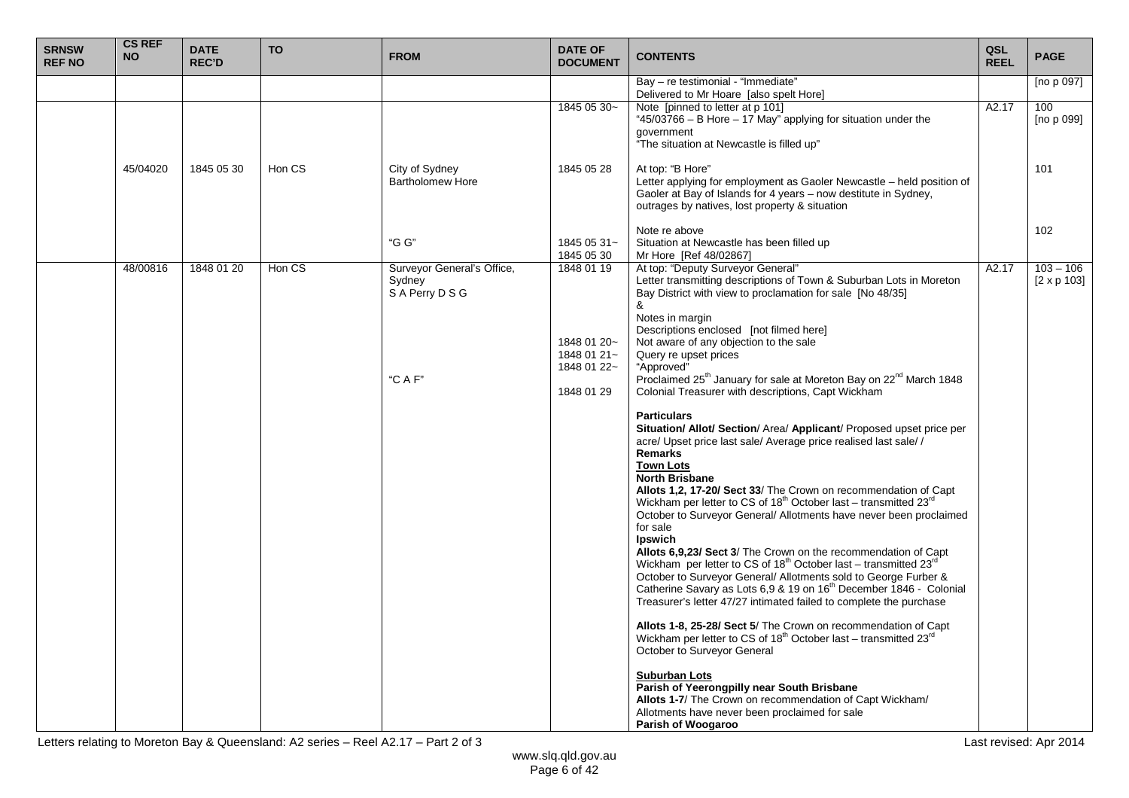| <b>SRNSW</b><br><b>REF NO</b> | <b>CS REF</b><br><b>NO</b> | <b>DATE</b><br><b>REC'D</b> | <b>TO</b> | <b>FROM</b>                                                      | <b>DATE OF</b><br><b>DOCUMENT</b>                                     | <b>CONTENTS</b>                                                                                                                                                                                                                                                                                                                                                                                                                                                                                                                                                                                                                                                                                                                                                                                                                                                                                                                                                                                                                                                                                                                                                                                                                                                                                                                                                                                                                                                                                                                                                                                                                                                                                                                                                             | QSL<br><b>REEL</b> | <b>PAGE</b>                       |
|-------------------------------|----------------------------|-----------------------------|-----------|------------------------------------------------------------------|-----------------------------------------------------------------------|-----------------------------------------------------------------------------------------------------------------------------------------------------------------------------------------------------------------------------------------------------------------------------------------------------------------------------------------------------------------------------------------------------------------------------------------------------------------------------------------------------------------------------------------------------------------------------------------------------------------------------------------------------------------------------------------------------------------------------------------------------------------------------------------------------------------------------------------------------------------------------------------------------------------------------------------------------------------------------------------------------------------------------------------------------------------------------------------------------------------------------------------------------------------------------------------------------------------------------------------------------------------------------------------------------------------------------------------------------------------------------------------------------------------------------------------------------------------------------------------------------------------------------------------------------------------------------------------------------------------------------------------------------------------------------------------------------------------------------------------------------------------------------|--------------------|-----------------------------------|
|                               |                            |                             |           |                                                                  |                                                                       | Bay - re testimonial - "Immediate"<br>Delivered to Mr Hoare [also spelt Hore]                                                                                                                                                                                                                                                                                                                                                                                                                                                                                                                                                                                                                                                                                                                                                                                                                                                                                                                                                                                                                                                                                                                                                                                                                                                                                                                                                                                                                                                                                                                                                                                                                                                                                               |                    | [no $p$ 097]                      |
|                               |                            |                             |           |                                                                  | 1845 05 30~                                                           | Note [pinned to letter at p 101]<br>"45/03766 - B Hore - 17 May" applying for situation under the<br>government<br>"The situation at Newcastle is filled up"                                                                                                                                                                                                                                                                                                                                                                                                                                                                                                                                                                                                                                                                                                                                                                                                                                                                                                                                                                                                                                                                                                                                                                                                                                                                                                                                                                                                                                                                                                                                                                                                                | A2.17              | 100<br>[no p 099]                 |
|                               | 45/04020                   | 1845 05 30                  | Hon CS    | City of Sydney<br><b>Bartholomew Hore</b>                        | 1845 05 28                                                            | At top: "B Hore"<br>Letter applying for employment as Gaoler Newcastle - held position of<br>Gaoler at Bay of Islands for 4 years - now destitute in Sydney,<br>outrages by natives, lost property & situation                                                                                                                                                                                                                                                                                                                                                                                                                                                                                                                                                                                                                                                                                                                                                                                                                                                                                                                                                                                                                                                                                                                                                                                                                                                                                                                                                                                                                                                                                                                                                              |                    | 101                               |
|                               |                            |                             |           | "G G"                                                            | 1845 05 31~<br>1845 05 30                                             | Note re above<br>Situation at Newcastle has been filled up<br>Mr Hore [Ref 48/02867]                                                                                                                                                                                                                                                                                                                                                                                                                                                                                                                                                                                                                                                                                                                                                                                                                                                                                                                                                                                                                                                                                                                                                                                                                                                                                                                                                                                                                                                                                                                                                                                                                                                                                        |                    | 102                               |
|                               | 48/00816                   | 1848 01 20                  | Hon CS    | Surveyor General's Office,<br>Sydney<br>S A Perry D S G<br>"CAF" | 1848 01 19<br>1848 01 20~<br>1848 01 21~<br>1848 01 22~<br>1848 01 29 | At top: "Deputy Surveyor General"<br>Letter transmitting descriptions of Town & Suburban Lots in Moreton<br>Bay District with view to proclamation for sale [No 48/35]<br>&<br>Notes in margin<br>Descriptions enclosed [not filmed here]<br>Not aware of any objection to the sale<br>Query re upset prices<br>"Approved"<br>Proclaimed 25 <sup>th</sup> January for sale at Moreton Bay on 22 <sup>nd</sup> March 1848<br>Colonial Treasurer with descriptions, Capt Wickham<br><b>Particulars</b><br>Situation/ Allot/ Section/ Area/ Applicant/ Proposed upset price per<br>acre/ Upset price last sale/ Average price realised last sale/ /<br>Remarks<br><b>Town Lots</b><br><b>North Brisbane</b><br>Allots 1,2, 17-20/ Sect 33/ The Crown on recommendation of Capt<br>Wickham per letter to CS of 18 <sup>th</sup> October last - transmitted 23 <sup>rd</sup><br>October to Surveyor General/ Allotments have never been proclaimed<br>for sale<br>Ipswich<br>Allots 6,9,23/ Sect 3/ The Crown on the recommendation of Capt<br>Wickham per letter to CS of 18 <sup>th</sup> October last - transmitted 23 <sup>rd</sup><br>October to Surveyor General/ Allotments sold to George Furber &<br>Catherine Savary as Lots 6,9 & 19 on 16 <sup>th</sup> December 1846 - Colonial<br>Treasurer's letter 47/27 intimated failed to complete the purchase<br>Allots 1-8, 25-28/ Sect 5/ The Crown on recommendation of Capt<br>Wickham per letter to CS of 18 <sup>th</sup> October last - transmitted 23 <sup>rd</sup><br>October to Surveyor General<br><b>Suburban Lots</b><br>Parish of Yeerongpilly near South Brisbane<br>Allots 1-7/ The Crown on recommendation of Capt Wickham/<br>Allotments have never been proclaimed for sale<br><b>Parish of Woogaroo</b> | A2.17              | $103 - 106$<br>$[2 \times p 103]$ |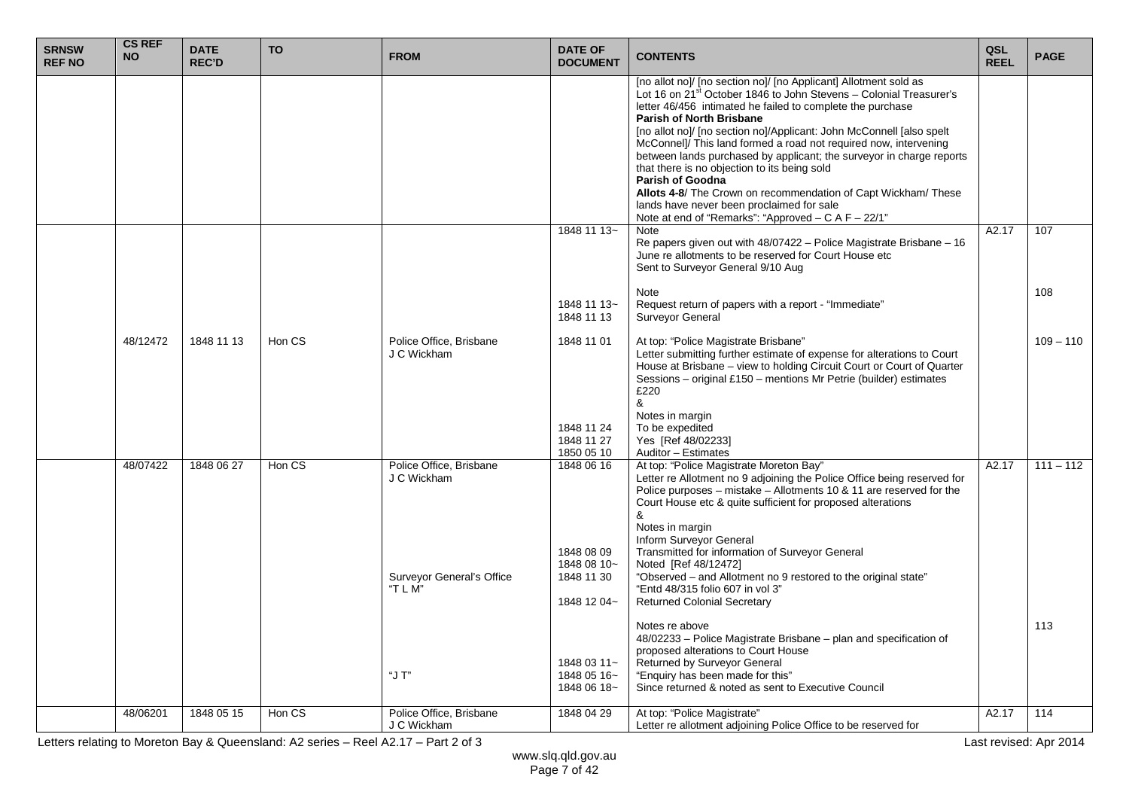| <b>SRNSW</b><br><b>REF NO</b> | <b>CS REF</b><br><b>NO</b> | <b>DATE</b><br><b>REC'D</b> | <b>TO</b> | <b>FROM</b>                                 | <b>DATE OF</b><br><b>DOCUMENT</b>         | <b>CONTENTS</b>                                                                                                                                                                                                                                                                                                                                                                                                                                                                                                                                                                                                                                                                                                   | QSL<br><b>REEL</b> | <b>PAGE</b> |
|-------------------------------|----------------------------|-----------------------------|-----------|---------------------------------------------|-------------------------------------------|-------------------------------------------------------------------------------------------------------------------------------------------------------------------------------------------------------------------------------------------------------------------------------------------------------------------------------------------------------------------------------------------------------------------------------------------------------------------------------------------------------------------------------------------------------------------------------------------------------------------------------------------------------------------------------------------------------------------|--------------------|-------------|
|                               |                            |                             |           |                                             |                                           | [no allot no]/ [no section no]/ [no Applicant] Allotment sold as<br>Lot 16 on 21 <sup>st</sup> October 1846 to John Stevens - Colonial Treasurer's<br>letter 46/456 intimated he failed to complete the purchase<br>Parish of North Brisbane<br>[no allot no]/ [no section no]/Applicant: John McConnell [also spelt<br>McConnell/ This land formed a road not required now, intervening<br>between lands purchased by applicant; the surveyor in charge reports<br>that there is no objection to its being sold<br><b>Parish of Goodna</b><br>Allots 4-8/ The Crown on recommendation of Capt Wickham/ These<br>lands have never been proclaimed for sale<br>Note at end of "Remarks": "Approved - C A F - 22/1" |                    |             |
|                               |                            |                             |           |                                             | 1848 11 13~                               | <b>Note</b><br>Re papers given out with 48/07422 - Police Magistrate Brisbane - 16<br>June re allotments to be reserved for Court House etc<br>Sent to Surveyor General 9/10 Aug                                                                                                                                                                                                                                                                                                                                                                                                                                                                                                                                  | A2.17              | 107         |
|                               |                            |                             |           |                                             | 1848 11 13~<br>1848 11 13                 | Note<br>Request return of papers with a report - "Immediate"<br>Surveyor General                                                                                                                                                                                                                                                                                                                                                                                                                                                                                                                                                                                                                                  |                    | 108         |
|                               | 48/12472                   | 1848 11 13                  | Hon CS    | Police Office, Brisbane<br>J C Wickham      | 1848 11 01<br>1848 11 24<br>1848 11 27    | At top: "Police Magistrate Brisbane"<br>Letter submitting further estimate of expense for alterations to Court<br>House at Brisbane - view to holding Circuit Court or Court of Quarter<br>Sessions – original £150 – mentions Mr Petrie (builder) estimates<br>£220<br>&<br>Notes in margin<br>To be expedited<br>Yes [Ref 48/02233]                                                                                                                                                                                                                                                                                                                                                                             |                    | $109 - 110$ |
|                               |                            |                             |           |                                             | 1850 05 10                                | Auditor - Estimates                                                                                                                                                                                                                                                                                                                                                                                                                                                                                                                                                                                                                                                                                               |                    |             |
|                               | 48/07422                   | 1848 06 27                  | Hon CS    | Police Office, Brisbane<br>J C Wickham      | 1848 06 16<br>1848 08 09<br>1848 08 10~   | At top: "Police Magistrate Moreton Bay"<br>Letter re Allotment no 9 adjoining the Police Office being reserved for<br>Police purposes – mistake – Allotments 10 & 11 are reserved for the<br>Court House etc & quite sufficient for proposed alterations<br>&<br>Notes in margin<br>Inform Surveyor General<br>Transmitted for information of Surveyor General<br>Noted [Ref 48/12472]                                                                                                                                                                                                                                                                                                                            | $\overline{A2.17}$ | $111 - 112$ |
|                               |                            |                             |           | <b>Surveyor General's Office</b><br>"T L M" | 1848 11 30<br>1848 12 04~                 | "Observed - and Allotment no 9 restored to the original state"<br>"Entd 48/315 folio 607 in vol 3"<br><b>Returned Colonial Secretary</b>                                                                                                                                                                                                                                                                                                                                                                                                                                                                                                                                                                          |                    |             |
|                               |                            |                             |           | "J T"                                       | 1848 03 11~<br>1848 05 16~<br>1848 06 18~ | Notes re above<br>48/02233 - Police Magistrate Brisbane - plan and specification of<br>proposed alterations to Court House<br>Returned by Surveyor General<br>"Enquiry has been made for this"<br>Since returned & noted as sent to Executive Council                                                                                                                                                                                                                                                                                                                                                                                                                                                             |                    | 113         |
|                               | 48/06201                   | 1848 05 15                  | Hon CS    | Police Office, Brisbane<br>J C Wickham      | 1848 04 29                                | At top: "Police Magistrate"<br>Letter re allotment adjoining Police Office to be reserved for                                                                                                                                                                                                                                                                                                                                                                                                                                                                                                                                                                                                                     | A2.17              | 114         |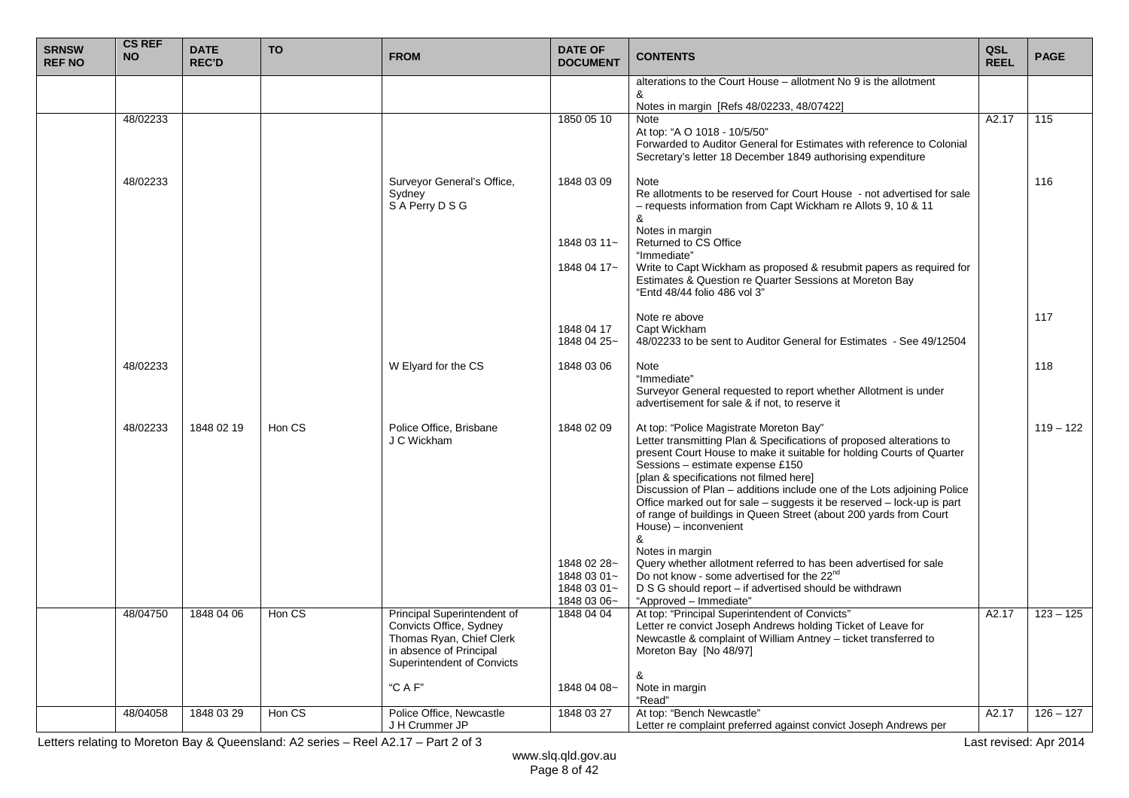| <b>SRNSW</b><br><b>REF NO</b> | <b>CS REF</b><br><b>NO</b> | <b>DATE</b><br><b>REC'D</b> | <b>TO</b> | <b>FROM</b>                                                                                                                                        | <b>DATE OF</b><br><b>DOCUMENT</b>        | <b>CONTENTS</b>                                                                                                                                                                                                                                                                                                                                                                                                                                                                                                                                                                                                                                                                  | QSL<br><b>REEL</b> | <b>PAGE</b> |
|-------------------------------|----------------------------|-----------------------------|-----------|----------------------------------------------------------------------------------------------------------------------------------------------------|------------------------------------------|----------------------------------------------------------------------------------------------------------------------------------------------------------------------------------------------------------------------------------------------------------------------------------------------------------------------------------------------------------------------------------------------------------------------------------------------------------------------------------------------------------------------------------------------------------------------------------------------------------------------------------------------------------------------------------|--------------------|-------------|
|                               |                            |                             |           |                                                                                                                                                    |                                          | alterations to the Court House - allotment No 9 is the allotment<br>&                                                                                                                                                                                                                                                                                                                                                                                                                                                                                                                                                                                                            |                    |             |
|                               |                            |                             |           |                                                                                                                                                    |                                          | Notes in margin [Refs 48/02233, 48/07422]                                                                                                                                                                                                                                                                                                                                                                                                                                                                                                                                                                                                                                        |                    |             |
|                               | 48/02233                   |                             |           |                                                                                                                                                    | 1850 05 10                               | Note<br>At top: "A O 1018 - 10/5/50"<br>Forwarded to Auditor General for Estimates with reference to Colonial<br>Secretary's letter 18 December 1849 authorising expenditure                                                                                                                                                                                                                                                                                                                                                                                                                                                                                                     | A2.17              | 115         |
|                               | 48/02233                   |                             |           | Surveyor General's Office,<br>Sydney<br>S A Perry D S G                                                                                            | 1848 03 09                               | Note<br>Re allotments to be reserved for Court House - not advertised for sale<br>- requests information from Capt Wickham re Allots 9, 10 & 11<br>&<br>Notes in margin                                                                                                                                                                                                                                                                                                                                                                                                                                                                                                          |                    | 116         |
|                               |                            |                             |           |                                                                                                                                                    | 1848 03 11~                              | Returned to CS Office                                                                                                                                                                                                                                                                                                                                                                                                                                                                                                                                                                                                                                                            |                    |             |
|                               |                            |                             |           |                                                                                                                                                    | 1848 04 17~                              | "Immediate"<br>Write to Capt Wickham as proposed & resubmit papers as required for<br>Estimates & Question re Quarter Sessions at Moreton Bay<br>"Entd 48/44 folio 486 vol 3"                                                                                                                                                                                                                                                                                                                                                                                                                                                                                                    |                    |             |
|                               |                            |                             |           |                                                                                                                                                    | 1848 04 17<br>1848 04 25~                | Note re above<br>Capt Wickham<br>48/02233 to be sent to Auditor General for Estimates - See 49/12504                                                                                                                                                                                                                                                                                                                                                                                                                                                                                                                                                                             |                    | 117         |
|                               | 48/02233                   |                             |           | W Elyard for the CS                                                                                                                                | 1848 03 06                               | Note<br>"Immediate"<br>Surveyor General requested to report whether Allotment is under<br>advertisement for sale & if not, to reserve it                                                                                                                                                                                                                                                                                                                                                                                                                                                                                                                                         |                    | 118         |
|                               | 48/02233                   | 1848 02 19                  | Hon CS    | Police Office, Brisbane<br>J C Wickham                                                                                                             | 1848 02 09<br>1848 02 28~<br>1848 03 01~ | At top: "Police Magistrate Moreton Bay"<br>Letter transmitting Plan & Specifications of proposed alterations to<br>present Court House to make it suitable for holding Courts of Quarter<br>Sessions - estimate expense £150<br>[plan & specifications not filmed here]<br>Discussion of Plan - additions include one of the Lots adjoining Police<br>Office marked out for sale – suggests it be reserved – lock-up is part<br>of range of buildings in Queen Street (about 200 yards from Court<br>House) - inconvenient<br>&<br>Notes in margin<br>Query whether allotment referred to has been advertised for sale<br>Do not know - some advertised for the 22 <sup>nd</sup> |                    | $119 - 122$ |
|                               |                            |                             |           |                                                                                                                                                    | 1848 03 01~<br>1848 03 06~               | D S G should report - if advertised should be withdrawn<br>"Approved - Immediate"                                                                                                                                                                                                                                                                                                                                                                                                                                                                                                                                                                                                |                    |             |
|                               | 48/04750                   | 1848 04 06                  | Hon CS    | <b>Principal Superintendent of</b><br>Convicts Office, Sydney<br>Thomas Ryan, Chief Clerk<br>in absence of Principal<br>Superintendent of Convicts | 1848 04 04                               | At top: "Principal Superintendent of Convicts"<br>Letter re convict Joseph Andrews holding Ticket of Leave for<br>Newcastle & complaint of William Antney - ticket transferred to<br>Moreton Bay [No 48/97]<br>&                                                                                                                                                                                                                                                                                                                                                                                                                                                                 | A2.17              | $123 - 125$ |
|                               |                            |                             |           | "C A F"                                                                                                                                            | 1848 04 08~                              | Note in margin<br>"Read"                                                                                                                                                                                                                                                                                                                                                                                                                                                                                                                                                                                                                                                         |                    |             |
|                               | 48/04058                   | 1848 03 29                  | Hon CS    | Police Office, Newcastle<br>J H Crummer JP                                                                                                         | 1848 03 27                               | At top: "Bench Newcastle"<br>Letter re complaint preferred against convict Joseph Andrews per                                                                                                                                                                                                                                                                                                                                                                                                                                                                                                                                                                                    | A2.17              | $126 - 127$ |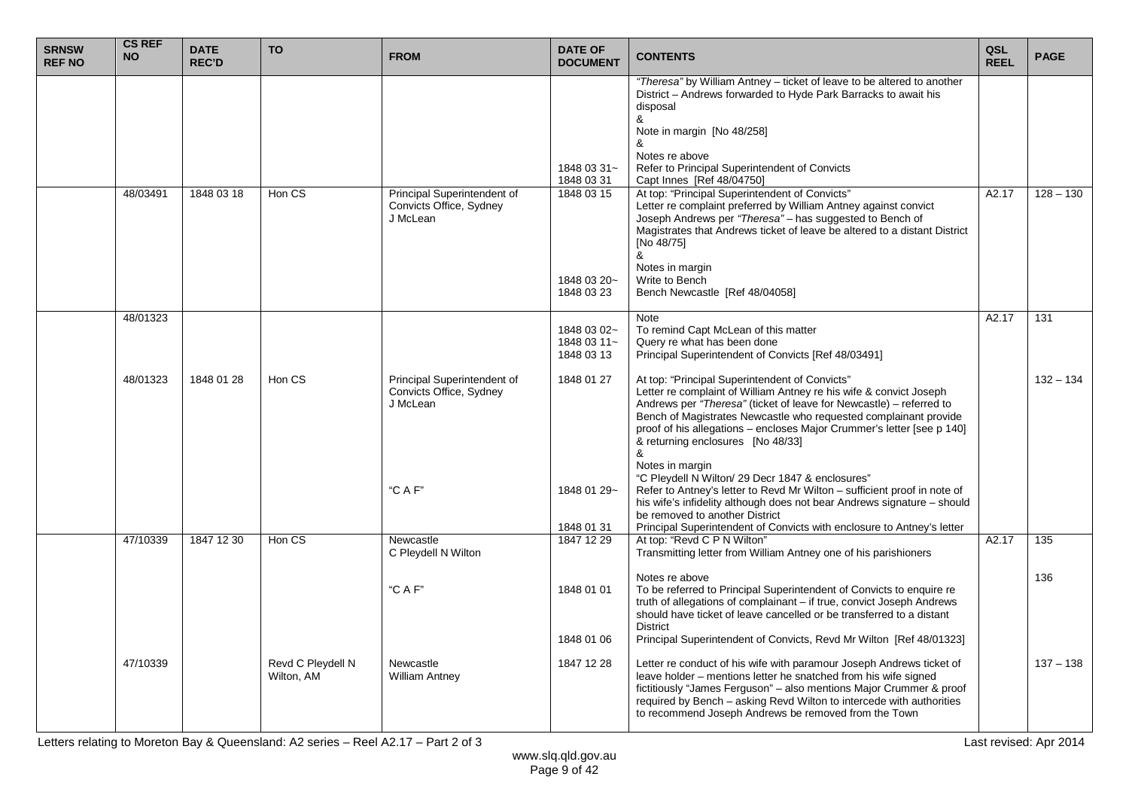| <b>SRNSW</b><br><b>REF NO</b> | <b>CS REF</b><br><b>NO</b> | <b>DATE</b><br><b>REC'D</b> | <b>TO</b>                       | <b>FROM</b>                                                        | <b>DATE OF</b><br><b>DOCUMENT</b>        | <b>CONTENTS</b>                                                                                                                                                                                                                                                                                                                                                                     | QSL<br><b>REEL</b> | <b>PAGE</b> |
|-------------------------------|----------------------------|-----------------------------|---------------------------------|--------------------------------------------------------------------|------------------------------------------|-------------------------------------------------------------------------------------------------------------------------------------------------------------------------------------------------------------------------------------------------------------------------------------------------------------------------------------------------------------------------------------|--------------------|-------------|
|                               |                            |                             |                                 |                                                                    | 1848 03 31~<br>1848 03 31                | "Theresa" by William Antney - ticket of leave to be altered to another<br>District - Andrews forwarded to Hyde Park Barracks to await his<br>disposal<br>&<br>Note in margin [No 48/258]<br>Notes re above<br>Refer to Principal Superintendent of Convicts<br>Capt Innes [Ref 48/04750]                                                                                            |                    |             |
|                               | 48/03491                   | 1848 03 18                  | Hon CS                          | Principal Superintendent of<br>Convicts Office, Sydney<br>J McLean | 1848 03 15<br>1848 03 20~<br>1848 03 23  | At top: "Principal Superintendent of Convicts"<br>Letter re complaint preferred by William Antney against convict<br>Joseph Andrews per "Theresa" - has suggested to Bench of<br>Magistrates that Andrews ticket of leave be altered to a distant District<br>[No 48/75]<br>8<br>Notes in margin<br>Write to Bench<br>Bench Newcastle [Ref 48/04058]                                | A2.17              | $128 - 130$ |
|                               | 48/01323                   |                             |                                 |                                                                    | 1848 03 02~<br>1848 03 11~<br>1848 03 13 | Note<br>To remind Capt McLean of this matter<br>Query re what has been done<br>Principal Superintendent of Convicts [Ref 48/03491]                                                                                                                                                                                                                                                  | A2.17              | 131         |
|                               | 48/01323                   | 1848 01 28                  | Hon CS                          | Principal Superintendent of<br>Convicts Office, Sydney<br>J McLean | 1848 01 27                               | At top: "Principal Superintendent of Convicts"<br>Letter re complaint of William Antney re his wife & convict Joseph<br>Andrews per "Theresa" (ticket of leave for Newcastle) – referred to<br>Bench of Magistrates Newcastle who requested complainant provide<br>proof of his allegations - encloses Major Crummer's letter [see p 140]<br>& returning enclosures [No 48/33]<br>& |                    | $132 - 134$ |
|                               |                            |                             |                                 | "C A F"                                                            | 1848 01 29~<br>1848 01 31                | Notes in margin<br>"C Pleydell N Wilton/ 29 Decr 1847 & enclosures"<br>Refer to Antney's letter to Revd Mr Wilton - sufficient proof in note of<br>his wife's infidelity although does not bear Andrews signature - should<br>be removed to another District<br>Principal Superintendent of Convicts with enclosure to Antney's letter                                              |                    |             |
|                               | 47/10339                   | 1847 12 30                  | Hon CS                          | Newcastle<br>C Pleydell N Wilton                                   | 1847 12 29                               | At top: "Revd C P N Wilton"<br>Transmitting letter from William Antney one of his parishioners                                                                                                                                                                                                                                                                                      | A2.17              | 135         |
|                               |                            |                             |                                 | "C A F"                                                            | 1848 01 01<br>1848 01 06                 | Notes re above<br>To be referred to Principal Superintendent of Convicts to enquire re<br>truth of allegations of complainant - if true, convict Joseph Andrews<br>should have ticket of leave cancelled or be transferred to a distant<br><b>District</b><br>Principal Superintendent of Convicts, Revd Mr Wilton [Ref 48/01323]                                                   |                    | 136         |
|                               | 47/10339                   |                             | Revd C Pleydell N<br>Wilton, AM | Newcastle<br><b>William Antney</b>                                 | 1847 12 28                               | Letter re conduct of his wife with paramour Joseph Andrews ticket of<br>leave holder - mentions letter he snatched from his wife signed<br>fictitiously "James Ferguson" - also mentions Major Crummer & proof<br>required by Bench - asking Revd Wilton to intercede with authorities<br>to recommend Joseph Andrews be removed from the Town                                      |                    | $137 - 138$ |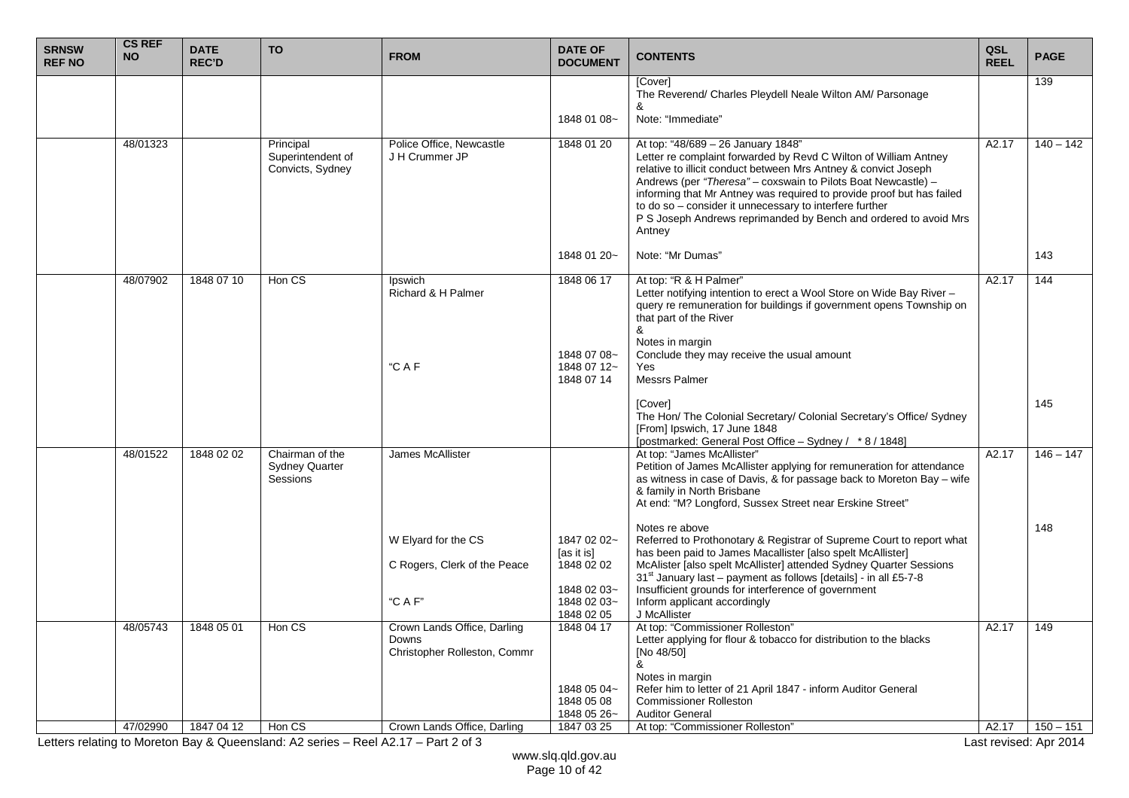| <b>SRNSW</b><br><b>REF NO</b> | <b>CS REF</b><br><b>NO</b> | <b>DATE</b><br><b>REC'D</b> | <b>TO</b>                                            | <b>FROM</b>                                                                 | <b>DATE OF</b><br><b>DOCUMENT</b>                      | <b>CONTENTS</b>                                                                                                                                                                                                                                                                                                                                                                                                                                              | QSL<br><b>REEL</b> | <b>PAGE</b> |
|-------------------------------|----------------------------|-----------------------------|------------------------------------------------------|-----------------------------------------------------------------------------|--------------------------------------------------------|--------------------------------------------------------------------------------------------------------------------------------------------------------------------------------------------------------------------------------------------------------------------------------------------------------------------------------------------------------------------------------------------------------------------------------------------------------------|--------------------|-------------|
|                               |                            |                             |                                                      |                                                                             |                                                        | [Cover]<br>The Reverend/ Charles Pleydell Neale Wilton AM/ Parsonage                                                                                                                                                                                                                                                                                                                                                                                         |                    | 139         |
|                               |                            |                             |                                                      |                                                                             | 1848 01 08~                                            | Note: "Immediate"                                                                                                                                                                                                                                                                                                                                                                                                                                            |                    |             |
|                               |                            |                             |                                                      |                                                                             |                                                        |                                                                                                                                                                                                                                                                                                                                                                                                                                                              |                    |             |
|                               | 48/01323                   |                             | Principal<br>Superintendent of<br>Convicts, Sydney   | Police Office, Newcastle<br>J H Crummer JP                                  | 1848 01 20                                             | At top: "48/689 - 26 January 1848"<br>Letter re complaint forwarded by Revd C Wilton of William Antney<br>relative to illicit conduct between Mrs Antney & convict Joseph<br>Andrews (per "Theresa" - coxswain to Pilots Boat Newcastle) -<br>informing that Mr Antney was required to provide proof but has failed<br>to do so - consider it unnecessary to interfere further<br>P S Joseph Andrews reprimanded by Bench and ordered to avoid Mrs<br>Antney | A2.17              | $140 - 142$ |
|                               |                            |                             |                                                      |                                                                             | 1848 01 20~                                            | Note: "Mr Dumas"                                                                                                                                                                                                                                                                                                                                                                                                                                             |                    | 143         |
|                               | 48/07902                   | 1848 07 10                  | Hon CS                                               | Ipswich<br>Richard & H Palmer                                               | 1848 06 17                                             | At top: "R & H Palmer"<br>Letter notifying intention to erect a Wool Store on Wide Bay River -<br>query re remuneration for buildings if government opens Township on<br>that part of the River<br>&<br>Notes in margin                                                                                                                                                                                                                                      | A2.17              | 144         |
|                               |                            |                             |                                                      | "CAF                                                                        | 1848 07 08~<br>1848 07 12~<br>1848 07 14               | Conclude they may receive the usual amount<br>Yes.<br><b>Messrs Palmer</b>                                                                                                                                                                                                                                                                                                                                                                                   |                    |             |
|                               |                            |                             |                                                      |                                                                             |                                                        | [Cover]<br>The Hon/ The Colonial Secretary/ Colonial Secretary's Office/ Sydney<br>[From] Ipswich, 17 June 1848<br>[postmarked: General Post Office - Sydney / * 8 / 1848]                                                                                                                                                                                                                                                                                   |                    | 145         |
|                               | 48/01522                   | 1848 02 02                  | Chairman of the<br><b>Sydney Quarter</b><br>Sessions | <b>James McAllister</b>                                                     |                                                        | At top: "James McAllister"<br>Petition of James McAllister applying for remuneration for attendance<br>as witness in case of Davis, & for passage back to Moreton Bay - wife<br>& family in North Brisbane<br>At end: "M? Longford, Sussex Street near Erskine Street"                                                                                                                                                                                       | A2.17              | $146 - 147$ |
|                               |                            |                             |                                                      | W Elyard for the CS<br>C Rogers, Clerk of the Peace                         | 1847 02 02~<br>[as it is]<br>1848 02 02<br>1848 02 03~ | Notes re above<br>Referred to Prothonotary & Registrar of Supreme Court to report what<br>has been paid to James Macallister [also spelt McAllister]<br>McAlister [also spelt McAllister] attended Sydney Quarter Sessions<br>31 <sup>st</sup> January last - payment as follows [details] - in all £5-7-8<br>Insufficient grounds for interference of government                                                                                            |                    | 148         |
|                               |                            |                             |                                                      | "C A F"                                                                     | 1848 02 03~<br>1848 02 05                              | Inform applicant accordingly<br>J McAllister                                                                                                                                                                                                                                                                                                                                                                                                                 |                    |             |
|                               | 48/05743                   | 1848 05 01                  | Hon CS                                               | Crown Lands Office, Darling<br><b>Downs</b><br>Christopher Rolleston, Commr | 1848 04 17<br>1848 05 04~<br>1848 05 08                | At top: "Commissioner Rolleston"<br>Letter applying for flour & tobacco for distribution to the blacks<br>[No 48/50]<br>&<br>Notes in margin<br>Refer him to letter of 21 April 1847 - inform Auditor General<br><b>Commissioner Rolleston</b>                                                                                                                                                                                                               | A2.17              | 149         |
|                               |                            |                             |                                                      |                                                                             | 1848 05 26~                                            | <b>Auditor General</b>                                                                                                                                                                                                                                                                                                                                                                                                                                       |                    |             |
|                               | 47/02990                   | 1847 04 12                  | Hon CS                                               | Crown Lands Office, Darling                                                 | 1847 03 25                                             | At top: "Commissioner Rolleston"                                                                                                                                                                                                                                                                                                                                                                                                                             | A2.17              | $150 - 151$ |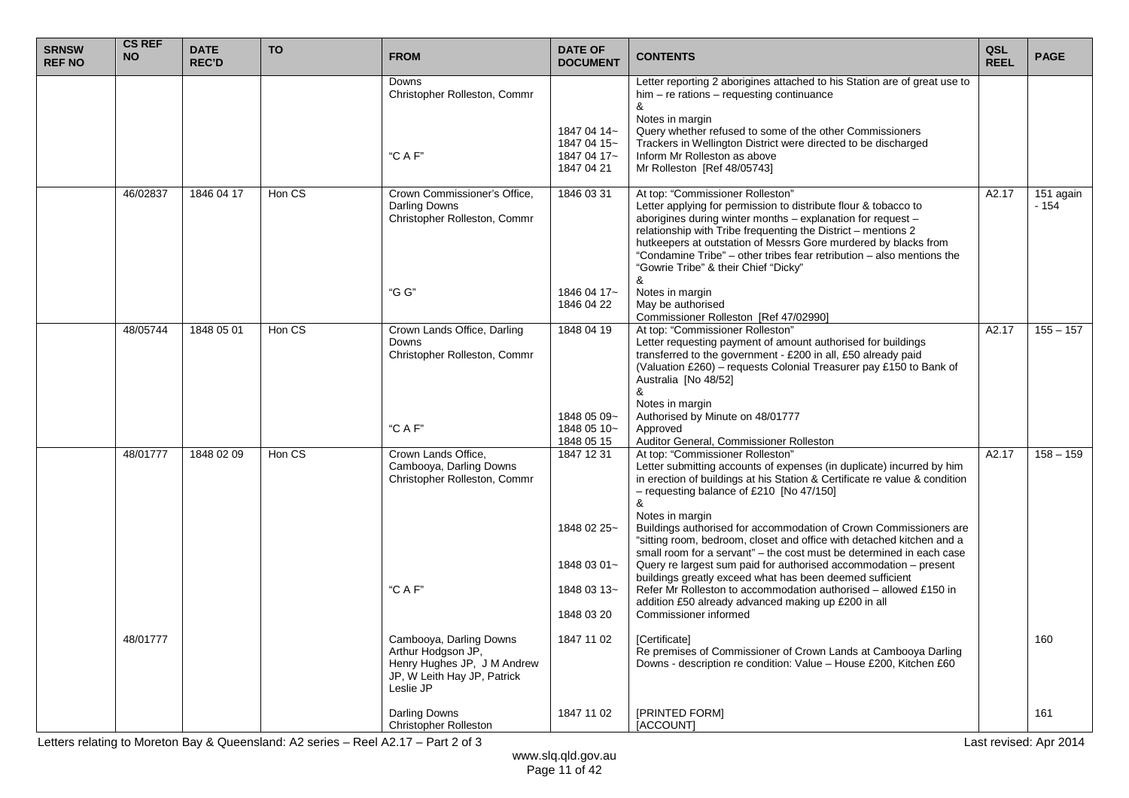| <b>SRNSW</b><br><b>REF NO</b> | <b>CS REF</b><br><b>NO</b> | <b>DATE</b><br><b>REC'D</b> | <b>TO</b> | <b>FROM</b>                                                                                   | <b>DATE OF</b><br><b>DOCUMENT</b>         | <b>CONTENTS</b>                                                                                                                                                                                                                                                                                                                                                                                                              | QSL<br><b>REEL</b> | <b>PAGE</b>         |
|-------------------------------|----------------------------|-----------------------------|-----------|-----------------------------------------------------------------------------------------------|-------------------------------------------|------------------------------------------------------------------------------------------------------------------------------------------------------------------------------------------------------------------------------------------------------------------------------------------------------------------------------------------------------------------------------------------------------------------------------|--------------------|---------------------|
|                               |                            |                             |           | Downs<br>Christopher Rolleston, Commr<br>"C A F"                                              | 1847 04 14~<br>1847 04 15~<br>1847 04 17~ | Letter reporting 2 aborigines attached to his Station are of great use to<br>$him - re$ rations $-$ requesting continuance<br>&<br>Notes in margin<br>Query whether refused to some of the other Commissioners<br>Trackers in Wellington District were directed to be discharged<br>Inform Mr Rolleston as above                                                                                                             |                    |                     |
|                               |                            |                             |           |                                                                                               | 1847 04 21                                | Mr Rolleston [Ref 48/05743]                                                                                                                                                                                                                                                                                                                                                                                                  |                    |                     |
|                               | 46/02837                   | 1846 04 17                  | Hon CS    | Crown Commissioner's Office,<br>Darling Downs<br>Christopher Rolleston, Commr                 | 1846 03 31                                | At top: "Commissioner Rolleston"<br>Letter applying for permission to distribute flour & tobacco to<br>aborigines during winter months - explanation for request -<br>relationship with Tribe frequenting the District - mentions 2<br>hutkeepers at outstation of Messrs Gore murdered by blacks from<br>"Condamine Tribe" – other tribes fear retribution – also mentions the<br>"Gowrie Tribe" & their Chief "Dicky"<br>& | A2.17              | 151 again<br>$-154$ |
|                               |                            |                             |           | "G G"                                                                                         | 1846 04 17~<br>1846 04 22                 | Notes in margin<br>May be authorised<br>Commissioner Rolleston [Ref 47/02990]                                                                                                                                                                                                                                                                                                                                                |                    |                     |
|                               | 48/05744                   | 1848 05 01                  | Hon CS    | Crown Lands Office, Darling<br>Downs<br>Christopher Rolleston, Commr                          | 1848 04 19                                | At top: "Commissioner Rolleston"<br>Letter requesting payment of amount authorised for buildings<br>transferred to the government - £200 in all, £50 already paid<br>(Valuation £260) - requests Colonial Treasurer pay £150 to Bank of<br>Australia [No 48/52]<br>&<br>Notes in margin                                                                                                                                      | A2.17              | $155 - 157$         |
|                               |                            |                             |           | "C A F"                                                                                       | 1848 05 09~<br>1848 05 10~<br>1848 05 15  | Authorised by Minute on 48/01777<br>Approved<br>Auditor General, Commissioner Rolleston                                                                                                                                                                                                                                                                                                                                      |                    |                     |
|                               | 48/01777                   | 1848 02 09                  | Hon CS    | Crown Lands Office,<br>Cambooya, Darling Downs<br>Christopher Rolleston, Commr                | 1847 12 31                                | At top: "Commissioner Rolleston"<br>Letter submitting accounts of expenses (in duplicate) incurred by him<br>in erection of buildings at his Station & Certificate re value & condition<br>- requesting balance of £210 [No 47/150]<br>&<br>Notes in margin                                                                                                                                                                  | A2.17              | $158 - 159$         |
|                               |                            |                             |           |                                                                                               | 1848 02 25~<br>1848 03 01~                | Buildings authorised for accommodation of Crown Commissioners are<br>"sitting room, bedroom, closet and office with detached kitchen and a<br>small room for a servant" – the cost must be determined in each case<br>Query re largest sum paid for authorised accommodation - present                                                                                                                                       |                    |                     |
|                               |                            |                             |           | "C A F"                                                                                       | 1848 03 13~                               | buildings greatly exceed what has been deemed sufficient<br>Refer Mr Rolleston to accommodation authorised – allowed £150 in<br>addition £50 already advanced making up £200 in all                                                                                                                                                                                                                                          |                    |                     |
|                               | 48/01777                   |                             |           | Cambooya, Darling Downs                                                                       | 1848 03 20<br>1847 11 02                  | Commissioner informed<br><b>[Certificate]</b>                                                                                                                                                                                                                                                                                                                                                                                |                    | 160                 |
|                               |                            |                             |           | Arthur Hodgson JP,<br>Henry Hughes JP, J M Andrew<br>JP, W Leith Hay JP, Patrick<br>Leslie JP |                                           | Re premises of Commissioner of Crown Lands at Cambooya Darling<br>Downs - description re condition: Value - House £200, Kitchen £60                                                                                                                                                                                                                                                                                          |                    |                     |
|                               |                            |                             |           | Darling Downs<br><b>Christopher Rolleston</b>                                                 | 1847 11 02                                | [PRINTED FORM]<br>[ACCOUNT]                                                                                                                                                                                                                                                                                                                                                                                                  |                    | 161                 |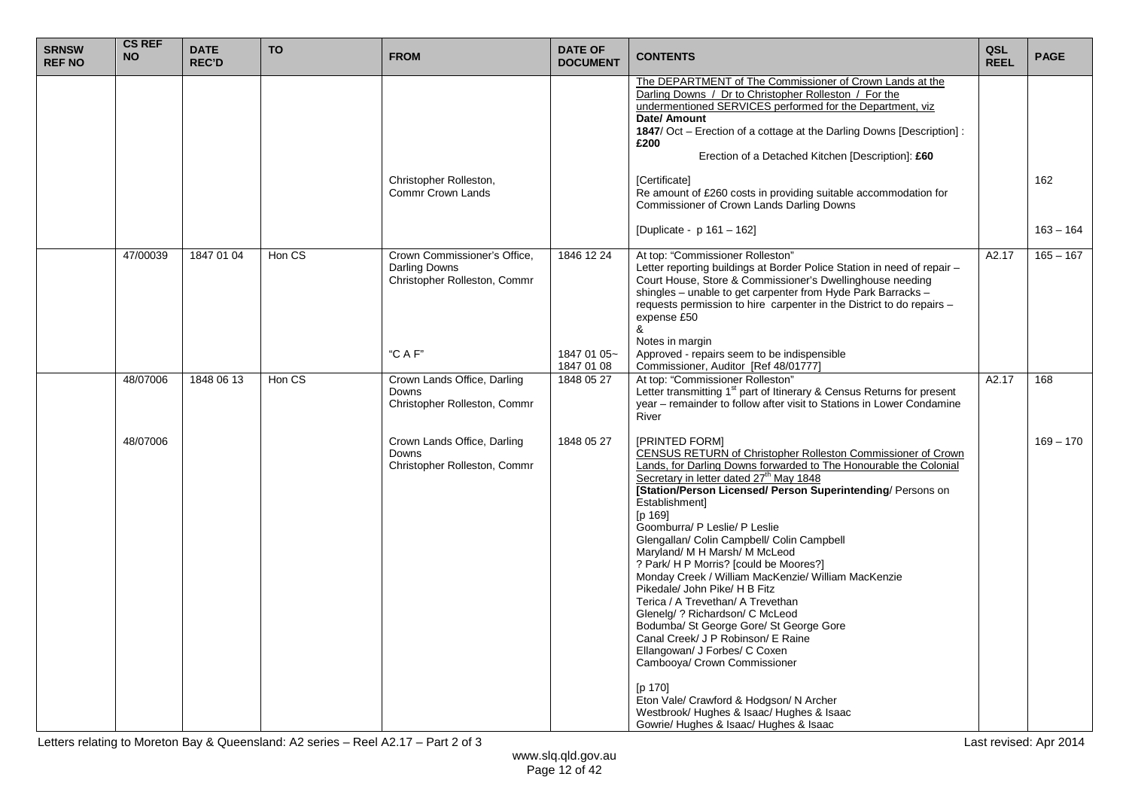| <b>SRNSW</b><br><b>REF NO</b> | <b>CS REF</b><br><b>NO</b> | <b>DATE</b><br><b>REC'D</b> | <b>TO</b> | <b>FROM</b>                                                                   | <b>DATE OF</b><br><b>DOCUMENT</b> | <b>CONTENTS</b>                                                                                                                                                                                                                                                                                                                                                                                                                                                                                                                                                                                                                                                                                                                                                                                                                                                                                                               | QSL<br><b>REEL</b> | <b>PAGE</b> |
|-------------------------------|----------------------------|-----------------------------|-----------|-------------------------------------------------------------------------------|-----------------------------------|-------------------------------------------------------------------------------------------------------------------------------------------------------------------------------------------------------------------------------------------------------------------------------------------------------------------------------------------------------------------------------------------------------------------------------------------------------------------------------------------------------------------------------------------------------------------------------------------------------------------------------------------------------------------------------------------------------------------------------------------------------------------------------------------------------------------------------------------------------------------------------------------------------------------------------|--------------------|-------------|
|                               |                            |                             |           |                                                                               |                                   | The DEPARTMENT of The Commissioner of Crown Lands at the<br>Darling Downs / Dr to Christopher Rolleston / For the<br>undermentioned SERVICES performed for the Department, viz<br>Date/ Amount<br>1847/ Oct – Erection of a cottage at the Darling Downs [Description] :<br>£200<br>Erection of a Detached Kitchen [Description]: £60                                                                                                                                                                                                                                                                                                                                                                                                                                                                                                                                                                                         |                    |             |
|                               |                            |                             |           | Christopher Rolleston,<br>Commr Crown Lands                                   |                                   | [Certificate]<br>Re amount of £260 costs in providing suitable accommodation for<br>Commissioner of Crown Lands Darling Downs                                                                                                                                                                                                                                                                                                                                                                                                                                                                                                                                                                                                                                                                                                                                                                                                 |                    | 162         |
|                               |                            |                             |           |                                                                               |                                   | [Duplicate - p 161 - 162]                                                                                                                                                                                                                                                                                                                                                                                                                                                                                                                                                                                                                                                                                                                                                                                                                                                                                                     |                    | $163 - 164$ |
|                               | 47/00039                   | 1847 01 04                  | Hon CS    | Crown Commissioner's Office,<br>Darling Downs<br>Christopher Rolleston, Commr | 1846 12 24                        | At top: "Commissioner Rolleston"<br>Letter reporting buildings at Border Police Station in need of repair -<br>Court House, Store & Commissioner's Dwellinghouse needing<br>shingles - unable to get carpenter from Hyde Park Barracks -<br>requests permission to hire carpenter in the District to do repairs -<br>expense £50<br>&<br>Notes in margin                                                                                                                                                                                                                                                                                                                                                                                                                                                                                                                                                                      | A2.17              | $165 - 167$ |
|                               |                            |                             |           | "C A F"                                                                       | 1847 01 05~<br>1847 01 08         | Approved - repairs seem to be indispensible<br>Commissioner, Auditor [Ref 48/01777]                                                                                                                                                                                                                                                                                                                                                                                                                                                                                                                                                                                                                                                                                                                                                                                                                                           |                    |             |
|                               | 48/07006                   | 1848 06 13                  | Hon CS    | Crown Lands Office, Darling<br><b>Downs</b><br>Christopher Rolleston, Commr   | 1848 05 27                        | At top: "Commissioner Rolleston"<br>Letter transmitting 1 <sup>st</sup> part of Itinerary & Census Returns for present<br>year - remainder to follow after visit to Stations in Lower Condamine<br>River                                                                                                                                                                                                                                                                                                                                                                                                                                                                                                                                                                                                                                                                                                                      | A2.17              | 168         |
|                               | 48/07006                   |                             |           | Crown Lands Office, Darling<br>Downs<br>Christopher Rolleston, Commr          | 1848 05 27                        | [PRINTED FORM]<br>CENSUS RETURN of Christopher Rolleston Commissioner of Crown<br>Lands, for Darling Downs forwarded to The Honourable the Colonial<br>Secretary in letter dated 27 <sup>th</sup> May 1848<br>[Station/Person Licensed/ Person Superintending/ Persons on<br>Establishmentl<br>[p 169]<br>Goomburra/ P Leslie/ P Leslie<br>Glengallan/ Colin Campbell/ Colin Campbell<br>Maryland/ M H Marsh/ M McLeod<br>? Park/ H P Morris? [could be Moores?]<br>Monday Creek / William MacKenzie/ William MacKenzie<br>Pikedale/ John Pike/ H B Fitz<br>Terica / A Trevethan/ A Trevethan<br>Glenelg/ ? Richardson/ C McLeod<br>Bodumba/ St George Gore/ St George Gore<br>Canal Creek/ J P Robinson/ E Raine<br>Ellangowan/ J Forbes/ C Coxen<br>Cambooya/ Crown Commissioner<br>[p 170]<br>Eton Vale/ Crawford & Hodgson/ N Archer<br>Westbrook/Hughes & Isaac/Hughes & Isaac<br>Gowrie/ Hughes & Isaac/ Hughes & Isaac |                    | $169 - 170$ |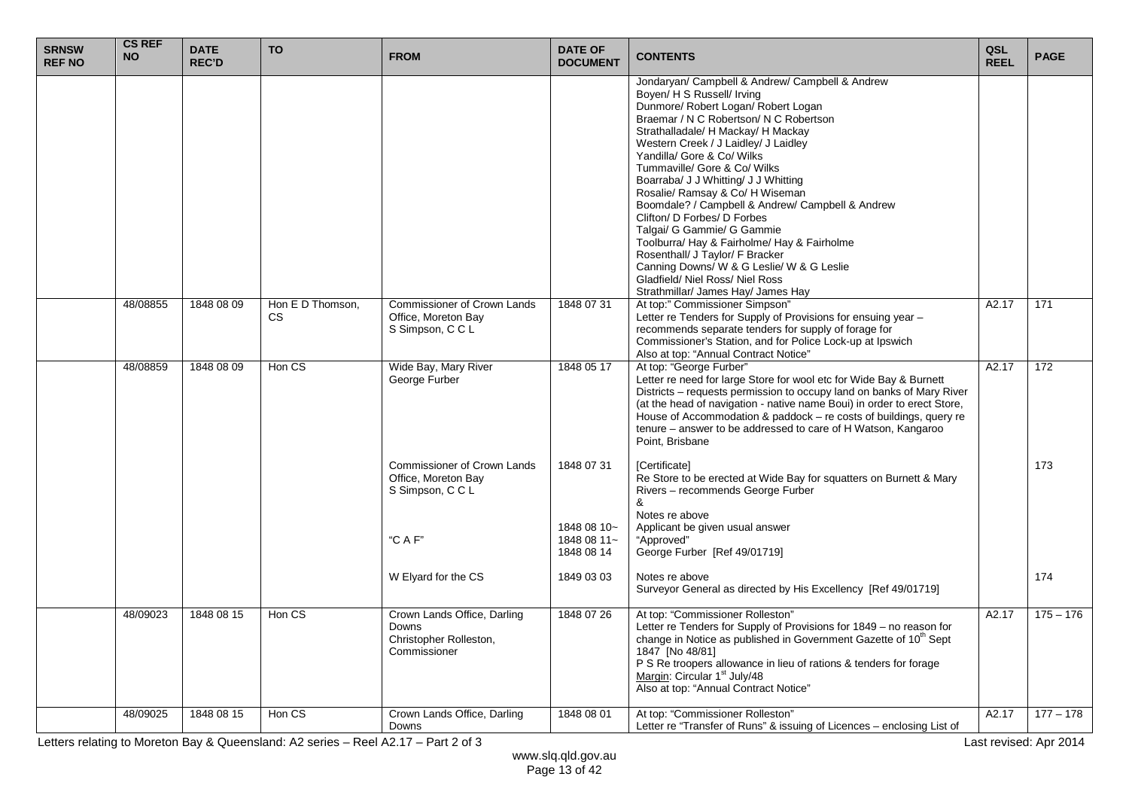| <b>SRNSW</b><br><b>REF NO</b> | <b>CS REF</b><br><b>NO</b> | <b>DATE</b><br><b>REC'D</b> | <b>TO</b>               | <b>FROM</b>                                                                    | <b>DATE OF</b><br><b>DOCUMENT</b>        | <b>CONTENTS</b>                                                                                                                                                                                                                                                                                                                                                                                                                                                                                                                                                                                                                                                                                                | QSL<br><b>REEL</b> | <b>PAGE</b> |
|-------------------------------|----------------------------|-----------------------------|-------------------------|--------------------------------------------------------------------------------|------------------------------------------|----------------------------------------------------------------------------------------------------------------------------------------------------------------------------------------------------------------------------------------------------------------------------------------------------------------------------------------------------------------------------------------------------------------------------------------------------------------------------------------------------------------------------------------------------------------------------------------------------------------------------------------------------------------------------------------------------------------|--------------------|-------------|
|                               |                            |                             |                         |                                                                                |                                          | Jondaryan/ Campbell & Andrew/ Campbell & Andrew<br>Boyen/ H S Russell/ Irving<br>Dunmore/ Robert Logan/ Robert Logan<br>Braemar / N C Robertson/ N C Robertson<br>Strathalladale/ H Mackay/ H Mackay<br>Western Creek / J Laidley/ J Laidley<br>Yandilla/ Gore & Co/ Wilks<br>Tummaville/ Gore & Co/ Wilks<br>Boarraba/ J J Whitting/ J J Whitting<br>Rosalie/ Ramsay & Co/ H Wiseman<br>Boomdale? / Campbell & Andrew/ Campbell & Andrew<br>Clifton/ D Forbes/ D Forbes<br>Talgai/ G Gammie/ G Gammie<br>Toolburra/ Hay & Fairholme/ Hay & Fairholme<br>Rosenthall/ J Taylor/ F Bracker<br>Canning Downs/ W & G Leslie/ W & G Leslie<br>Gladfield/ Niel Ross/ Niel Ross<br>Strathmillar/ James Hay/ James Hay |                    |             |
|                               | 48/08855                   | 1848 08 09                  | Hon E D Thomson.<br>CS. | <b>Commissioner of Crown Lands</b><br>Office, Moreton Bay<br>S Simpson, C C L  | 1848 07 31                               | At top:" Commissioner Simpson"<br>Letter re Tenders for Supply of Provisions for ensuing year -<br>recommends separate tenders for supply of forage for<br>Commissioner's Station, and for Police Lock-up at Ipswich<br>Also at top: "Annual Contract Notice"                                                                                                                                                                                                                                                                                                                                                                                                                                                  | A2.17              | 171         |
|                               | 48/08859                   | 1848 08 09                  | Hon CS                  | Wide Bay, Mary River<br>George Furber                                          | 1848 05 17                               | At top: "George Furber"<br>Letter re need for large Store for wool etc for Wide Bay & Burnett<br>Districts - requests permission to occupy land on banks of Mary River<br>(at the head of navigation - native name Boui) in order to erect Store,<br>House of Accommodation & paddock - re costs of buildings, query re<br>tenure - answer to be addressed to care of H Watson, Kangaroo<br>Point, Brisbane                                                                                                                                                                                                                                                                                                    | A2.17              | 172         |
|                               |                            |                             |                         | Commissioner of Crown Lands<br>Office, Moreton Bay<br>S Simpson, C C L         | 1848 07 31                               | [Certificate]<br>Re Store to be erected at Wide Bay for squatters on Burnett & Mary<br>Rivers - recommends George Furber<br>&<br>Notes re above                                                                                                                                                                                                                                                                                                                                                                                                                                                                                                                                                                |                    | 173         |
|                               |                            |                             |                         | "CAF"                                                                          | 1848 08 10~<br>1848 08 11~<br>1848 08 14 | Applicant be given usual answer<br>"Approved"<br>George Furber [Ref 49/01719]                                                                                                                                                                                                                                                                                                                                                                                                                                                                                                                                                                                                                                  |                    |             |
|                               |                            |                             |                         | W Elyard for the CS                                                            | 1849 03 03                               | Notes re above<br>Surveyor General as directed by His Excellency [Ref 49/01719]                                                                                                                                                                                                                                                                                                                                                                                                                                                                                                                                                                                                                                |                    | 174         |
|                               | 48/09023                   | 1848 08 15                  | Hon CS                  | Crown Lands Office, Darling<br>Downs<br>Christopher Rolleston,<br>Commissioner | 1848 07 26                               | At top: "Commissioner Rolleston"<br>Letter re Tenders for Supply of Provisions for 1849 - no reason for<br>change in Notice as published in Government Gazette of 10 <sup>th</sup> Sept<br>1847 [No 48/81]<br>P S Re troopers allowance in lieu of rations & tenders for forage<br>Margin: Circular 1 <sup>st</sup> July/48<br>Also at top: "Annual Contract Notice"                                                                                                                                                                                                                                                                                                                                           | A2.17              | $175 - 176$ |
|                               | 48/09025                   | 1848 08 15                  | Hon CS                  | Crown Lands Office, Darling<br>Downs                                           | 1848 08 01                               | At top: "Commissioner Rolleston"<br>Letter re "Transfer of Runs" & issuing of Licences – enclosing List of                                                                                                                                                                                                                                                                                                                                                                                                                                                                                                                                                                                                     | A2.17              | $177 - 178$ |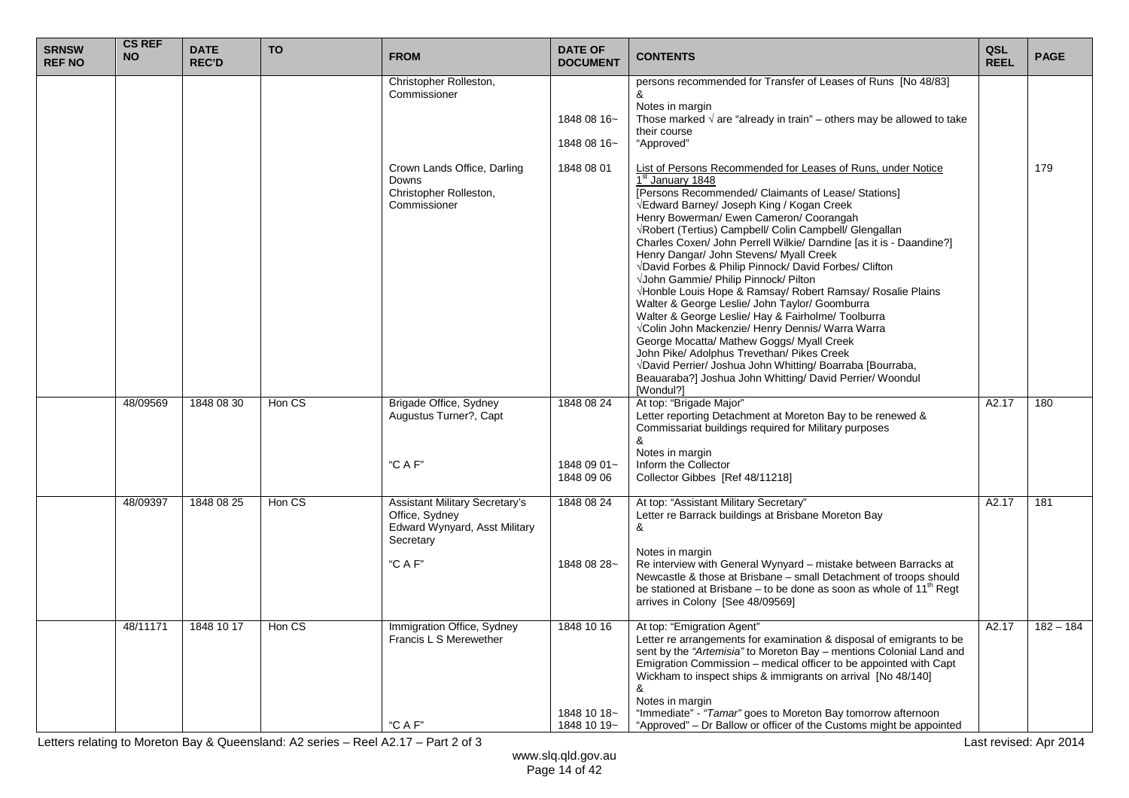| <b>SRNSW</b><br><b>REF NO</b> | <b>CS REF</b><br><b>NO</b> | <b>DATE</b><br><b>REC'D</b> | <b>TO</b> | <b>FROM</b>                                                                                               | <b>DATE OF</b><br><b>DOCUMENT</b>        | <b>CONTENTS</b>                                                                                                                                                                                                                                                                                                                                                                                                                                                                                                                                                                                                                                                                                                                                                                                                                                                                                                                                                                     | QSL<br><b>REEL</b> | <b>PAGE</b> |
|-------------------------------|----------------------------|-----------------------------|-----------|-----------------------------------------------------------------------------------------------------------|------------------------------------------|-------------------------------------------------------------------------------------------------------------------------------------------------------------------------------------------------------------------------------------------------------------------------------------------------------------------------------------------------------------------------------------------------------------------------------------------------------------------------------------------------------------------------------------------------------------------------------------------------------------------------------------------------------------------------------------------------------------------------------------------------------------------------------------------------------------------------------------------------------------------------------------------------------------------------------------------------------------------------------------|--------------------|-------------|
|                               |                            |                             |           | Christopher Rolleston,<br>Commissioner                                                                    | 1848 08 16~<br>1848 08 16~               | persons recommended for Transfer of Leases of Runs [No 48/83]<br>&<br>Notes in margin<br>Those marked $\sqrt{ }$ are "already in train" – others may be allowed to take<br>their course<br>"Approved"                                                                                                                                                                                                                                                                                                                                                                                                                                                                                                                                                                                                                                                                                                                                                                               |                    |             |
|                               |                            |                             |           | Crown Lands Office, Darling<br>Downs<br>Christopher Rolleston,<br>Commissioner                            | 1848 08 01                               | List of Persons Recommended for Leases of Runs, under Notice<br>1 <sup>st</sup> January 1848<br>[Persons Recommended/ Claimants of Lease/ Stations]<br>√Edward Barney/ Joseph King / Kogan Creek<br>Henry Bowerman/ Ewen Cameron/ Coorangah<br>VRobert (Tertius) Campbell/ Colin Campbell/ Glengallan<br>Charles Coxen/ John Perrell Wilkie/ Darndine [as it is - Daandine?]<br>Henry Dangar/ John Stevens/ Myall Creek<br>√David Forbes & Philip Pinnock/ David Forbes/ Clifton<br>√John Gammie/ Philip Pinnock/ Pilton<br>VHonble Louis Hope & Ramsay/ Robert Ramsay/ Rosalie Plains<br>Walter & George Leslie/ John Taylor/ Goomburra<br>Walter & George Leslie/ Hay & Fairholme/ Toolburra<br>VColin John Mackenzie/ Henry Dennis/ Warra Warra<br>George Mocatta/ Mathew Goggs/ Myall Creek<br>John Pike/ Adolphus Trevethan/ Pikes Creek<br>VDavid Perrier/ Joshua John Whitting/ Boarraba [Bourraba,<br>Beauaraba?] Joshua John Whitting/ David Perrier/ Woondul<br>[Wondul?] |                    | 179         |
|                               | 48/09569                   | 1848 08 30                  | Hon CS    | Brigade Office, Sydney<br>Augustus Turner?, Capt<br>"C A F"                                               | 1848 08 24<br>1848 09 01~                | At top: "Brigade Major"<br>Letter reporting Detachment at Moreton Bay to be renewed &<br>Commissariat buildings required for Military purposes<br>&<br>Notes in margin<br>Inform the Collector                                                                                                                                                                                                                                                                                                                                                                                                                                                                                                                                                                                                                                                                                                                                                                                      | A2.17              | 180         |
|                               |                            |                             |           |                                                                                                           | 1848 09 06                               | Collector Gibbes [Ref 48/11218]                                                                                                                                                                                                                                                                                                                                                                                                                                                                                                                                                                                                                                                                                                                                                                                                                                                                                                                                                     |                    |             |
|                               | 48/09397                   | 1848 08 25                  | Hon CS    | Assistant Military Secretary's<br>Office, Sydney<br>Edward Wynyard, Asst Military<br>Secretary<br>"C A F" | 1848 08 24<br>1848 08 28~                | At top: "Assistant Military Secretary"<br>Letter re Barrack buildings at Brisbane Moreton Bay<br>&<br>Notes in margin<br>Re interview with General Wynyard - mistake between Barracks at<br>Newcastle & those at Brisbane - small Detachment of troops should<br>be stationed at Brisbane – to be done as soon as whole of 11 <sup>th</sup> Regt<br>arrives in Colony [See 48/09569]                                                                                                                                                                                                                                                                                                                                                                                                                                                                                                                                                                                                | A2.17              | 181         |
|                               | 48/11171                   | 1848 10 17                  | Hon CS    | Immigration Office, Sydney<br>Francis L S Merewether<br>"C A F"                                           | 1848 10 16<br>1848 10 18~<br>1848 10 19~ | At top: "Emigration Agent"<br>Letter re arrangements for examination & disposal of emigrants to be<br>sent by the "Artemisia" to Moreton Bay - mentions Colonial Land and<br>Emigration Commission - medical officer to be appointed with Capt<br>Wickham to inspect ships & immigrants on arrival [No 48/140]<br>&<br>Notes in margin<br>"Immediate" - "Tamar" goes to Moreton Bay tomorrow afternoon<br>"Approved" - Dr Ballow or officer of the Customs might be appointed                                                                                                                                                                                                                                                                                                                                                                                                                                                                                                       | A2.17              | $182 - 184$ |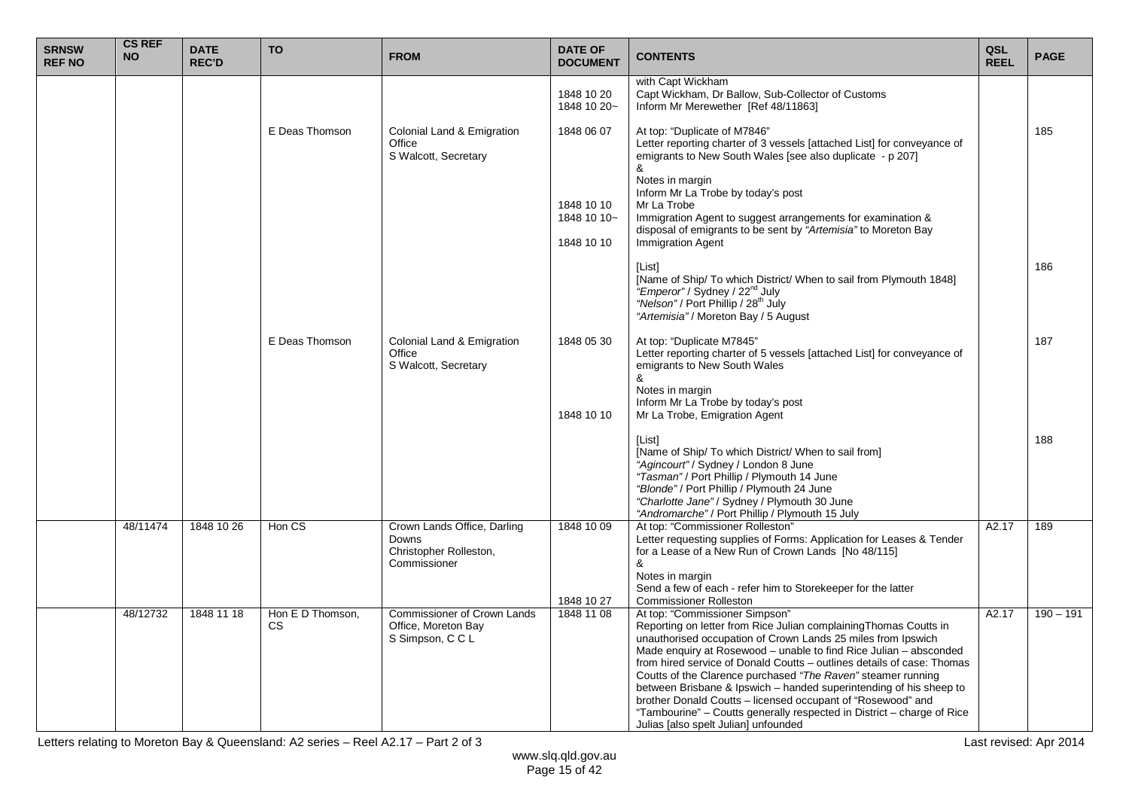| <b>SRNSW</b><br><b>REF NO</b> | <b>CS REF</b><br><b>NO</b> | <b>DATE</b><br><b>REC'D</b> | <b>TO</b>              | <b>FROM</b>                                                                    | <b>DATE OF</b><br><b>DOCUMENT</b>                     | <b>CONTENTS</b>                                                                                                                                                                                                                                                                                                                                                                                                                                                                                                                                                                                                                           | QSL<br><b>REEL</b> | <b>PAGE</b> |
|-------------------------------|----------------------------|-----------------------------|------------------------|--------------------------------------------------------------------------------|-------------------------------------------------------|-------------------------------------------------------------------------------------------------------------------------------------------------------------------------------------------------------------------------------------------------------------------------------------------------------------------------------------------------------------------------------------------------------------------------------------------------------------------------------------------------------------------------------------------------------------------------------------------------------------------------------------------|--------------------|-------------|
|                               |                            |                             |                        |                                                                                | 1848 10 20<br>1848 10 20~                             | with Capt Wickham<br>Capt Wickham, Dr Ballow, Sub-Collector of Customs<br>Inform Mr Merewether [Ref 48/11863]                                                                                                                                                                                                                                                                                                                                                                                                                                                                                                                             |                    |             |
|                               |                            |                             | E Deas Thomson         | Colonial Land & Emigration<br>Office<br>S Walcott, Secretary                   | 1848 06 07<br>1848 10 10<br>1848 10 10~<br>1848 10 10 | At top: "Duplicate of M7846"<br>Letter reporting charter of 3 vessels [attached List] for conveyance of<br>emigrants to New South Wales [see also duplicate - p 207]<br>&<br>Notes in margin<br>Inform Mr La Trobe by today's post<br>Mr La Trobe<br>Immigration Agent to suggest arrangements for examination &<br>disposal of emigrants to be sent by "Artemisia" to Moreton Bay<br><b>Immigration Agent</b>                                                                                                                                                                                                                            |                    | 185         |
|                               |                            |                             |                        |                                                                                |                                                       | [List]<br>[Name of Ship/ To which District/ When to sail from Plymouth 1848]<br>"Emperor" / Sydney / 22 <sup>nd</sup> July<br>"Nelson" / Port Phillip / 28 <sup>th</sup> July<br>"Artemisia" / Moreton Bay / 5 August                                                                                                                                                                                                                                                                                                                                                                                                                     |                    | 186         |
|                               |                            |                             | E Deas Thomson         | Colonial Land & Emigration<br>Office<br>S Walcott, Secretary                   | 1848 05 30<br>1848 10 10                              | At top: "Duplicate M7845"<br>Letter reporting charter of 5 vessels [attached List] for conveyance of<br>emigrants to New South Wales<br>&<br>Notes in margin<br>Inform Mr La Trobe by today's post<br>Mr La Trobe, Emigration Agent                                                                                                                                                                                                                                                                                                                                                                                                       |                    | 187         |
|                               |                            |                             |                        |                                                                                |                                                       | [List]<br>[Name of Ship/ To which District/ When to sail from]<br>"Agincourt" / Sydney / London 8 June<br>"Tasman" / Port Phillip / Plymouth 14 June<br>"Blonde" / Port Phillip / Plymouth 24 June<br>"Charlotte Jane" / Sydney / Plymouth 30 June<br>"Andromarche" / Port Phillip / Plymouth 15 July                                                                                                                                                                                                                                                                                                                                     |                    | 188         |
|                               | 48/11474                   | 1848 10 26                  | Hon CS                 | Crown Lands Office, Darling<br>Downs<br>Christopher Rolleston,<br>Commissioner | 1848 10 09<br>1848 10 27                              | At top: "Commissioner Rolleston"<br>Letter requesting supplies of Forms: Application for Leases & Tender<br>for a Lease of a New Run of Crown Lands [No 48/115]<br>&<br>Notes in margin<br>Send a few of each - refer him to Storekeeper for the latter<br><b>Commissioner Rolleston</b>                                                                                                                                                                                                                                                                                                                                                  | A2.17              | 189         |
|                               | 48/12732                   | 1848 11 18                  | Hon E D Thomson,<br>CS | Commissioner of Crown Lands<br>Office, Moreton Bay<br>S Simpson, C C L         | 1848 11 08                                            | At top: "Commissioner Simpson"<br>Reporting on letter from Rice Julian complaining Thomas Coutts in<br>unauthorised occupation of Crown Lands 25 miles from Ipswich<br>Made enquiry at Rosewood - unable to find Rice Julian - absconded<br>from hired service of Donald Coutts - outlines details of case: Thomas<br>Coutts of the Clarence purchased "The Raven" steamer running<br>between Brisbane & Ipswich – handed superintending of his sheep to<br>brother Donald Coutts - licensed occupant of "Rosewood" and<br>"Tambourine" - Coutts generally respected in District - charge of Rice<br>Julias [also spelt Julian] unfounded | A2.17              | $190 - 191$ |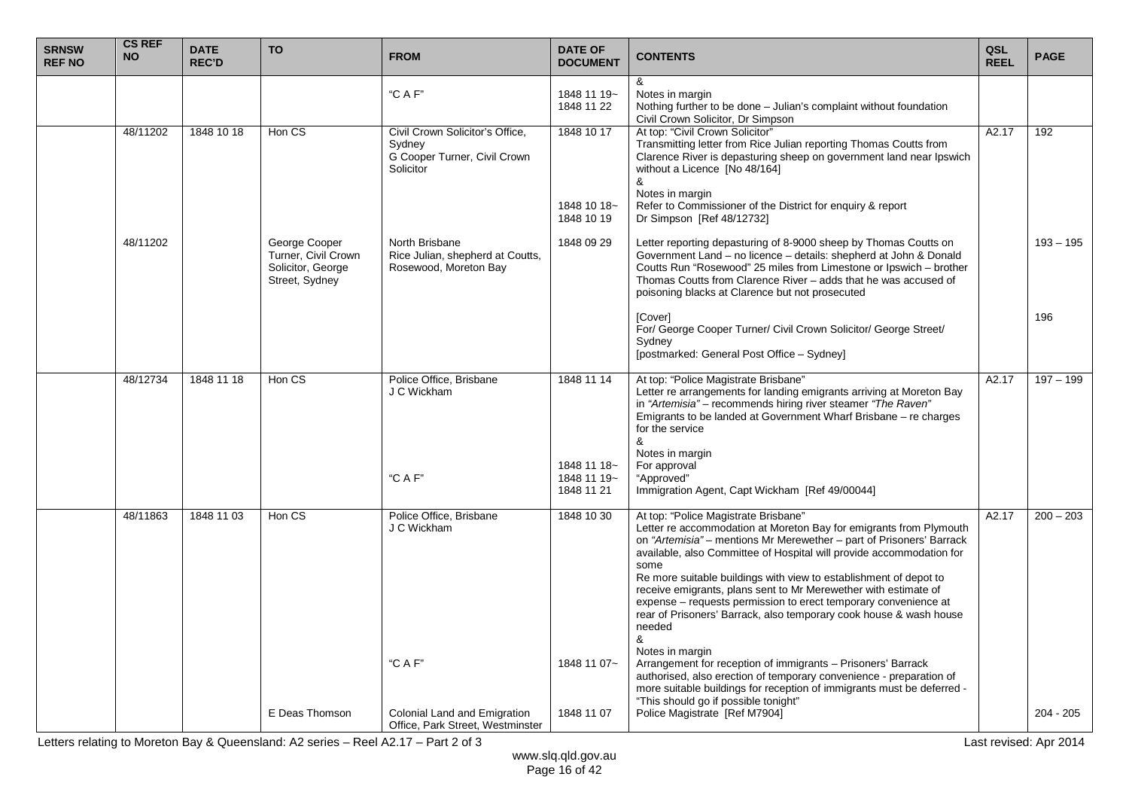| <b>SRNSW</b><br><b>REF NO</b> | <b>CS REF</b><br><b>NO</b> | <b>DATE</b><br><b>REC'D</b> | <b>TO</b>                                                                   | <b>FROM</b>                                                                            | <b>DATE OF</b><br><b>DOCUMENT</b>        | <b>CONTENTS</b>                                                                                                                                                                                                                                                                                                                                                                                                                                                                                                                                                                       | QSL<br><b>REEL</b> | <b>PAGE</b> |
|-------------------------------|----------------------------|-----------------------------|-----------------------------------------------------------------------------|----------------------------------------------------------------------------------------|------------------------------------------|---------------------------------------------------------------------------------------------------------------------------------------------------------------------------------------------------------------------------------------------------------------------------------------------------------------------------------------------------------------------------------------------------------------------------------------------------------------------------------------------------------------------------------------------------------------------------------------|--------------------|-------------|
|                               |                            |                             |                                                                             | "C A F"                                                                                | 1848 11 19~<br>1848 11 22                | &<br>Notes in margin<br>Nothing further to be done - Julian's complaint without foundation<br>Civil Crown Solicitor, Dr Simpson                                                                                                                                                                                                                                                                                                                                                                                                                                                       |                    |             |
|                               | 48/11202                   | 1848 10 18                  | Hon CS                                                                      | Civil Crown Solicitor's Office,<br>Sydney<br>G Cooper Turner, Civil Crown<br>Solicitor | 1848 10 17                               | At top: "Civil Crown Solicitor"<br>Transmitting letter from Rice Julian reporting Thomas Coutts from<br>Clarence River is depasturing sheep on government land near Ipswich<br>without a Licence [No 48/164]<br>&                                                                                                                                                                                                                                                                                                                                                                     | A2.17              | 192         |
|                               |                            |                             |                                                                             |                                                                                        | 1848 10 18~<br>1848 10 19                | Notes in margin<br>Refer to Commissioner of the District for enquiry & report<br>Dr Simpson [Ref 48/12732]                                                                                                                                                                                                                                                                                                                                                                                                                                                                            |                    |             |
|                               | 48/11202                   |                             | George Cooper<br>Turner, Civil Crown<br>Solicitor, George<br>Street, Sydney | North Brisbane<br>Rice Julian, shepherd at Coutts,<br>Rosewood, Moreton Bay            | 1848 09 29                               | Letter reporting depasturing of 8-9000 sheep by Thomas Coutts on<br>Government Land - no licence - details: shepherd at John & Donald<br>Coutts Run "Rosewood" 25 miles from Limestone or Ipswich - brother<br>Thomas Coutts from Clarence River – adds that he was accused of<br>poisoning blacks at Clarence but not prosecuted                                                                                                                                                                                                                                                     |                    | $193 - 195$ |
|                               |                            |                             |                                                                             |                                                                                        |                                          | [Cover]<br>For/ George Cooper Turner/ Civil Crown Solicitor/ George Street/<br>Sydney<br>[postmarked: General Post Office - Sydney]                                                                                                                                                                                                                                                                                                                                                                                                                                                   |                    | 196         |
|                               | 48/12734                   | 1848 11 18                  | Hon CS                                                                      | Police Office, Brisbane<br>J C Wickham                                                 | 1848 11 14                               | At top: "Police Magistrate Brisbane"<br>Letter re arrangements for landing emigrants arriving at Moreton Bay<br>in "Artemisia" - recommends hiring river steamer "The Raven"<br>Emigrants to be landed at Government Wharf Brisbane – re charges<br>for the service<br>&                                                                                                                                                                                                                                                                                                              | A2.17              | $197 - 199$ |
|                               |                            |                             |                                                                             | "C A F"                                                                                | 1848 11 18~<br>1848 11 19~<br>1848 11 21 | Notes in margin<br>For approval<br>"Approved"<br>Immigration Agent, Capt Wickham [Ref 49/00044]                                                                                                                                                                                                                                                                                                                                                                                                                                                                                       |                    |             |
|                               | 48/11863                   | 1848 11 03                  | Hon CS                                                                      | Police Office, Brisbane<br>J C Wickham                                                 | 1848 10 30                               | At top: "Police Magistrate Brisbane"<br>Letter re accommodation at Moreton Bay for emigrants from Plymouth<br>on "Artemisia" – mentions Mr Merewether – part of Prisoners' Barrack<br>available, also Committee of Hospital will provide accommodation for<br>some<br>Re more suitable buildings with view to establishment of depot to<br>receive emigrants, plans sent to Mr Merewether with estimate of<br>expense – requests permission to erect temporary convenience at<br>rear of Prisoners' Barrack, also temporary cook house & wash house<br>needed<br>&<br>Notes in margin | A2.17              | $200 - 203$ |
|                               |                            |                             | E Deas Thomson                                                              | "C A F"<br>Colonial Land and Emigration                                                | 1848 11 07~<br>1848 11 07                | Arrangement for reception of immigrants - Prisoners' Barrack<br>authorised, also erection of temporary convenience - preparation of<br>more suitable buildings for reception of immigrants must be deferred -<br>"This should go if possible tonight"<br>Police Magistrate [Ref M7904]                                                                                                                                                                                                                                                                                                |                    | $204 - 205$ |
|                               |                            |                             |                                                                             | Office, Park Street, Westminster                                                       |                                          |                                                                                                                                                                                                                                                                                                                                                                                                                                                                                                                                                                                       |                    |             |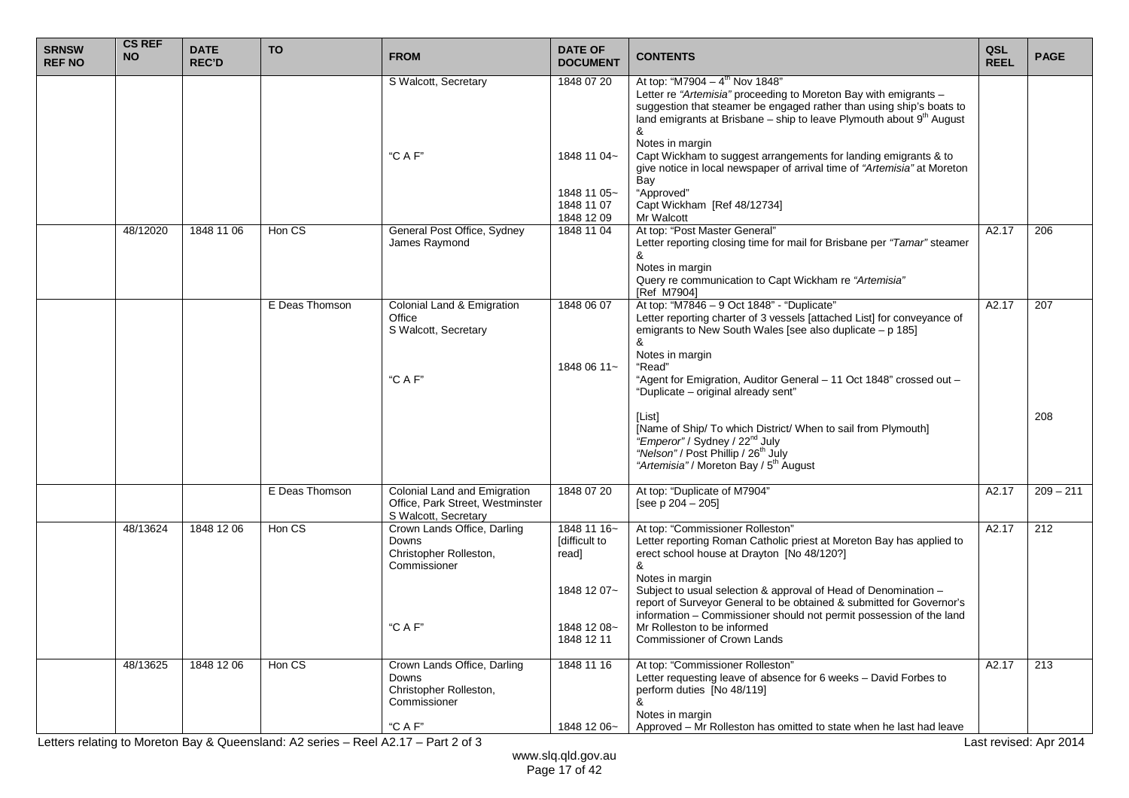| <b>SRNSW</b><br><b>REF NO</b> | <b>CS REF</b><br><b>NO</b> | <b>DATE</b><br><b>REC'D</b> | <b>TO</b>      | <b>FROM</b>                                                                              | <b>DATE OF</b><br><b>DOCUMENT</b>                    | <b>CONTENTS</b>                                                                                                                                                                                                                                                                                                                                                                                  | QSL<br><b>REEL</b> | <b>PAGE</b> |
|-------------------------------|----------------------------|-----------------------------|----------------|------------------------------------------------------------------------------------------|------------------------------------------------------|--------------------------------------------------------------------------------------------------------------------------------------------------------------------------------------------------------------------------------------------------------------------------------------------------------------------------------------------------------------------------------------------------|--------------------|-------------|
|                               |                            |                             |                | S Walcott, Secretary<br>"CAF"                                                            | 1848 07 20<br>1848 11 04~                            | At top: "M7904 - $4^{\text{th}}$ Nov 1848"<br>Letter re "Artemisia" proceeding to Moreton Bay with emigrants -<br>suggestion that steamer be engaged rather than using ship's boats to<br>land emigrants at Brisbane – ship to leave Plymouth about $9th$ August<br>&<br>Notes in margin<br>Capt Wickham to suggest arrangements for landing emigrants & to                                      |                    |             |
|                               |                            |                             |                |                                                                                          | 1848 11 05~<br>1848 11 07<br>1848 12 09              | give notice in local newspaper of arrival time of "Artemisia" at Moreton<br>Bay<br>"Approved"<br>Capt Wickham [Ref 48/12734]<br>Mr Walcott                                                                                                                                                                                                                                                       |                    |             |
|                               | 48/12020                   | 1848 11 06                  | Hon CS         | General Post Office, Sydney<br>James Raymond                                             | 1848 11 04                                           | At top: "Post Master General"<br>Letter reporting closing time for mail for Brisbane per "Tamar" steamer<br>&<br>Notes in margin<br>Query re communication to Capt Wickham re "Artemisia"<br>[Ref M7904]                                                                                                                                                                                         | A2.17              | 206         |
|                               |                            |                             | E Deas Thomson | Colonial Land & Emigration<br>Office<br>S Walcott, Secretary<br>"C A F"                  | 1848 06 07<br>1848 06 11~                            | At top: "M7846 - 9 Oct 1848" - "Duplicate"<br>Letter reporting charter of 3 vessels [attached List] for conveyance of<br>emigrants to New South Wales [see also duplicate $- p 185$ ]<br>&<br>Notes in margin<br>"Read"                                                                                                                                                                          | A2.17              | 207         |
|                               |                            |                             |                |                                                                                          |                                                      | "Agent for Emigration, Auditor General - 11 Oct 1848" crossed out -<br>"Duplicate - original already sent"<br>[List]<br>[Name of Ship/ To which District/ When to sail from Plymouth]<br>"Emperor" / Sydney / 22 <sup>nd</sup> July<br>"Nelson" / Post Phillip / 26 <sup>th</sup> July<br>"Artemisia" / Moreton Bay / 5 <sup>th</sup> August                                                     |                    | 208         |
|                               |                            |                             | E Deas Thomson | Colonial Land and Emigration<br>Office, Park Street, Westminster<br>S Walcott, Secretary | 1848 07 20                                           | At top: "Duplicate of M7904"<br>[see $p 204 - 205$ ]                                                                                                                                                                                                                                                                                                                                             | A2.17              | $209 - 211$ |
|                               | 48/13624                   | 1848 12 06                  | Hon CS         | Crown Lands Office, Darling<br>Downs<br>Christopher Rolleston,<br>Commissioner           | 1848 11 16~<br>[difficult to<br>read]<br>1848 12 07~ | At top: "Commissioner Rolleston"<br>Letter reporting Roman Catholic priest at Moreton Bay has applied to<br>erect school house at Drayton [No 48/120?]<br>&<br>Notes in margin<br>Subject to usual selection & approval of Head of Denomination -<br>report of Surveyor General to be obtained & submitted for Governor's<br>information - Commissioner should not permit possession of the land | A2.17              | 212         |
|                               |                            |                             |                | "C A F"                                                                                  | 1848 12 08~<br>1848 12 11                            | Mr Rolleston to be informed<br>Commissioner of Crown Lands                                                                                                                                                                                                                                                                                                                                       |                    |             |
|                               | 48/13625                   | 1848 12 06                  | Hon CS         | Crown Lands Office, Darling<br>Downs<br>Christopher Rolleston,<br>Commissioner           | 1848 11 16                                           | At top: "Commissioner Rolleston"<br>Letter requesting leave of absence for 6 weeks - David Forbes to<br>perform duties [No 48/119]<br>&<br>Notes in margin                                                                                                                                                                                                                                       | A2.17              | 213         |
|                               |                            |                             |                | "C A F"                                                                                  | 1848 12 06~                                          | Approved – Mr Rolleston has omitted to state when he last had leave                                                                                                                                                                                                                                                                                                                              |                    |             |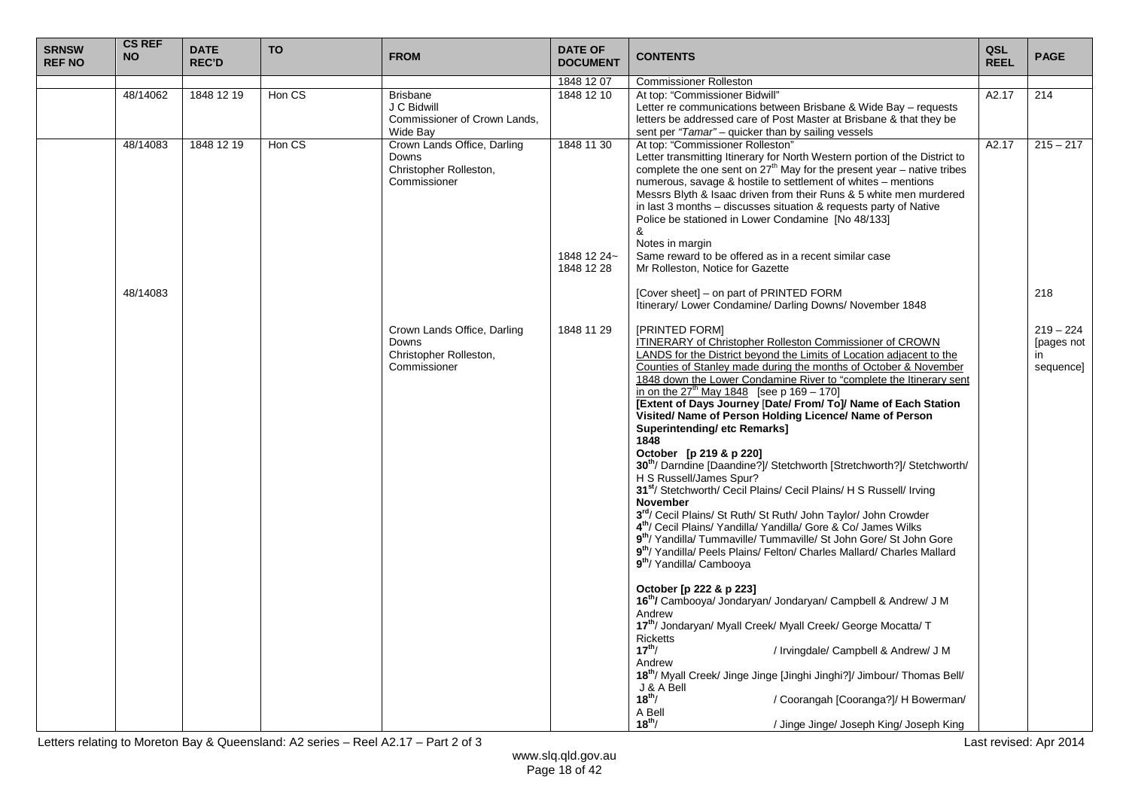| <b>SRNSW</b><br><b>REF NO</b> | <b>CS REF</b><br><b>NO</b> | <b>DATE</b><br><b>REC'D</b> | <b>TO</b> | <b>FROM</b>                                                                    | <b>DATE OF</b><br><b>DOCUMENT</b>       | <b>CONTENTS</b>                                                                                                                                                                                                                                                                                                                                                                                                                                                                                                                                                                                                                                                                                                                                                                                                                                                                                                                                                                                                                                                                                                                                                   | QSL<br><b>REEL</b> | <b>PAGE</b>                                  |
|-------------------------------|----------------------------|-----------------------------|-----------|--------------------------------------------------------------------------------|-----------------------------------------|-------------------------------------------------------------------------------------------------------------------------------------------------------------------------------------------------------------------------------------------------------------------------------------------------------------------------------------------------------------------------------------------------------------------------------------------------------------------------------------------------------------------------------------------------------------------------------------------------------------------------------------------------------------------------------------------------------------------------------------------------------------------------------------------------------------------------------------------------------------------------------------------------------------------------------------------------------------------------------------------------------------------------------------------------------------------------------------------------------------------------------------------------------------------|--------------------|----------------------------------------------|
|                               |                            |                             |           |                                                                                | 1848 12 07                              | <b>Commissioner Rolleston</b>                                                                                                                                                                                                                                                                                                                                                                                                                                                                                                                                                                                                                                                                                                                                                                                                                                                                                                                                                                                                                                                                                                                                     |                    |                                              |
|                               | 48/14062                   | 1848 12 19                  | Hon CS    | <b>Brisbane</b><br>J C Bidwill<br>Commissioner of Crown Lands.<br>Wide Bav     | 1848 12 10                              | At top: "Commissioner Bidwill"<br>Letter re communications between Brisbane & Wide Bay - requests<br>letters be addressed care of Post Master at Brisbane & that they be<br>sent per "Tamar" - quicker than by sailing vessels                                                                                                                                                                                                                                                                                                                                                                                                                                                                                                                                                                                                                                                                                                                                                                                                                                                                                                                                    | A2.17              | 214                                          |
|                               | 48/14083                   | 1848 12 19                  | Hon CS    | Crown Lands Office, Darling<br>Downs<br>Christopher Rolleston,<br>Commissioner | 1848 11 30<br>1848 12 24~<br>1848 12 28 | At top: "Commissioner Rolleston"<br>Letter transmitting Itinerary for North Western portion of the District to<br>complete the one sent on $27th$ May for the present year – native tribes<br>numerous, savage & hostile to settlement of whites - mentions<br>Messrs Blyth & Isaac driven from their Runs & 5 white men murdered<br>in last 3 months – discusses situation & requests party of Native<br>Police be stationed in Lower Condamine [No 48/133]<br>&<br>Notes in margin<br>Same reward to be offered as in a recent similar case<br>Mr Rolleston, Notice for Gazette                                                                                                                                                                                                                                                                                                                                                                                                                                                                                                                                                                                 | A2.17              | $215 - 217$                                  |
|                               | 48/14083                   |                             |           |                                                                                |                                         | [Cover sheet] – on part of PRINTED FORM<br>Itinerary/ Lower Condamine/ Darling Downs/ November 1848                                                                                                                                                                                                                                                                                                                                                                                                                                                                                                                                                                                                                                                                                                                                                                                                                                                                                                                                                                                                                                                               |                    | 218                                          |
|                               |                            |                             |           | Crown Lands Office, Darling<br>Downs<br>Christopher Rolleston,<br>Commissioner | 1848 11 29                              | <b>IPRINTED FORMI</b><br>ITINERARY of Christopher Rolleston Commissioner of CROWN<br>LANDS for the District beyond the Limits of Location adjacent to the<br>Counties of Stanley made during the months of October & November<br>1848 down the Lower Condamine River to "complete the Itinerary sent<br>in on the 27 <sup>th</sup> May 1848 [see p 169 – 170]<br>[Extent of Days Journey [Date/ From/ To]/ Name of Each Station<br>Visited/ Name of Person Holding Licence/ Name of Person<br>Superintending/ etc Remarks]<br>1848<br>October [p 219 & p 220]<br>30 <sup>th</sup> / Darndine [Daandine?]/ Stetchworth [Stretchworth?]/ Stetchworth/<br>H S Russell/James Spur?<br>31 <sup>st</sup> / Stetchworth/ Cecil Plains/ Cecil Plains/ H S Russell/ Irving<br><b>November</b><br>3 <sup>rd</sup> / Cecil Plains/ St Ruth/ St Ruth/ John Taylor/ John Crowder<br>4 <sup>th</sup> / Cecil Plains/ Yandilla/ Yandilla/ Gore & Co/ James Wilks<br>9 <sup>th</sup> / Yandilla/ Tummaville/ Tummaville/ St John Gore/ St John Gore<br>9 <sup>th</sup> / Yandilla/ Peels Plains/ Felton/ Charles Mallard/ Charles Mallard<br>9 <sup>th</sup> / Yandilla/ Cambooya |                    | $219 - 224$<br>[pages not<br>in<br>sequence] |
|                               |                            |                             |           |                                                                                |                                         | October [p 222 & p 223]<br>16th/ Cambooya/ Jondaryan/ Jondaryan/ Campbell & Andrew/ J M<br>Andrew<br>17th/ Jondaryan/ Myall Creek/ Myall Creek/ George Mocatta/ T<br><b>Ricketts</b><br>$17^{th}$ /<br>/ Irvingdale/ Campbell & Andrew/ J M<br>Andrew<br>18 <sup>th</sup> / Myall Creek/ Jinge Jinge [Jinghi Jinghi?]/ Jimbour/ Thomas Bell/<br>J & A Bell<br>$18^{th}$ /<br>/ Coorangah [Cooranga?]/ H Bowerman/<br>A Bell<br>$18^{th}$ /<br>/ Jinge Jinge/ Joseph King/ Joseph King                                                                                                                                                                                                                                                                                                                                                                                                                                                                                                                                                                                                                                                                             |                    |                                              |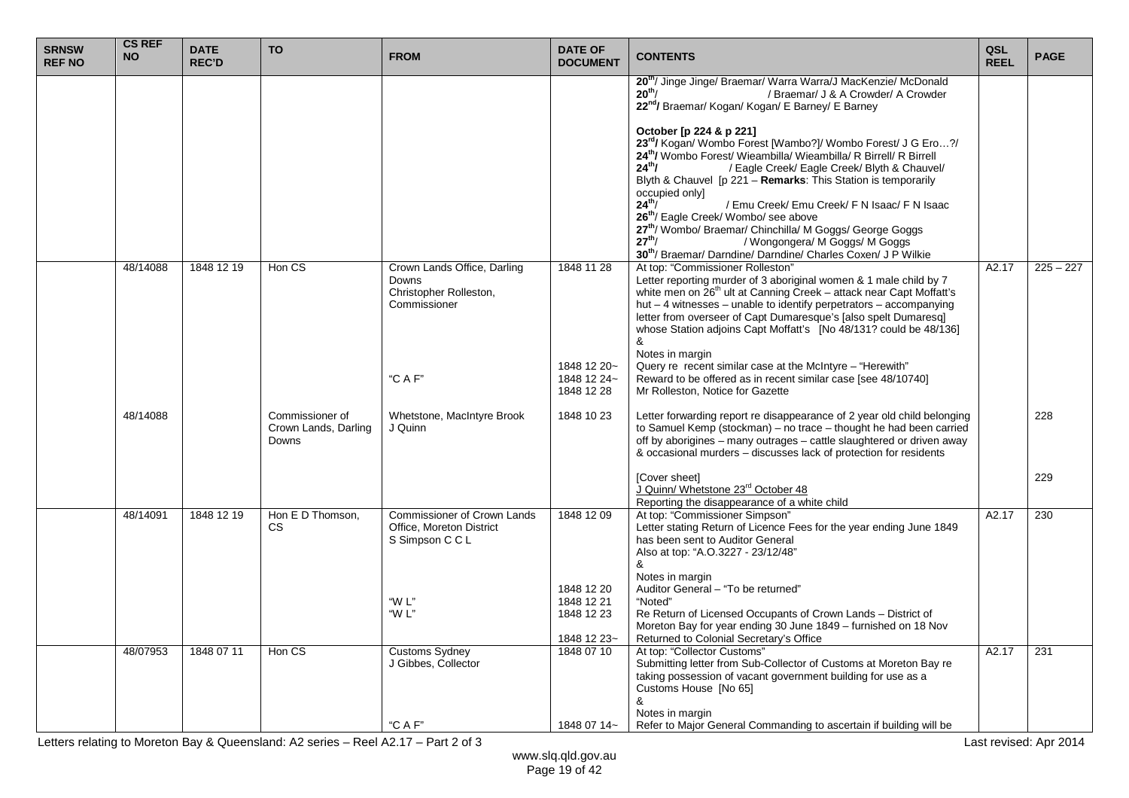| <b>SRNSW</b><br><b>REF NO</b> | <b>CS REF</b><br><b>NO</b> | <b>DATE</b><br><b>REC'D</b> | <b>TO</b>                                        | <b>FROM</b>                                                                       | <b>DATE OF</b><br><b>DOCUMENT</b>                     | <b>CONTENTS</b>                                                                                                                                                                                                                                                                                                                                                                                                                                                                                                                                                                                                                       | QSL<br><b>REEL</b> | <b>PAGE</b> |
|-------------------------------|----------------------------|-----------------------------|--------------------------------------------------|-----------------------------------------------------------------------------------|-------------------------------------------------------|---------------------------------------------------------------------------------------------------------------------------------------------------------------------------------------------------------------------------------------------------------------------------------------------------------------------------------------------------------------------------------------------------------------------------------------------------------------------------------------------------------------------------------------------------------------------------------------------------------------------------------------|--------------------|-------------|
|                               |                            |                             |                                                  |                                                                                   |                                                       | 20 <sup>th</sup> / Jinge Jinge/ Braemar/ Warra Warra/J MacKenzie/ McDonald<br>$20^{th}$ /<br>/ Braemar/ J & A Crowder/ A Crowder<br>22nd/ Braemar/ Kogan/ Kogan/ E Barney/ E Barney                                                                                                                                                                                                                                                                                                                                                                                                                                                   |                    |             |
|                               |                            |                             |                                                  |                                                                                   |                                                       | October [p 224 & p 221]<br>23rd/ Kogan/ Wombo Forest [Wambo?]/ Wombo Forest/ J G Ero?/<br>24th/ Wombo Forest/ Wieambilla/ Wieambilla/ R Birrell/ R Birrell<br>$24^{th}$ /<br>/ Eagle Creek/ Eagle Creek/ Blyth & Chauvel/<br>Blyth & Chauvel [p 221 - Remarks: This Station is temporarily<br>occupied only]<br>$24^{th}$ /<br>/ Emu Creek/ Emu Creek/ F N Isaac/ F N Isaac<br>26 <sup>th</sup> / Eagle Creek/ Wombo/ see above<br>27 <sup>th</sup> / Wombo/ Braemar/ Chinchilla/ M Goggs/ George Goggs<br>$27^{th}$ /<br>/ Wongongera/ M Goggs/ M Goggs<br>30 <sup>th</sup> / Braemar/ Darndine/ Darndine/ Charles Coxen/ J P Wilkie |                    |             |
|                               | 48/14088                   | 1848 12 19                  | Hon CS                                           | Crown Lands Office, Darling<br>Downs<br>Christopher Rolleston,<br>Commissioner    | 1848 11 28                                            | At top: "Commissioner Rolleston"<br>Letter reporting murder of 3 aboriginal women & 1 male child by 7<br>white men on $26th$ ult at Canning Creek – attack near Capt Moffatt's<br>hut - 4 witnesses - unable to identify perpetrators - accompanying<br>letter from overseer of Capt Dumaresque's [also spelt Dumaresq]<br>whose Station adjoins Capt Moffatt's [No 48/131? could be 48/136]<br>&                                                                                                                                                                                                                                     | A2.17              | $225 - 227$ |
|                               |                            |                             |                                                  | "C A F"                                                                           | 1848 12 20~<br>1848 12 24~<br>1848 12 28              | Notes in margin<br>Query re recent similar case at the McIntyre - "Herewith"<br>Reward to be offered as in recent similar case [see 48/10740]<br>Mr Rolleston, Notice for Gazette                                                                                                                                                                                                                                                                                                                                                                                                                                                     |                    |             |
|                               | 48/14088                   |                             | Commissioner of<br>Crown Lands, Darling<br>Downs | Whetstone, MacIntyre Brook<br>J Quinn                                             | 1848 10 23                                            | Letter forwarding report re disappearance of 2 year old child belonging<br>to Samuel Kemp (stockman) - no trace - thought he had been carried<br>off by aborigines – many outrages – cattle slaughtered or driven away<br>& occasional murders - discusses lack of protection for residents                                                                                                                                                                                                                                                                                                                                           |                    | 228         |
|                               |                            |                             |                                                  |                                                                                   |                                                       | [Cover sheet]<br>J Quinn/ Whetstone 23 <sup>rd</sup> October 48<br>Reporting the disappearance of a white child                                                                                                                                                                                                                                                                                                                                                                                                                                                                                                                       |                    | 229         |
|                               | 48/14091                   | 1848 12 19                  | Hon E D Thomson,<br>CS.                          | <b>Commissioner of Crown Lands</b><br>Office, Moreton District<br>S Simpson C C L | 1848 12 09                                            | At top: "Commissioner Simpson"<br>Letter stating Return of Licence Fees for the year ending June 1849<br>has been sent to Auditor General<br>Also at top: "A.O.3227 - 23/12/48"<br>&<br>Notes in margin                                                                                                                                                                                                                                                                                                                                                                                                                               | A2.17              | 230         |
|                               |                            |                             |                                                  | "W L"<br>"W L"                                                                    | 1848 12 20<br>1848 12 21<br>1848 12 23<br>1848 12 23~ | Auditor General - "To be returned"<br>"Noted"<br>Re Return of Licensed Occupants of Crown Lands - District of<br>Moreton Bay for year ending 30 June 1849 – furnished on 18 Nov<br>Returned to Colonial Secretary's Office                                                                                                                                                                                                                                                                                                                                                                                                            |                    |             |
|                               | 48/07953                   | 1848 07 11                  | Hon CS                                           | <b>Customs Sydney</b><br>J Gibbes, Collector                                      | 1848 07 10                                            | At top: "Collector Customs"<br>Submitting letter from Sub-Collector of Customs at Moreton Bay re<br>taking possession of vacant government building for use as a<br>Customs House [No 65]<br>&                                                                                                                                                                                                                                                                                                                                                                                                                                        | A2.17              | 231         |
|                               |                            |                             |                                                  | "C A F"                                                                           | 1848 07 14~                                           | Notes in margin<br>Refer to Major General Commanding to ascertain if building will be                                                                                                                                                                                                                                                                                                                                                                                                                                                                                                                                                 |                    |             |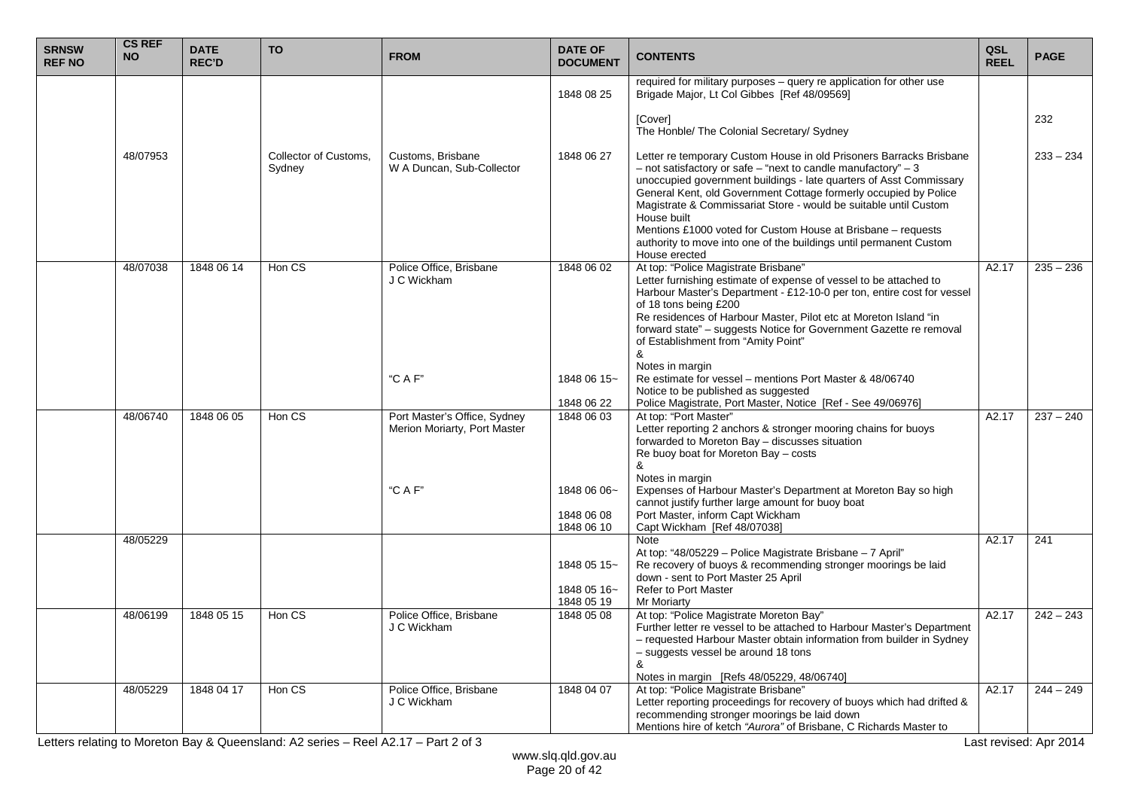| <b>SRNSW</b><br><b>REF NO</b> | <b>CS REF</b><br><b>NO</b> | <b>DATE</b><br><b>REC'D</b> | <b>TO</b>                       | <b>FROM</b>                                                  | <b>DATE OF</b><br><b>DOCUMENT</b>        | <b>CONTENTS</b>                                                                                                                                                                                                                                                                                                                                                                                                                                                                                                               | QSL<br><b>REEL</b> | <b>PAGE</b> |
|-------------------------------|----------------------------|-----------------------------|---------------------------------|--------------------------------------------------------------|------------------------------------------|-------------------------------------------------------------------------------------------------------------------------------------------------------------------------------------------------------------------------------------------------------------------------------------------------------------------------------------------------------------------------------------------------------------------------------------------------------------------------------------------------------------------------------|--------------------|-------------|
|                               |                            |                             |                                 |                                                              | 1848 08 25                               | required for military purposes - query re application for other use<br>Brigade Major, Lt Col Gibbes [Ref 48/09569]                                                                                                                                                                                                                                                                                                                                                                                                            |                    |             |
|                               |                            |                             |                                 |                                                              |                                          | [Cover]<br>The Honble/ The Colonial Secretary/ Sydney                                                                                                                                                                                                                                                                                                                                                                                                                                                                         |                    | 232         |
|                               | 48/07953                   |                             | Collector of Customs,<br>Sydney | Customs, Brisbane<br>W A Duncan, Sub-Collector               | 1848 06 27                               | Letter re temporary Custom House in old Prisoners Barracks Brisbane<br>$-$ not satisfactory or safe $-$ "next to candle manufactory" $-3$<br>unoccupied government buildings - late quarters of Asst Commissary<br>General Kent, old Government Cottage formerly occupied by Police<br>Magistrate & Commissariat Store - would be suitable until Custom<br>House built<br>Mentions £1000 voted for Custom House at Brisbane – requests<br>authority to move into one of the buildings until permanent Custom<br>House erected |                    | $233 - 234$ |
|                               | 48/07038                   | 1848 06 14                  | Hon CS                          | Police Office, Brisbane<br>J C Wickham                       | 1848 06 02                               | At top: "Police Magistrate Brisbane"<br>Letter furnishing estimate of expense of vessel to be attached to<br>Harbour Master's Department - £12-10-0 per ton, entire cost for vessel<br>of 18 tons being £200<br>Re residences of Harbour Master, Pilot etc at Moreton Island "in<br>forward state" - suggests Notice for Government Gazette re removal<br>of Establishment from "Amity Point"<br>&<br>Notes in margin                                                                                                         | A2.17              | $235 - 236$ |
|                               |                            |                             |                                 | "C A F"                                                      | 1848 06 15~<br>1848 06 22                | Re estimate for vessel - mentions Port Master & 48/06740<br>Notice to be published as suggested<br>Police Magistrate, Port Master, Notice [Ref - See 49/06976]                                                                                                                                                                                                                                                                                                                                                                |                    |             |
|                               | 48/06740                   | 1848 06 05                  | Hon CS                          | Port Master's Office, Sydney<br>Merion Moriarty, Port Master | 1848 06 03                               | At top: "Port Master"<br>Letter reporting 2 anchors & stronger mooring chains for buoys<br>forwarded to Moreton Bay - discusses situation<br>Re buoy boat for Moreton Bay - costs<br>&<br>Notes in margin                                                                                                                                                                                                                                                                                                                     | A2.17              | $237 - 240$ |
|                               |                            |                             |                                 | "C A F"                                                      | 1848 06 06~<br>1848 06 08<br>1848 06 10  | Expenses of Harbour Master's Department at Moreton Bay so high<br>cannot justify further large amount for buoy boat<br>Port Master, inform Capt Wickham<br>Capt Wickham [Ref 48/07038]                                                                                                                                                                                                                                                                                                                                        |                    |             |
|                               | 48/05229                   |                             |                                 |                                                              | 1848 05 15~<br>1848 05 16~<br>1848 05 19 | Note<br>At top: "48/05229 - Police Magistrate Brisbane - 7 April"<br>Re recovery of buoys & recommending stronger moorings be laid<br>down - sent to Port Master 25 April<br><b>Refer to Port Master</b><br><b>Mr Moriarty</b>                                                                                                                                                                                                                                                                                                | A2.17              | 241         |
|                               | 48/06199                   | 1848 05 15                  | Hon CS                          | Police Office, Brisbane<br>J C Wickham                       | 1848 05 08                               | At top: "Police Magistrate Moreton Bay"<br>Further letter re vessel to be attached to Harbour Master's Department<br>- requested Harbour Master obtain information from builder in Sydney<br>- suggests vessel be around 18 tons<br>&<br>Notes in margin [Refs 48/05229, 48/06740]                                                                                                                                                                                                                                            | A2.17              | $242 - 243$ |
|                               | 48/05229                   | 1848 04 17                  | Hon CS                          | Police Office, Brisbane<br>J C Wickham                       | 1848 04 07                               | At top: "Police Magistrate Brisbane"<br>Letter reporting proceedings for recovery of buoys which had drifted &<br>recommending stronger moorings be laid down<br>Mentions hire of ketch "Aurora" of Brisbane, C Richards Master to                                                                                                                                                                                                                                                                                            | A2.17              | $244 - 249$ |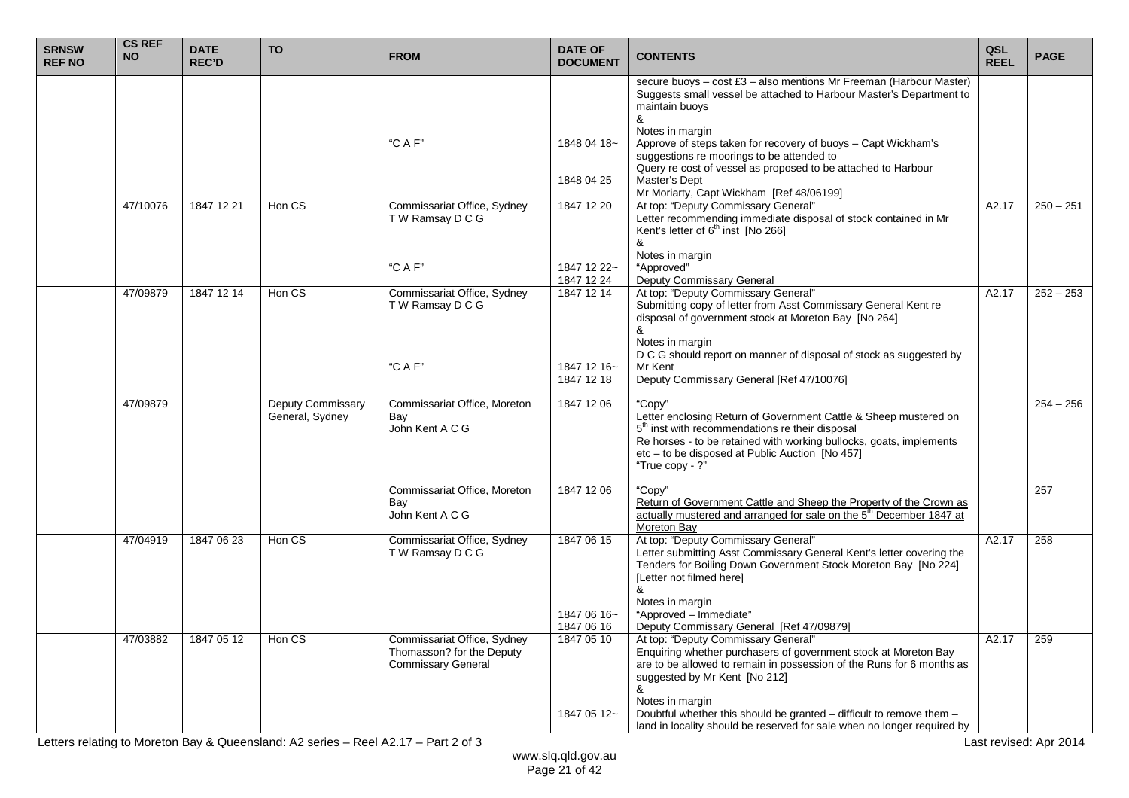| <b>SRNSW</b><br><b>REF NO</b> | <b>CS REF</b><br><b>NO</b> | <b>DATE</b><br><b>REC'D</b> | <b>TO</b>                            | <b>FROM</b>                                                                           | <b>DATE OF</b><br><b>DOCUMENT</b> | <b>CONTENTS</b>                                                                                                                                                                                                                                                                        | QSL<br><b>REEL</b> | <b>PAGE</b> |
|-------------------------------|----------------------------|-----------------------------|--------------------------------------|---------------------------------------------------------------------------------------|-----------------------------------|----------------------------------------------------------------------------------------------------------------------------------------------------------------------------------------------------------------------------------------------------------------------------------------|--------------------|-------------|
|                               |                            |                             |                                      |                                                                                       |                                   | secure buoys - cost £3 - also mentions Mr Freeman (Harbour Master)<br>Suggests small vessel be attached to Harbour Master's Department to<br>maintain buoys<br>&<br>Notes in margin                                                                                                    |                    |             |
|                               |                            |                             |                                      | "C A F"                                                                               | 1848 04 18~                       | Approve of steps taken for recovery of buoys - Capt Wickham's<br>suggestions re moorings to be attended to<br>Query re cost of vessel as proposed to be attached to Harbour                                                                                                            |                    |             |
|                               |                            |                             |                                      |                                                                                       | 1848 04 25                        | Master's Dept<br>Mr Moriarty, Capt Wickham [Ref 48/06199]                                                                                                                                                                                                                              |                    |             |
|                               | 47/10076                   | 1847 12 21                  | Hon CS                               | Commissariat Office, Sydney<br>TW Ramsay DCG                                          | 1847 12 20                        | At top: "Deputy Commissary General"<br>Letter recommending immediate disposal of stock contained in Mr<br>Kent's letter of $6th$ inst [No 266]                                                                                                                                         | A2.17              | $250 - 251$ |
|                               |                            |                             |                                      | "C A F"                                                                               | 1847 12 22~<br>1847 12 24         | &<br>Notes in margin<br>"Approved"<br>Deputy Commissary General                                                                                                                                                                                                                        |                    |             |
|                               | 47/09879                   | 1847 12 14                  | Hon CS                               | Commissariat Office, Sydney<br>T W Ramsay D C G                                       | 1847 12 14                        | At top: "Deputy Commissary General"<br>Submitting copy of letter from Asst Commissary General Kent re<br>disposal of government stock at Moreton Bay [No 264]<br>&                                                                                                                     | A2.17              | $252 - 253$ |
|                               |                            |                             |                                      |                                                                                       |                                   | Notes in margin<br>D C G should report on manner of disposal of stock as suggested by                                                                                                                                                                                                  |                    |             |
|                               |                            |                             |                                      | "C A F"                                                                               | 1847 12 16~<br>1847 12 18         | Mr Kent<br>Deputy Commissary General [Ref 47/10076]                                                                                                                                                                                                                                    |                    |             |
|                               | 47/09879                   |                             | Deputy Commissary<br>General, Sydney | Commissariat Office, Moreton<br>Bay<br>John Kent A C G                                | 1847 12 06                        | "Copy"<br>Letter enclosing Return of Government Cattle & Sheep mustered on<br>5 <sup>th</sup> inst with recommendations re their disposal<br>Re horses - to be retained with working bullocks, goats, implements<br>etc - to be disposed at Public Auction [No 457]<br>"True copy - ?" |                    | $254 - 256$ |
|                               |                            |                             |                                      | Commissariat Office, Moreton<br>Bay<br>John Kent A C G                                | 1847 12 06                        | "Copy"<br>Return of Government Cattle and Sheep the Property of the Crown as<br>actually mustered and arranged for sale on the 5 <sup>th</sup> December 1847 at<br>Moreton Bav                                                                                                         |                    | 257         |
|                               | 47/04919                   | 1847 06 23                  | Hon CS                               | Commissariat Office, Sydney<br>TW Ramsay DCG                                          | 1847 06 15                        | At top: "Deputy Commissary General"<br>Letter submitting Asst Commissary General Kent's letter covering the<br>Tenders for Boiling Down Government Stock Moreton Bay [No 224]<br>[Letter not filmed here]<br>&<br>Notes in margin                                                      | A2.17              | 258         |
|                               |                            |                             |                                      |                                                                                       | 1847 06 16~<br>1847 06 16         | "Approved - Immediate"<br>Deputy Commissary General [Ref 47/09879]                                                                                                                                                                                                                     |                    |             |
|                               | 47/03882                   | 1847 05 12                  | Hon CS                               | Commissariat Office, Sydney<br>Thomasson? for the Deputy<br><b>Commissary General</b> | 1847 05 10                        | At top: "Deputy Commissary General"<br>Enquiring whether purchasers of government stock at Moreton Bay<br>are to be allowed to remain in possession of the Runs for 6 months as<br>suggested by Mr Kent [No 212]<br>&                                                                  | A2.17              | 259         |
|                               |                            |                             |                                      |                                                                                       | 1847 05 12~                       | Notes in margin<br>Doubtful whether this should be granted - difficult to remove them -<br>land in locality should be reserved for sale when no longer required by                                                                                                                     |                    |             |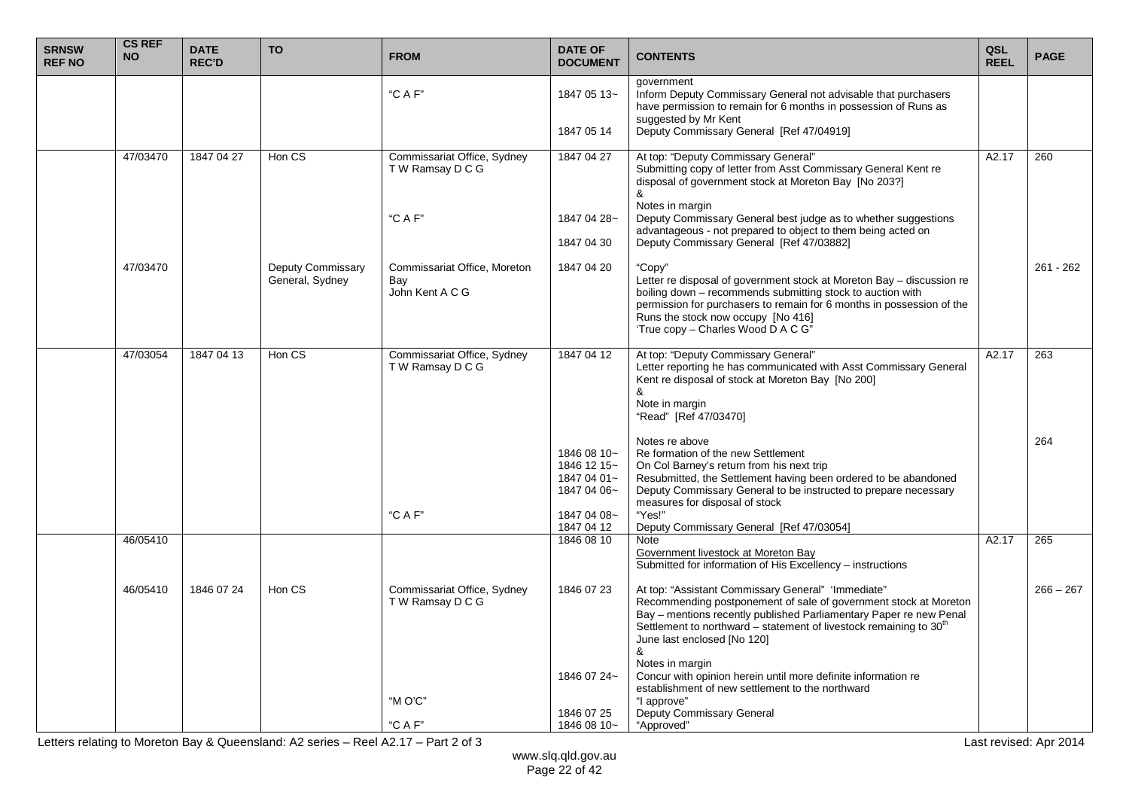| <b>SRNSW</b><br><b>REF NO</b> | <b>CS REF</b><br><b>NO</b> | <b>DATE</b><br><b>REC'D</b> | <b>TO</b>                                   | <b>FROM</b>                                            | <b>DATE OF</b><br><b>DOCUMENT</b>                                       | <b>CONTENTS</b>                                                                                                                                                                                                                                                                                                    | QSL<br><b>REEL</b> | <b>PAGE</b> |
|-------------------------------|----------------------------|-----------------------------|---------------------------------------------|--------------------------------------------------------|-------------------------------------------------------------------------|--------------------------------------------------------------------------------------------------------------------------------------------------------------------------------------------------------------------------------------------------------------------------------------------------------------------|--------------------|-------------|
|                               |                            |                             |                                             | "CAF"                                                  | 1847 05 13~                                                             | government<br>Inform Deputy Commissary General not advisable that purchasers<br>have permission to remain for 6 months in possession of Runs as<br>suggested by Mr Kent                                                                                                                                            |                    |             |
|                               |                            |                             |                                             |                                                        | 1847 05 14                                                              | Deputy Commissary General [Ref 47/04919]                                                                                                                                                                                                                                                                           |                    |             |
|                               | 47/03470                   | 1847 04 27                  | Hon CS                                      | Commissariat Office, Sydney<br>TW Ramsay DCG           | 1847 04 27                                                              | At top: "Deputy Commissary General"<br>Submitting copy of letter from Asst Commissary General Kent re<br>disposal of government stock at Moreton Bay [No 203?]<br>&                                                                                                                                                | A2.17              | 260         |
|                               |                            |                             |                                             | "C A F"                                                | 1847 04 28~                                                             | Notes in margin<br>Deputy Commissary General best judge as to whether suggestions                                                                                                                                                                                                                                  |                    |             |
|                               |                            |                             |                                             |                                                        | 1847 04 30                                                              | advantageous - not prepared to object to them being acted on<br>Deputy Commissary General [Ref 47/03882]                                                                                                                                                                                                           |                    |             |
|                               | 47/03470                   |                             | <b>Deputy Commissary</b><br>General, Sydney | Commissariat Office, Moreton<br>Bay<br>John Kent A C G | 1847 04 20                                                              | "Copy"<br>Letter re disposal of government stock at Moreton Bay - discussion re<br>boiling down - recommends submitting stock to auction with<br>permission for purchasers to remain for 6 months in possession of the<br>Runs the stock now occupy [No 416]<br>'True copy - Charles Wood D A C G"                 |                    | $261 - 262$ |
|                               | 47/03054                   | 1847 04 13                  | Hon CS                                      | Commissariat Office, Sydney<br>T W Ramsay D C G        | 1847 04 12                                                              | At top: "Deputy Commissary General"<br>Letter reporting he has communicated with Asst Commissary General<br>Kent re disposal of stock at Moreton Bay [No 200]<br>&<br>Note in margin<br>"Read" [Ref 47/03470]                                                                                                      | A2.17              | 263         |
|                               |                            |                             |                                             | "C A F"                                                | 1846 08 10~<br>1846 12 15~<br>1847 04 01~<br>1847 04 06~<br>1847 04 08~ | Notes re above<br>Re formation of the new Settlement<br>On Col Barney's return from his next trip<br>Resubmitted, the Settlement having been ordered to be abandoned<br>Deputy Commissary General to be instructed to prepare necessary<br>measures for disposal of stock<br>"Yes!"                                |                    | 264         |
|                               | 46/05410                   |                             |                                             |                                                        | 1847 04 12<br>1846 08 10                                                | Deputy Commissary General [Ref 47/03054]<br>Note                                                                                                                                                                                                                                                                   | A2.17              | 265         |
|                               |                            |                             |                                             |                                                        |                                                                         | Government livestock at Moreton Bay<br>Submitted for information of His Excellency - instructions                                                                                                                                                                                                                  |                    |             |
|                               | 46/05410                   | 1846 07 24                  | Hon CS                                      | Commissariat Office, Sydney<br>T W Ramsay D C G        | 1846 07 23                                                              | At top: "Assistant Commissary General" 'Immediate"<br>Recommending postponement of sale of government stock at Moreton<br>Bay - mentions recently published Parliamentary Paper re new Penal<br>Settlement to northward - statement of livestock remaining to 30 <sup>th</sup><br>June last enclosed [No 120]<br>& |                    | $266 - 267$ |
|                               |                            |                             |                                             | " $M O'C''$                                            | 1846 07 24~                                                             | Notes in margin<br>Concur with opinion herein until more definite information re<br>establishment of new settlement to the northward<br>"I approve"                                                                                                                                                                |                    |             |
|                               |                            |                             |                                             | "C A F"                                                | 1846 07 25<br>1846 08 10~                                               | Deputy Commissary General<br>"Approved"                                                                                                                                                                                                                                                                            |                    |             |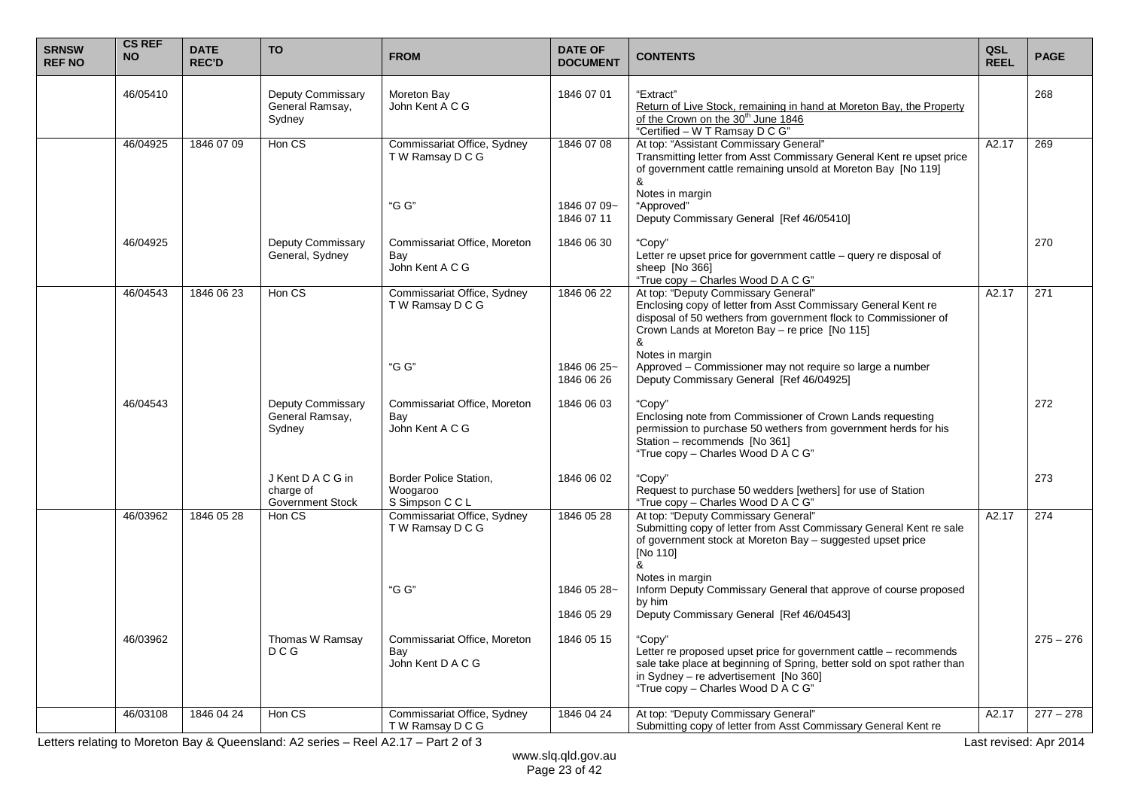| <b>SRNSW</b><br><b>REF NO</b> | <b>CS REF</b><br><b>NO</b> | <b>DATE</b><br><b>REC'D</b> | <b>TO</b>                                             | <b>FROM</b>                                              | <b>DATE OF</b><br><b>DOCUMENT</b> | <b>CONTENTS</b>                                                                                                                                                                                                                       | QSL<br><b>REEL</b> | <b>PAGE</b> |
|-------------------------------|----------------------------|-----------------------------|-------------------------------------------------------|----------------------------------------------------------|-----------------------------------|---------------------------------------------------------------------------------------------------------------------------------------------------------------------------------------------------------------------------------------|--------------------|-------------|
|                               | 46/05410                   |                             | <b>Deputy Commissary</b><br>General Ramsay,<br>Sydney | Moreton Bay<br>John Kent A C G                           | 1846 07 01                        | "Extract"<br>Return of Live Stock, remaining in hand at Moreton Bay, the Property<br>of the Crown on the 30 <sup>th</sup> June 1846<br>"Certified - W T Ramsay D C G"                                                                 |                    | 268         |
|                               | 46/04925                   | 1846 07 09                  | Hon CS                                                | Commissariat Office, Sydney<br>T W Ramsay D C G          | 1846 07 08                        | At top: "Assistant Commissary General"<br>Transmitting letter from Asst Commissary General Kent re upset price<br>of government cattle remaining unsold at Moreton Bay [No 119]<br>&                                                  | A2.17              | 269         |
|                               |                            |                             |                                                       | "G G"                                                    | 1846 07 09~<br>1846 07 11         | Notes in margin<br>"Approved"<br>Deputy Commissary General [Ref 46/05410]                                                                                                                                                             |                    |             |
|                               | 46/04925                   |                             | Deputy Commissary<br>General, Sydney                  | Commissariat Office, Moreton<br>Bay<br>John Kent A C G   | 1846 06 30                        | "Copy"<br>Letter re upset price for government cattle $-$ query re disposal of<br>sheep [No 366]<br>"True copy - Charles Wood D A C G"                                                                                                |                    | 270         |
|                               | 46/04543                   | 1846 06 23                  | Hon CS                                                | Commissariat Office, Sydney<br>T W Ramsay D C G          | 1846 06 22                        | At top: "Deputy Commissary General"<br>Enclosing copy of letter from Asst Commissary General Kent re<br>disposal of 50 wethers from government flock to Commissioner of<br>Crown Lands at Moreton Bay - re price [No 115]<br>&        | A2.17              | 271         |
|                               |                            |                             |                                                       | "G G"                                                    | 1846 06 25~<br>1846 06 26         | Notes in margin<br>Approved - Commissioner may not require so large a number<br>Deputy Commissary General [Ref 46/04925]                                                                                                              |                    |             |
|                               | 46/04543                   |                             | <b>Deputy Commissary</b><br>General Ramsay,<br>Sydney | Commissariat Office, Moreton<br>Bay<br>John Kent A C G   | 1846 06 03                        | "Copy"<br>Enclosing note from Commissioner of Crown Lands requesting<br>permission to purchase 50 wethers from government herds for his<br>Station - recommends [No 361]<br>"True copy - Charles Wood D A C G"                        |                    | 272         |
|                               |                            |                             | J Kent D A C G in<br>charge of<br>Government Stock    | Border Police Station,<br>Woogaroo<br>S Simpson C C L    | 1846 06 02                        | "Copy"<br>Request to purchase 50 wedders [wethers] for use of Station<br>"True copy - Charles Wood D A C G"                                                                                                                           |                    | 273         |
|                               | 46/03962                   | 1846 05 28                  | Hon CS                                                | Commissariat Office, Sydney<br>T W Ramsay D C G          | 1846 05 28                        | At top: "Deputy Commissary General"<br>Submitting copy of letter from Asst Commissary General Kent re sale<br>of government stock at Moreton Bay - suggested upset price<br>[No 110]<br>&<br>Notes in margin                          | A2.17              | 274         |
|                               |                            |                             |                                                       | "G G"                                                    | 1846 05 28~<br>1846 05 29         | Inform Deputy Commissary General that approve of course proposed<br>by him<br>Deputy Commissary General [Ref 46/04543]                                                                                                                |                    |             |
|                               | 46/03962                   |                             | Thomas W Ramsay<br>D C G                              | Commissariat Office, Moreton<br>Bay<br>John Kent D A C G | 1846 05 15                        | "Copy"<br>Letter re proposed upset price for government cattle – recommends<br>sale take place at beginning of Spring, better sold on spot rather than<br>in Sydney - re advertisement [No 360]<br>"True copy - Charles Wood D A C G" |                    | $275 - 276$ |
|                               | 46/03108                   | 1846 04 24                  | Hon CS                                                | Commissariat Office, Sydney<br>T W Ramsay D C G          | 1846 04 24                        | At top: "Deputy Commissary General"<br>Submitting copy of letter from Asst Commissary General Kent re                                                                                                                                 | A2.17              | $277 - 278$ |

Letters relating to Moreton Bay & Queensland: A2 series – Reel A2.17 – Part 2 of 3 Last revised: Apr 2014 Last revised: Apr 2014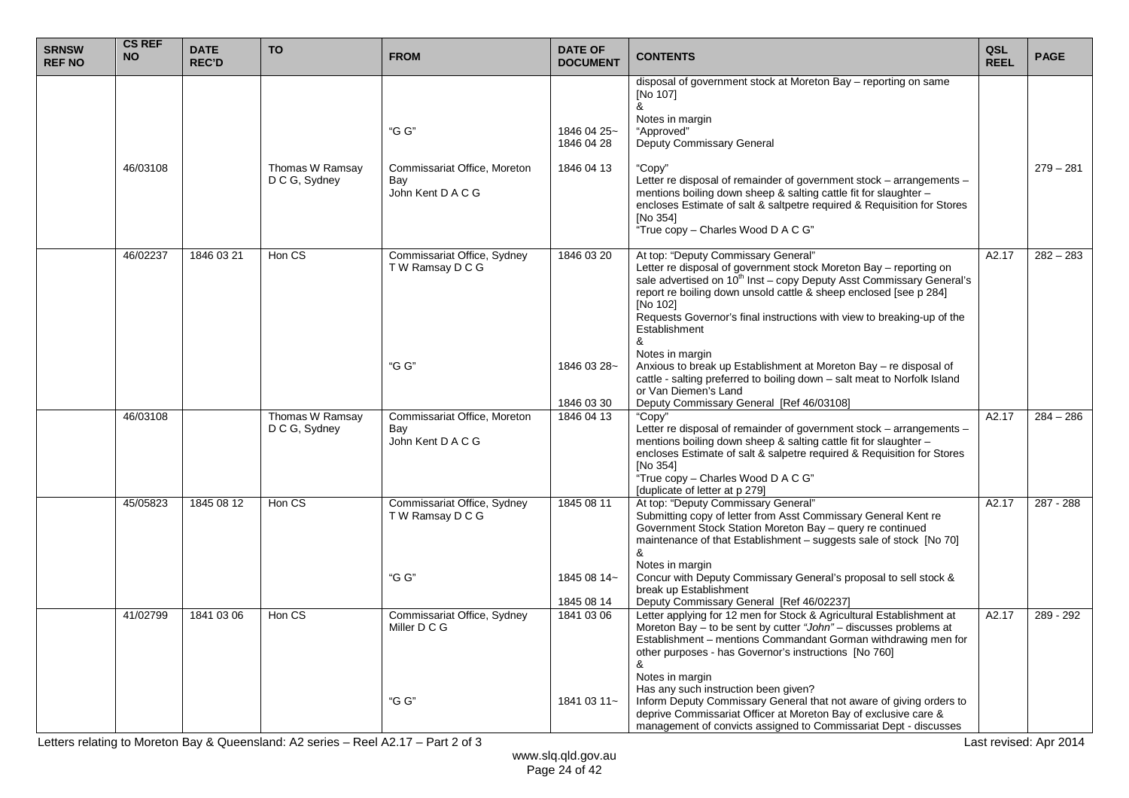| <b>SRNSW</b><br><b>REF NO</b> | <b>CS REF</b><br><b>NO</b> | <b>DATE</b><br><b>REC'D</b> | <b>TO</b>                        | <b>FROM</b>                                              | <b>DATE OF</b><br><b>DOCUMENT</b> | <b>CONTENTS</b>                                                                                                                                                                                                                                                                                                                                                               | QSL<br><b>REEL</b> | <b>PAGE</b> |
|-------------------------------|----------------------------|-----------------------------|----------------------------------|----------------------------------------------------------|-----------------------------------|-------------------------------------------------------------------------------------------------------------------------------------------------------------------------------------------------------------------------------------------------------------------------------------------------------------------------------------------------------------------------------|--------------------|-------------|
|                               |                            |                             |                                  | "G G"                                                    | 1846 04 25~<br>1846 04 28         | disposal of government stock at Moreton Bay - reporting on same<br>[No 107]<br>&<br>Notes in margin<br>"Approved"<br>Deputy Commissary General                                                                                                                                                                                                                                |                    |             |
|                               | 46/03108                   |                             | Thomas W Ramsay<br>D C G, Sydney | Commissariat Office, Moreton<br>Bay<br>John Kent D A C G | 1846 04 13                        | "Copy"<br>Letter re disposal of remainder of government stock – arrangements –<br>mentions boiling down sheep & salting cattle fit for slaughter -<br>encloses Estimate of salt & saltpetre required & Requisition for Stores<br>[No 354]<br>"True copy - Charles Wood D A C G"                                                                                               |                    | $279 - 281$ |
|                               | 46/02237                   | 1846 03 21                  | Hon CS                           | Commissariat Office, Sydney<br>T W Ramsay D C G          | 1846 03 20                        | At top: "Deputy Commissary General"<br>Letter re disposal of government stock Moreton Bay - reporting on<br>sale advertised on $10^{th}$ Inst – copy Deputy Asst Commissary General's<br>report re boiling down unsold cattle & sheep enclosed [see p 284]<br><b>INo 1021</b><br>Requests Governor's final instructions with view to breaking-up of the<br>Establishment<br>& | A2.17              | $282 - 283$ |
|                               |                            |                             |                                  | "G G"                                                    | 1846 03 28~<br>1846 03 30         | Notes in margin<br>Anxious to break up Establishment at Moreton Bay - re disposal of<br>cattle - salting preferred to boiling down - salt meat to Norfolk Island<br>or Van Diemen's Land<br>Deputy Commissary General [Ref 46/03108]                                                                                                                                          |                    |             |
|                               | 46/03108                   |                             | Thomas W Ramsay<br>D C G, Sydney | Commissariat Office, Moreton<br>Bay<br>John Kent D A C G | 1846 04 13                        | "Copy"<br>Letter re disposal of remainder of government stock – arrangements –<br>mentions boiling down sheep & salting cattle fit for slaughter -<br>encloses Estimate of salt & salpetre required & Requisition for Stores<br>[No 354]<br>"True copy - Charles Wood D A C G"<br>[duplicate of letter at p 279]                                                              | A2.17              | $284 - 286$ |
|                               | 45/05823                   | 1845 08 12                  | Hon CS                           | Commissariat Office, Sydney<br>T W Ramsay D C G          | 1845 08 11                        | At top: "Deputy Commissary General"<br>Submitting copy of letter from Asst Commissary General Kent re<br>Government Stock Station Moreton Bay - query re continued<br>maintenance of that Establishment – suggests sale of stock [No 70]<br>&<br>Notes in margin                                                                                                              | A2.17              | 287 - 288   |
|                               |                            |                             |                                  | "G G"                                                    | 1845 08 14~<br>1845 08 14         | Concur with Deputy Commissary General's proposal to sell stock &<br>break up Establishment<br>Deputy Commissary General [Ref 46/02237]                                                                                                                                                                                                                                        |                    |             |
|                               | 41/02799                   | 1841 03 06                  | Hon CS                           | Commissariat Office, Sydney<br>Miller D C G              | 1841 03 06                        | Letter applying for 12 men for Stock & Agricultural Establishment at<br>Moreton Bay - to be sent by cutter "John" - discusses problems at<br>Establishment – mentions Commandant Gorman withdrawing men for<br>other purposes - has Governor's instructions [No 760]<br>&                                                                                                     | A2.17              | 289 - 292   |
|                               |                            |                             |                                  | "G G"                                                    | 1841 03 11~                       | Notes in margin<br>Has any such instruction been given?<br>Inform Deputy Commissary General that not aware of giving orders to<br>deprive Commissariat Officer at Moreton Bay of exclusive care &<br>management of convicts assigned to Commissariat Dept - discusses                                                                                                         |                    |             |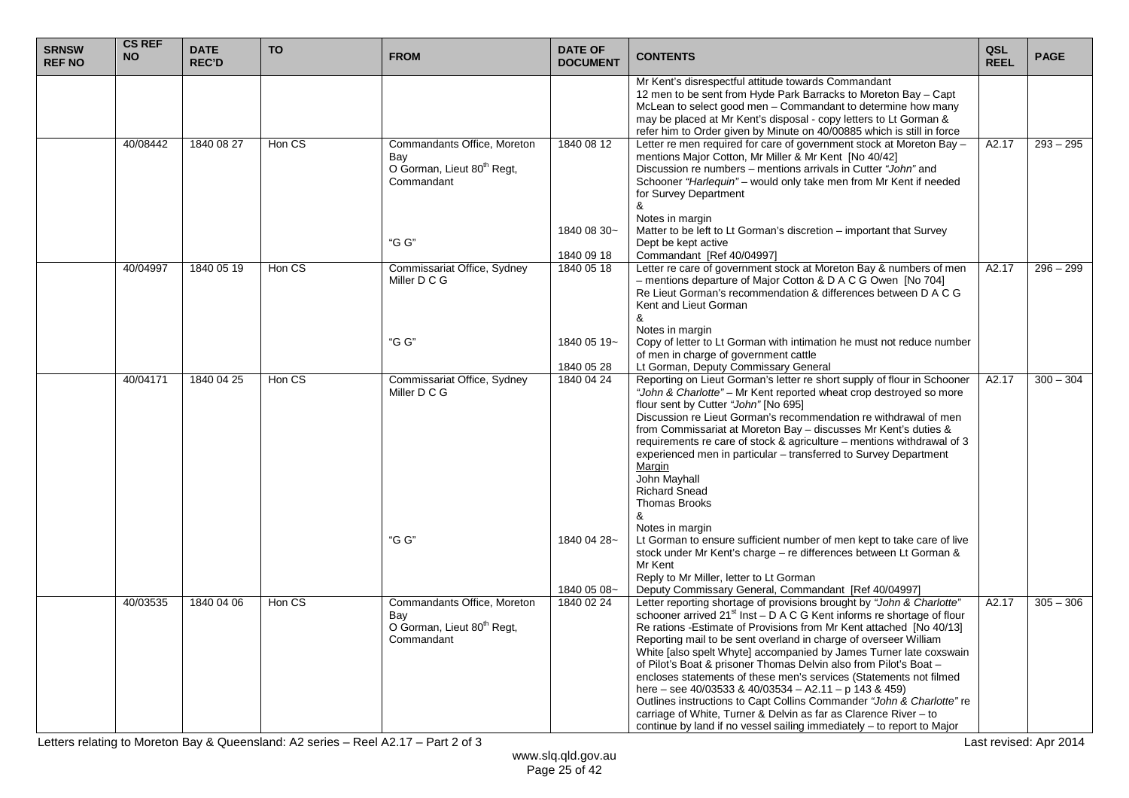| <b>SRNSW</b><br><b>REF NO</b> | <b>CS REF</b><br><b>NO</b> | <b>DATE</b><br><b>REC'D</b> | <b>TO</b> | <b>FROM</b>                                                                                | <b>DATE OF</b><br><b>DOCUMENT</b> | <b>CONTENTS</b>                                                                                                                                                                                                                                                                                                                                                                                                                                                                                                                                                                                                                                                                                                                                                                                                                                                  | <b>QSL</b><br><b>REEL</b> | <b>PAGE</b> |
|-------------------------------|----------------------------|-----------------------------|-----------|--------------------------------------------------------------------------------------------|-----------------------------------|------------------------------------------------------------------------------------------------------------------------------------------------------------------------------------------------------------------------------------------------------------------------------------------------------------------------------------------------------------------------------------------------------------------------------------------------------------------------------------------------------------------------------------------------------------------------------------------------------------------------------------------------------------------------------------------------------------------------------------------------------------------------------------------------------------------------------------------------------------------|---------------------------|-------------|
|                               |                            |                             |           |                                                                                            |                                   | Mr Kent's disrespectful attitude towards Commandant<br>12 men to be sent from Hyde Park Barracks to Moreton Bay - Capt<br>McLean to select good men - Commandant to determine how many<br>may be placed at Mr Kent's disposal - copy letters to Lt Gorman &<br>refer him to Order given by Minute on 40/00885 which is still in force                                                                                                                                                                                                                                                                                                                                                                                                                                                                                                                            |                           |             |
|                               | 40/08442                   | 1840 08 27                  | Hon CS    | Commandants Office, Moreton<br>Bay<br>O Gorman, Lieut 80 <sup>th</sup> Regt,<br>Commandant | 1840 08 12<br>1840 08 30~         | Letter re men required for care of government stock at Moreton Bay -<br>mentions Major Cotton, Mr Miller & Mr Kent [No 40/42]<br>Discussion re numbers – mentions arrivals in Cutter "John" and<br>Schooner "Harleguin" – would only take men from Mr Kent if needed<br>for Survey Department<br>&<br>Notes in margin<br>Matter to be left to Lt Gorman's discretion – important that Survey                                                                                                                                                                                                                                                                                                                                                                                                                                                                     | A2.17                     | $293 - 295$ |
|                               |                            |                             |           | "G G"                                                                                      | 1840 09 18                        | Dept be kept active<br>Commandant [Ref 40/04997]                                                                                                                                                                                                                                                                                                                                                                                                                                                                                                                                                                                                                                                                                                                                                                                                                 |                           |             |
|                               | 40/04997                   | 1840 05 19                  | Hon CS    | Commissariat Office, Sydney<br>Miller D C G                                                | 1840 05 18                        | Letter re care of government stock at Moreton Bay & numbers of men<br>- mentions departure of Major Cotton & D A C G Owen [No 704]<br>Re Lieut Gorman's recommendation & differences between D A C G<br>Kent and Lieut Gorman<br>&<br>Notes in margin                                                                                                                                                                                                                                                                                                                                                                                                                                                                                                                                                                                                            | A2.17                     | $296 - 299$ |
|                               |                            |                             |           | "G G"                                                                                      | 1840 05 19~<br>1840 05 28         | Copy of letter to Lt Gorman with intimation he must not reduce number<br>of men in charge of government cattle<br>Lt Gorman, Deputy Commissary General                                                                                                                                                                                                                                                                                                                                                                                                                                                                                                                                                                                                                                                                                                           |                           |             |
|                               | 40/04171                   | 1840 04 25                  | Hon CS    | Commissariat Office, Sydney<br>Miller D C G                                                | 1840 04 24                        | Reporting on Lieut Gorman's letter re short supply of flour in Schooner<br>"John & Charlotte" - Mr Kent reported wheat crop destroyed so more<br>flour sent by Cutter "John" [No 695]<br>Discussion re Lieut Gorman's recommendation re withdrawal of men<br>from Commissariat at Moreton Bay - discusses Mr Kent's duties &<br>requirements re care of stock & agriculture - mentions withdrawal of 3<br>experienced men in particular - transferred to Survey Department<br>Margin<br>John Mayhall<br><b>Richard Snead</b><br>Thomas Brooks<br>&                                                                                                                                                                                                                                                                                                               | A2.17                     | $300 - 304$ |
|                               |                            |                             |           | "G G"                                                                                      | 1840 04 28~                       | Notes in margin<br>Lt Gorman to ensure sufficient number of men kept to take care of live<br>stock under Mr Kent's charge - re differences between Lt Gorman &<br>Mr Kent<br>Reply to Mr Miller, letter to Lt Gorman                                                                                                                                                                                                                                                                                                                                                                                                                                                                                                                                                                                                                                             |                           |             |
|                               | 40/03535                   | 1840 04 06                  | Hon CS    | Commandants Office, Moreton<br>Bay<br>O Gorman, Lieut 80 <sup>th</sup> Regt,<br>Commandant | 1840 05 08~<br>1840 02 24         | Deputy Commissary General, Commandant [Ref 40/04997]<br>Letter reporting shortage of provisions brought by "John & Charlotte"<br>schooner arrived 21 <sup>st</sup> Inst - D A C G Kent informs re shortage of flour<br>Re rations - Estimate of Provisions from Mr Kent attached [No 40/13]<br>Reporting mail to be sent overland in charge of overseer William<br>White [also spelt Whyte] accompanied by James Turner late coxswain<br>of Pilot's Boat & prisoner Thomas Delvin also from Pilot's Boat -<br>encloses statements of these men's services (Statements not filmed<br>here - see 40/03533 & 40/03534 - A2.11 - p 143 & 459)<br>Outlines instructions to Capt Collins Commander "John & Charlotte" re<br>carriage of White, Turner & Delvin as far as Clarence River - to<br>continue by land if no vessel sailing immediately – to report to Major | A2.17                     | $305 - 306$ |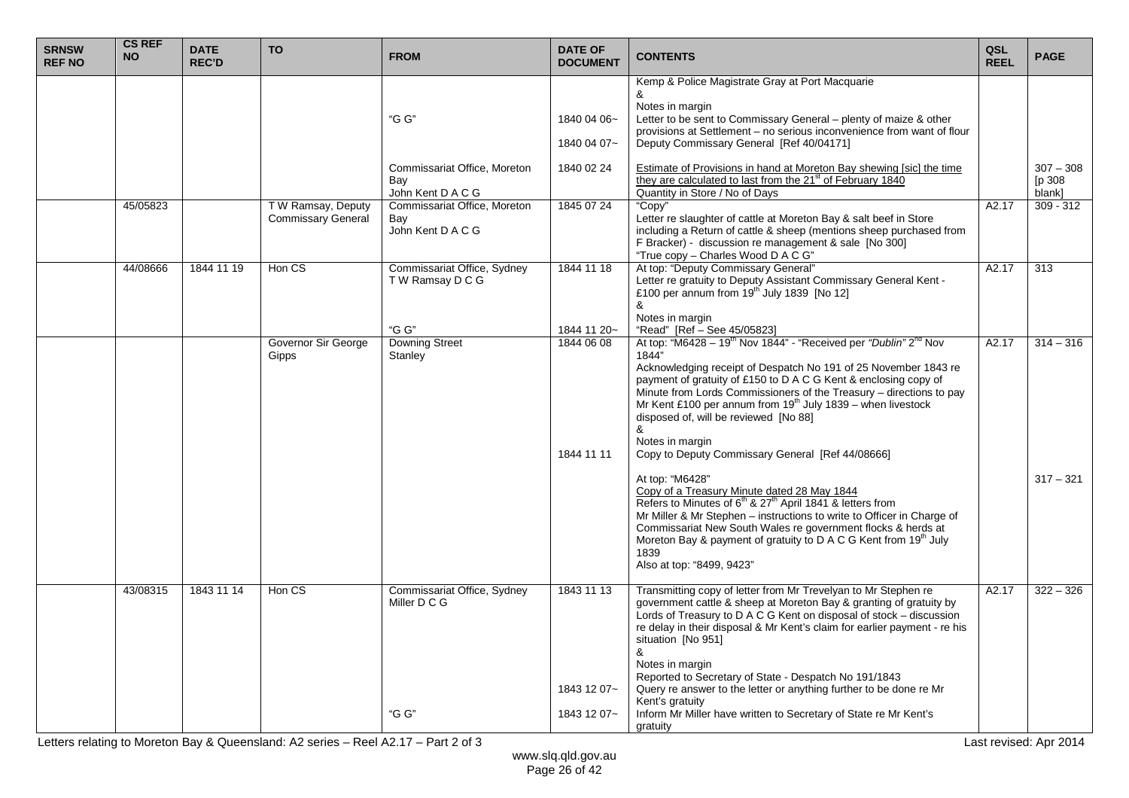| <b>SRNSW</b><br><b>REF NO</b> | <b>CS REF</b><br><b>NO</b> | <b>DATE</b><br><b>REC'D</b> | <b>TO</b>                                       | <b>FROM</b>                                              | <b>DATE OF</b><br><b>DOCUMENT</b> | <b>CONTENTS</b>                                                                                                                                                                                                                                                                                                                                                                                                                                                                                         | QSL<br><b>REEL</b> | <b>PAGE</b>                    |
|-------------------------------|----------------------------|-----------------------------|-------------------------------------------------|----------------------------------------------------------|-----------------------------------|---------------------------------------------------------------------------------------------------------------------------------------------------------------------------------------------------------------------------------------------------------------------------------------------------------------------------------------------------------------------------------------------------------------------------------------------------------------------------------------------------------|--------------------|--------------------------------|
|                               |                            |                             |                                                 | "G G"                                                    | 1840 04 06~<br>1840 04 07~        | Kemp & Police Magistrate Gray at Port Macquarie<br>&<br>Notes in margin<br>Letter to be sent to Commissary General - plenty of maize & other<br>provisions at Settlement - no serious inconvenience from want of flour<br>Deputy Commissary General [Ref 40/04171]                                                                                                                                                                                                                                      |                    |                                |
|                               |                            |                             |                                                 | Commissariat Office, Moreton<br>Bay<br>John Kent D A C G | 1840 02 24                        | Estimate of Provisions in hand at Moreton Bay shewing [sic] the time<br>they are calculated to last from the 21 <sup>st</sup> of February 1840<br>Quantity in Store / No of Days                                                                                                                                                                                                                                                                                                                        |                    | $307 - 308$<br>p 308<br>blank] |
|                               | 45/05823                   |                             | T W Ramsay, Deputy<br><b>Commissary General</b> | Commissariat Office, Moreton<br>Bay<br>John Kent D A C G | 1845 07 24                        | "Copy"<br>Letter re slaughter of cattle at Moreton Bay & salt beef in Store<br>including a Return of cattle & sheep (mentions sheep purchased from<br>F Bracker) - discussion re management & sale [No 300]<br>"True copy - Charles Wood D A C G"                                                                                                                                                                                                                                                       | $\overline{A2.17}$ | $309 - 312$                    |
|                               | 44/08666                   | 1844 11 19                  | Hon CS                                          | Commissariat Office, Sydney<br>TW Ramsay DCG<br>"G G"    | 1844 11 18<br>1844 11 20~         | At top: "Deputy Commissary General"<br>Letter re gratuity to Deputy Assistant Commissary General Kent -<br>£100 per annum from 19 <sup>th</sup> July 1839 [No 12]<br>&<br>Notes in margin<br>"Read" [Ref - See 45/05823]                                                                                                                                                                                                                                                                                | A2.17              | 313                            |
|                               |                            |                             | Governor Sir George<br>Gipps                    | <b>Downing Street</b><br>Stanley                         | 1844 06 08<br>1844 11 11          | At top: "M6428 – 19 <sup>th</sup> Nov 1844" - "Received per "Dublin" 2 <sup>nd</sup> Nov<br>1844"<br>Acknowledging receipt of Despatch No 191 of 25 November 1843 re<br>payment of gratuity of £150 to D A C G Kent & enclosing copy of<br>Minute from Lords Commissioners of the Treasury - directions to pay<br>Mr Kent £100 per annum from $19^{th}$ July 1839 – when livestock<br>disposed of, will be reviewed [No 88]<br>&<br>Notes in margin<br>Copy to Deputy Commissary General [Ref 44/08666] | A2.17              | $314 - 316$                    |
|                               |                            |                             |                                                 |                                                          |                                   | At top: "M6428"<br>Copy of a Treasury Minute dated 28 May 1844<br>Refers to Minutes of 6 <sup>th</sup> & 27 <sup>th</sup> April 1841 & letters from<br>Mr Miller & Mr Stephen - instructions to write to Officer in Charge of<br>Commissariat New South Wales re government flocks & herds at<br>Moreton Bay & payment of gratuity to D A C G Kent from 19th July<br>1839<br>Also at top: "8499, 9423"                                                                                                  |                    | $317 - 321$                    |
|                               | 43/08315                   | 1843 11 14                  | Hon CS                                          | Commissariat Office, Sydney<br>Miller D C G              | 1843 11 13<br>1843 12 07~         | Transmitting copy of letter from Mr Trevelyan to Mr Stephen re<br>government cattle & sheep at Moreton Bay & granting of gratuity by<br>Lords of Treasury to D A C G Kent on disposal of stock - discussion<br>re delay in their disposal & Mr Kent's claim for earlier payment - re his<br>situation [No 951]<br>&<br>Notes in margin<br>Reported to Secretary of State - Despatch No 191/1843<br>Query re answer to the letter or anything further to be done re Mr                                   | $\overline{A2.17}$ | $322 - 326$                    |
|                               |                            |                             |                                                 | "G G"                                                    | 1843 12 07~                       | Kent's gratuity<br>Inform Mr Miller have written to Secretary of State re Mr Kent's<br>gratuity                                                                                                                                                                                                                                                                                                                                                                                                         |                    |                                |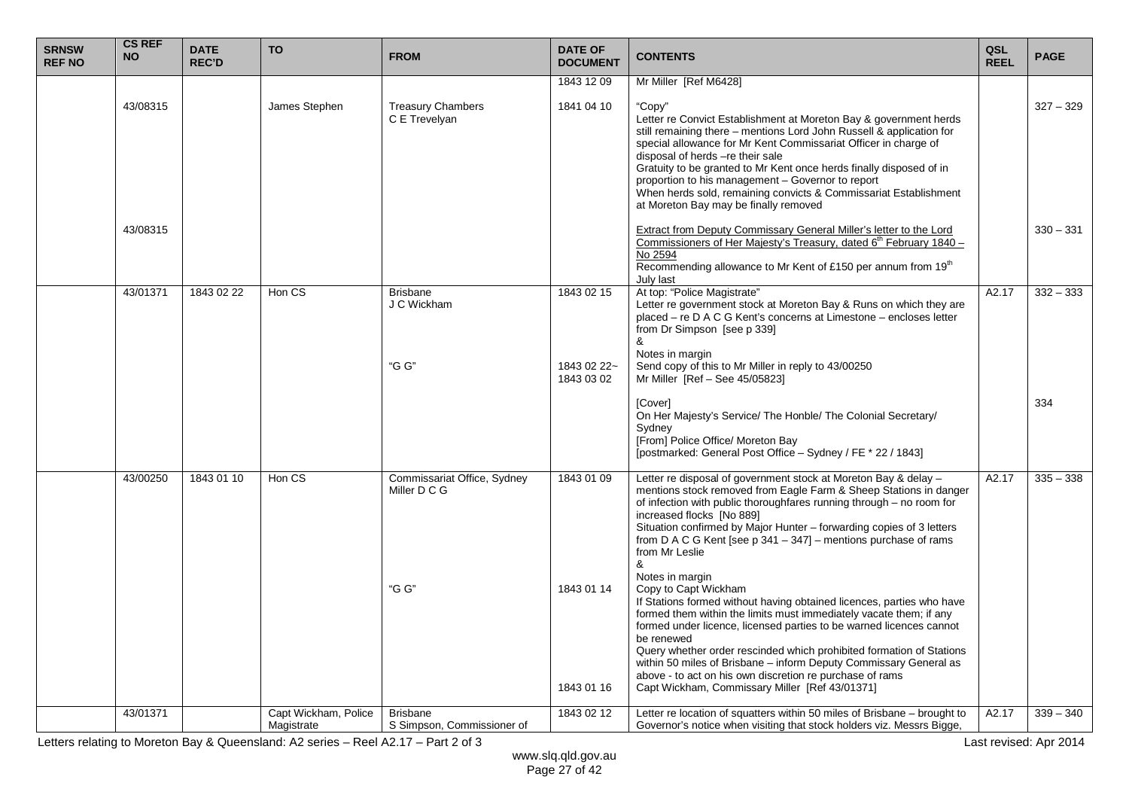| <b>SRNSW</b><br><b>REF NO</b> | <b>CS REF</b><br><b>NO</b> | <b>DATE</b><br><b>REC'D</b> | <b>TO</b>            | <b>FROM</b>                                          | <b>DATE OF</b><br><b>DOCUMENT</b>       | <b>CONTENTS</b>                                                                                                                                                                                                                                                                                                                                                                                                                                                                                                                                                         | QSL<br><b>REEL</b> | <b>PAGE</b> |
|-------------------------------|----------------------------|-----------------------------|----------------------|------------------------------------------------------|-----------------------------------------|-------------------------------------------------------------------------------------------------------------------------------------------------------------------------------------------------------------------------------------------------------------------------------------------------------------------------------------------------------------------------------------------------------------------------------------------------------------------------------------------------------------------------------------------------------------------------|--------------------|-------------|
|                               | 43/08315                   |                             | James Stephen        | <b>Treasury Chambers</b><br>C E Trevelyan            | 1843 12 09<br>1841 04 10                | Mr Miller [Ref M6428]<br>"Copy"<br>Letter re Convict Establishment at Moreton Bay & government herds<br>still remaining there - mentions Lord John Russell & application for<br>special allowance for Mr Kent Commissariat Officer in charge of<br>disposal of herds -re their sale<br>Gratuity to be granted to Mr Kent once herds finally disposed of in<br>proportion to his management - Governor to report<br>When herds sold, remaining convicts & Commissariat Establishment<br>at Moreton Bay may be finally removed                                            |                    | $327 - 329$ |
|                               | 43/08315                   |                             |                      |                                                      |                                         | Extract from Deputy Commissary General Miller's letter to the Lord<br>Commissioners of Her Majesty's Treasury, dated 6 <sup>th</sup> February 1840 -<br>No 2594<br>Recommending allowance to Mr Kent of £150 per annum from 19 <sup>th</sup><br>July last                                                                                                                                                                                                                                                                                                               |                    | $330 - 331$ |
|                               | 43/01371                   | 1843 02 22                  | Hon CS               | <b>Brisbane</b><br>J C Wickham<br>"G G"              | 1843 02 15<br>1843 02 22~<br>1843 03 02 | At top: "Police Magistrate"<br>Letter re government stock at Moreton Bay & Runs on which they are<br>placed - re D A C G Kent's concerns at Limestone - encloses letter<br>from Dr Simpson [see p 339]<br>&<br>Notes in margin<br>Send copy of this to Mr Miller in reply to 43/00250<br>Mr Miller [Ref - See 45/05823]                                                                                                                                                                                                                                                 | A2.17              | $332 - 333$ |
|                               |                            |                             |                      |                                                      |                                         | [Cover]<br>On Her Majesty's Service/ The Honble/ The Colonial Secretary/<br>Sydney<br>[From] Police Office/ Moreton Bay<br>[postmarked: General Post Office - Sydney / FE * 22 / 1843]                                                                                                                                                                                                                                                                                                                                                                                  |                    | 334         |
|                               | 43/00250                   | 1843 01 10                  | Hon CS               | Commissariat Office, Sydney<br>Miller D C G<br>"G G" | 1843 01 09<br>1843 01 14                | Letter re disposal of government stock at Moreton Bay & delay -<br>mentions stock removed from Eagle Farm & Sheep Stations in danger<br>of infection with public thoroughfares running through - no room for<br>increased flocks [No 889]<br>Situation confirmed by Major Hunter - forwarding copies of 3 letters<br>from D A C G Kent [see $p$ 341 – 347] – mentions purchase of rams<br>from Mr Leslie<br>&<br>Notes in margin<br>Copy to Capt Wickham                                                                                                                | A2.17              | $335 - 338$ |
|                               | 43/01371                   |                             | Capt Wickham, Police | <b>Brisbane</b>                                      | 1843 01 16<br>1843 02 12                | If Stations formed without having obtained licences, parties who have<br>formed them within the limits must immediately vacate them; if any<br>formed under licence, licensed parties to be warned licences cannot<br>be renewed<br>Query whether order rescinded which prohibited formation of Stations<br>within 50 miles of Brisbane - inform Deputy Commissary General as<br>above - to act on his own discretion re purchase of rams<br>Capt Wickham, Commissary Miller [Ref 43/01371]<br>Letter re location of squatters within 50 miles of Brisbane – brought to | A2.17              | $339 - 340$ |
|                               |                            |                             | Magistrate           | S Simpson, Commissioner of                           |                                         | Governor's notice when visiting that stock holders viz. Messrs Bigge,                                                                                                                                                                                                                                                                                                                                                                                                                                                                                                   |                    |             |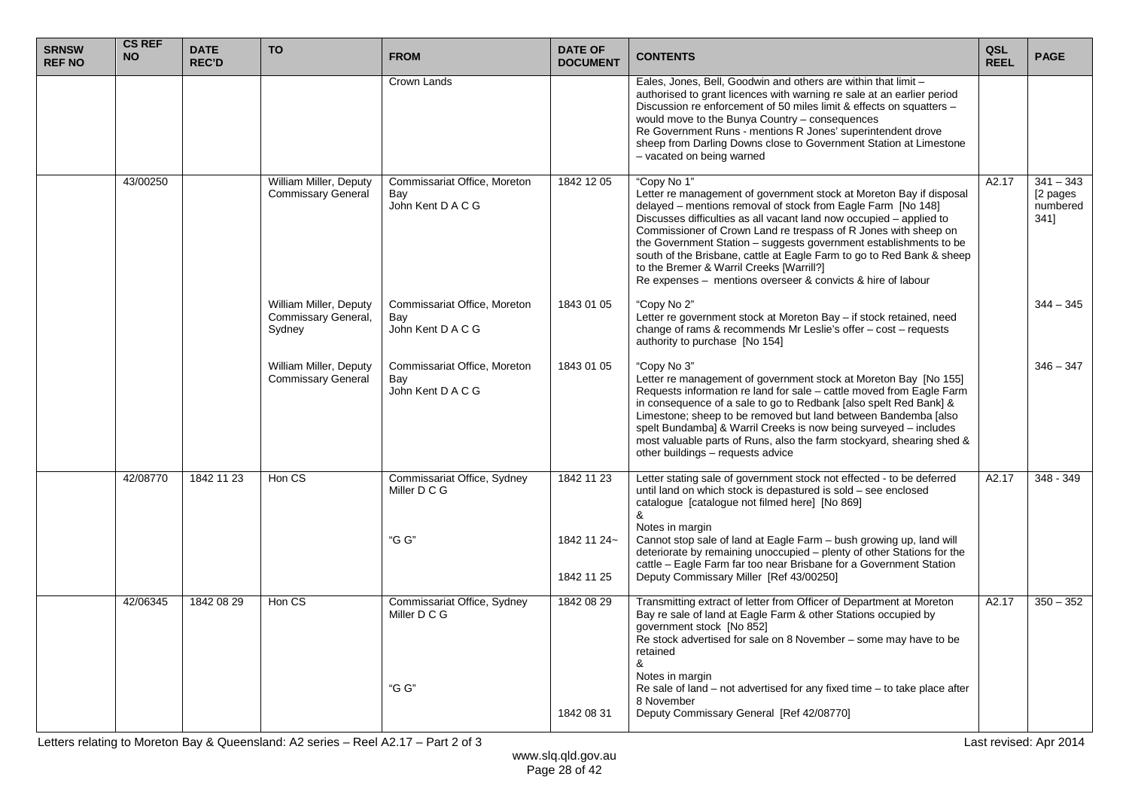| <b>SRNSW</b><br><b>REF NO</b> | <b>CS REF</b><br><b>NO</b> | <b>DATE</b><br><b>REC'D</b> | <b>TO</b>                                               | <b>FROM</b>                                              | <b>DATE OF</b><br><b>DOCUMENT</b> | <b>CONTENTS</b>                                                                                                                                                                                                                                                                                                                                                                                                                                                                                                                                       | QSL<br><b>REEL</b> | <b>PAGE</b>                                  |
|-------------------------------|----------------------------|-----------------------------|---------------------------------------------------------|----------------------------------------------------------|-----------------------------------|-------------------------------------------------------------------------------------------------------------------------------------------------------------------------------------------------------------------------------------------------------------------------------------------------------------------------------------------------------------------------------------------------------------------------------------------------------------------------------------------------------------------------------------------------------|--------------------|----------------------------------------------|
|                               |                            |                             |                                                         | Crown Lands                                              |                                   | Eales, Jones, Bell, Goodwin and others are within that limit -<br>authorised to grant licences with warning re sale at an earlier period<br>Discussion re enforcement of 50 miles limit & effects on squatters -<br>would move to the Bunya Country - consequences<br>Re Government Runs - mentions R Jones' superintendent drove<br>sheep from Darling Downs close to Government Station at Limestone<br>- vacated on being warned                                                                                                                   |                    |                                              |
|                               | 43/00250                   |                             | William Miller, Deputy<br><b>Commissary General</b>     | Commissariat Office, Moreton<br>Bay<br>John Kent D A C G | 1842 12 05                        | "Copy No 1"<br>Letter re management of government stock at Moreton Bay if disposal<br>delayed – mentions removal of stock from Eagle Farm [No 148]<br>Discusses difficulties as all vacant land now occupied - applied to<br>Commissioner of Crown Land re trespass of R Jones with sheep on<br>the Government Station - suggests government establishments to be<br>south of the Brisbane, cattle at Eagle Farm to go to Red Bank & sheep<br>to the Bremer & Warril Creeks [Warrill?]<br>Re expenses - mentions overseer & convicts & hire of labour | A2.17              | $341 - 343$<br>[2 pages]<br>numbered<br>341] |
|                               |                            |                             | William Miller, Deputy<br>Commissary General,<br>Sydney | Commissariat Office, Moreton<br>Bay<br>John Kent D A C G | 1843 01 05                        | "Copy No 2"<br>Letter re government stock at Moreton Bay - if stock retained, need<br>change of rams & recommends Mr Leslie's offer - cost - requests<br>authority to purchase [No 154]                                                                                                                                                                                                                                                                                                                                                               |                    | $344 - 345$                                  |
|                               |                            |                             | William Miller, Deputy<br><b>Commissary General</b>     | Commissariat Office, Moreton<br>Bay<br>John Kent D A C G | 1843 01 05                        | "Copy No 3"<br>Letter re management of government stock at Moreton Bay [No 155]<br>Requests information re land for sale - cattle moved from Eagle Farm<br>in consequence of a sale to go to Redbank [also spelt Red Bank] &<br>Limestone; sheep to be removed but land between Bandemba [also<br>spelt Bundamba] & Warril Creeks is now being surveyed - includes<br>most valuable parts of Runs, also the farm stockyard, shearing shed &<br>other buildings - requests advice                                                                      |                    | $346 - 347$                                  |
|                               | 42/08770                   | 1842 11 23                  | Hon CS                                                  | Commissariat Office, Sydney<br>Miller D C G              | 1842 11 23                        | Letter stating sale of government stock not effected - to be deferred<br>until land on which stock is depastured is sold - see enclosed<br>catalogue [catalogue not filmed here] [No 869]<br>&                                                                                                                                                                                                                                                                                                                                                        | A2.17              | 348 - 349                                    |
|                               |                            |                             |                                                         | "G G"                                                    | 1842 11 24~<br>1842 11 25         | Notes in margin<br>Cannot stop sale of land at Eagle Farm - bush growing up, land will<br>deteriorate by remaining unoccupied - plenty of other Stations for the<br>cattle - Eagle Farm far too near Brisbane for a Government Station<br>Deputy Commissary Miller [Ref 43/00250]                                                                                                                                                                                                                                                                     |                    |                                              |
|                               | 42/06345                   | 1842 08 29                  | Hon CS                                                  | Commissariat Office, Sydney<br>Miller D C G              | 1842 08 29                        | Transmitting extract of letter from Officer of Department at Moreton<br>Bay re sale of land at Eagle Farm & other Stations occupied by<br>government stock [No 852]<br>Re stock advertised for sale on 8 November – some may have to be<br>retained<br>&                                                                                                                                                                                                                                                                                              | $\overline{A2.17}$ | $350 - 352$                                  |
|                               |                            |                             |                                                         | "G G"                                                    | 1842 08 31                        | Notes in margin<br>Re sale of land - not advertised for any fixed time - to take place after<br>8 November<br>Deputy Commissary General [Ref 42/08770]                                                                                                                                                                                                                                                                                                                                                                                                |                    |                                              |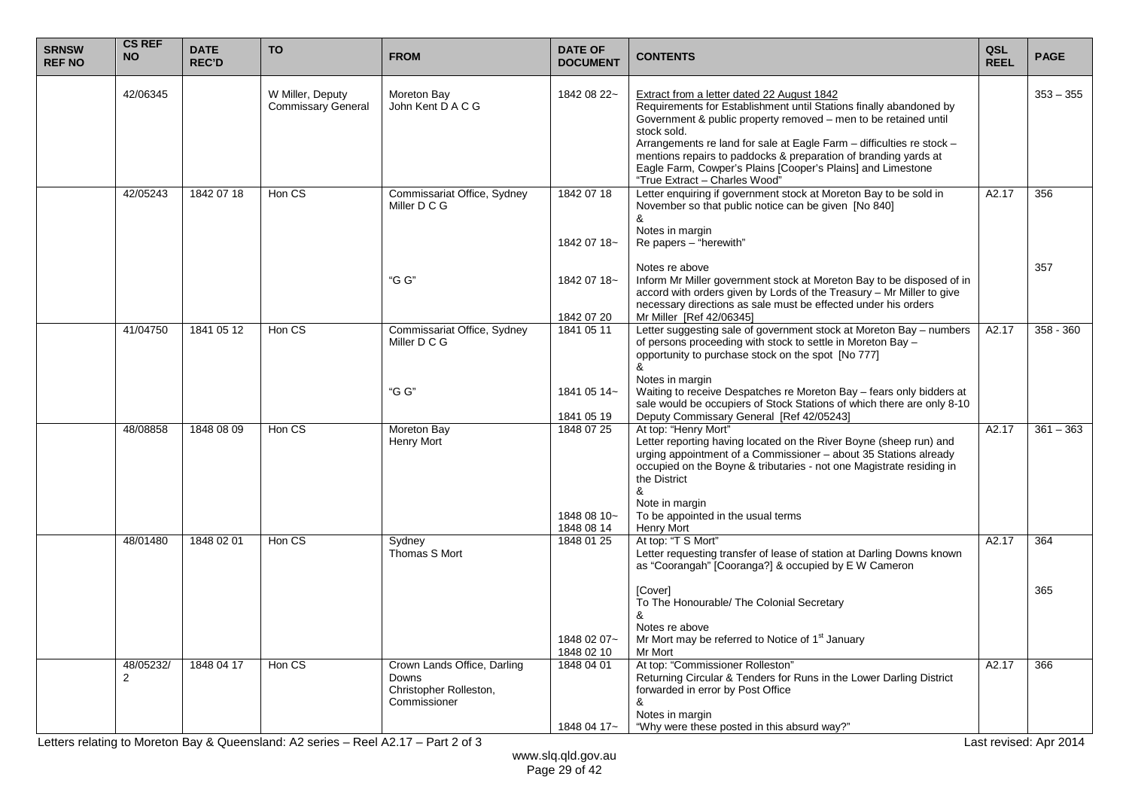| <b>SRNSW</b><br><b>REF NO</b> | <b>CS REF</b><br><b>NO</b>  | <b>DATE</b><br><b>REC'D</b> | <b>TO</b>                                     | <b>FROM</b>                                                                           | <b>DATE OF</b><br><b>DOCUMENT</b>       | <b>CONTENTS</b>                                                                                                                                                                                                                                                                                                                                                                                                                                | QSL<br><b>REEL</b> | <b>PAGE</b> |
|-------------------------------|-----------------------------|-----------------------------|-----------------------------------------------|---------------------------------------------------------------------------------------|-----------------------------------------|------------------------------------------------------------------------------------------------------------------------------------------------------------------------------------------------------------------------------------------------------------------------------------------------------------------------------------------------------------------------------------------------------------------------------------------------|--------------------|-------------|
|                               | 42/06345                    |                             | W Miller, Deputy<br><b>Commissary General</b> | Moreton Bay<br>John Kent D A C G                                                      | 1842 08 22~                             | Extract from a letter dated 22 August 1842<br>Requirements for Establishment until Stations finally abandoned by<br>Government & public property removed – men to be retained until<br>stock sold.<br>Arrangements re land for sale at Eagle Farm - difficulties re stock -<br>mentions repairs to paddocks & preparation of branding yards at<br>Eagle Farm, Cowper's Plains [Cooper's Plains] and Limestone<br>"True Extract - Charles Wood" |                    | $353 - 355$ |
|                               | 42/05243                    | 1842 07 18                  | Hon CS                                        | Commissariat Office, Sydney<br>Miller D C G                                           | 1842 07 18<br>1842 07 18~               | Letter enquiring if government stock at Moreton Bay to be sold in<br>November so that public notice can be given [No 840]<br>&<br>Notes in margin<br>Re papers - "herewith"                                                                                                                                                                                                                                                                    | A2.17              | 356         |
|                               |                             |                             |                                               | "G G"                                                                                 | 1842 07 18~<br>1842 07 20               | Notes re above<br>Inform Mr Miller government stock at Moreton Bay to be disposed of in<br>accord with orders given by Lords of the Treasury - Mr Miller to give<br>necessary directions as sale must be effected under his orders<br>Mr Miller [Ref 42/06345]                                                                                                                                                                                 |                    | 357         |
|                               | 41/04750                    | 1841 05 12                  | Hon CS                                        | Commissariat Office, Sydney<br>Miller D C G                                           | 1841 05 11                              | Letter suggesting sale of government stock at Moreton Bay - numbers<br>of persons proceeding with stock to settle in Moreton Bay -<br>opportunity to purchase stock on the spot [No 777]<br>&<br>Notes in margin                                                                                                                                                                                                                               | A2.17              | $358 - 360$ |
|                               |                             |                             |                                               | "G G"                                                                                 | 1841 05 14~<br>1841 05 19               | Waiting to receive Despatches re Moreton Bay - fears only bidders at<br>sale would be occupiers of Stock Stations of which there are only 8-10<br>Deputy Commissary General [Ref 42/05243]                                                                                                                                                                                                                                                     |                    |             |
|                               | 48/08858                    | 1848 08 09                  | Hon CS                                        | Moreton Bay<br><b>Henry Mort</b>                                                      | 1848 07 25<br>1848 08 10~<br>1848 08 14 | At top: "Henry Mort"<br>Letter reporting having located on the River Boyne (sheep run) and<br>urging appointment of a Commissioner - about 35 Stations already<br>occupied on the Boyne & tributaries - not one Magistrate residing in<br>the District<br>&<br>Note in margin<br>To be appointed in the usual terms<br><b>Henry Mort</b>                                                                                                       | A2.17              | $361 - 363$ |
|                               | 48/01480                    | 1848 02 01                  | Hon CS                                        | Sydney<br>Thomas S Mort                                                               | 1848 01 25                              | At top: "T S Mort"<br>Letter requesting transfer of lease of station at Darling Downs known<br>as "Coorangah" [Cooranga?] & occupied by E W Cameron                                                                                                                                                                                                                                                                                            | A2.17              | 364         |
|                               |                             |                             |                                               |                                                                                       | 1848 02 07~<br>1848 02 10               | [Cover]<br>To The Honourable/ The Colonial Secretary<br>&<br>Notes re above<br>Mr Mort may be referred to Notice of 1 <sup>st</sup> January<br>Mr Mort                                                                                                                                                                                                                                                                                         |                    | 365         |
|                               | 48/05232/<br>$\overline{2}$ | 1848 04 17                  | Hon CS                                        | Crown Lands Office, Darling<br><b>Downs</b><br>Christopher Rolleston,<br>Commissioner | 1848 04 01<br>1848 04 17~               | At top: "Commissioner Rolleston"<br>Returning Circular & Tenders for Runs in the Lower Darling District<br>forwarded in error by Post Office<br>&<br>Notes in margin<br>"Why were these posted in this absurd way?"                                                                                                                                                                                                                            | A2.17              | 366         |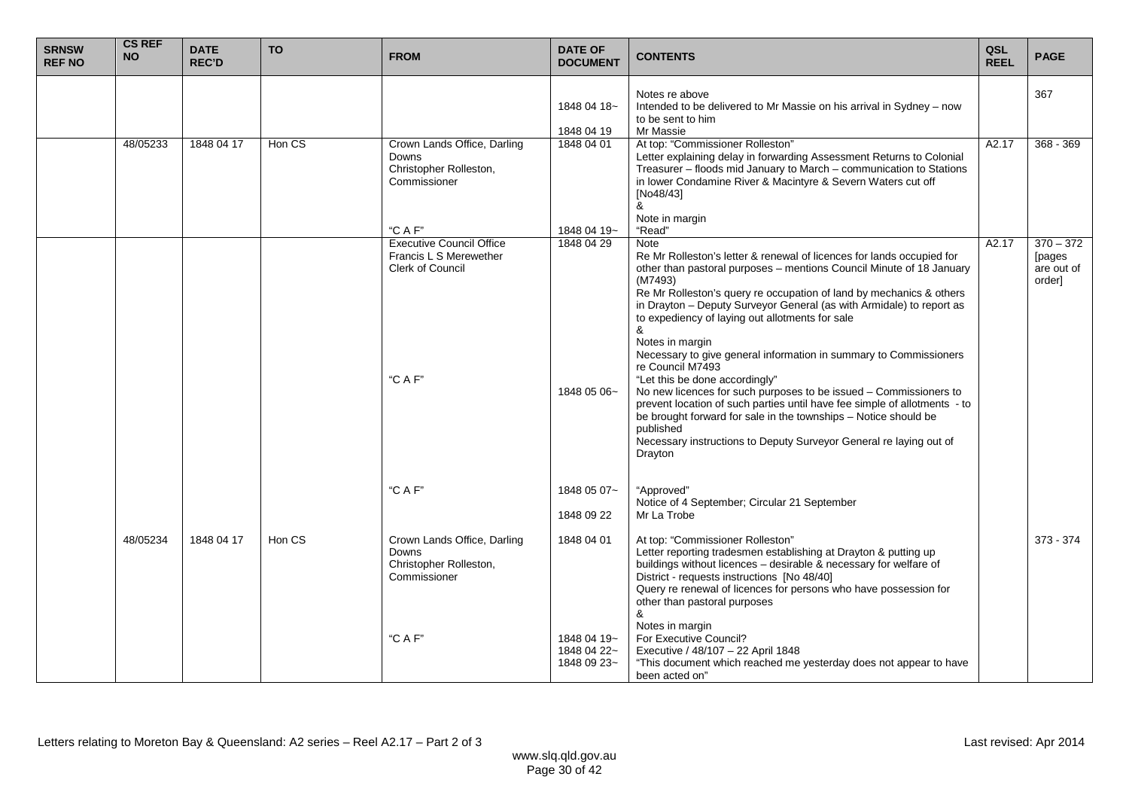| <b>SRNSW</b><br><b>REF NO</b> | <b>CS REF</b><br><b>NO</b> | <b>DATE</b><br><b>REC'D</b> | <b>TO</b> | <b>FROM</b>                                                                                   | <b>DATE OF</b><br><b>DOCUMENT</b>         | <b>CONTENTS</b>                                                                                                                                                                                                                                                                                                                                                                                                                                                                                                                                                                                                                                                                                                                                                                                                                                 | QSL<br><b>REEL</b> | <b>PAGE</b>                                   |
|-------------------------------|----------------------------|-----------------------------|-----------|-----------------------------------------------------------------------------------------------|-------------------------------------------|-------------------------------------------------------------------------------------------------------------------------------------------------------------------------------------------------------------------------------------------------------------------------------------------------------------------------------------------------------------------------------------------------------------------------------------------------------------------------------------------------------------------------------------------------------------------------------------------------------------------------------------------------------------------------------------------------------------------------------------------------------------------------------------------------------------------------------------------------|--------------------|-----------------------------------------------|
|                               |                            |                             |           |                                                                                               | 1848 04 18~<br>1848 04 19                 | Notes re above<br>Intended to be delivered to Mr Massie on his arrival in Sydney – now<br>to be sent to him<br>Mr Massie                                                                                                                                                                                                                                                                                                                                                                                                                                                                                                                                                                                                                                                                                                                        |                    | 367                                           |
|                               | 48/05233                   | 1848 04 17                  | Hon CS    | Crown Lands Office, Darling<br>Downs<br>Christopher Rolleston,<br>Commissioner                | 1848 04 01                                | At top: "Commissioner Rolleston"<br>Letter explaining delay in forwarding Assessment Returns to Colonial<br>Treasurer - floods mid January to March - communication to Stations<br>in lower Condamine River & Macintyre & Severn Waters cut off<br>[No48/43]<br>&<br>Note in margin                                                                                                                                                                                                                                                                                                                                                                                                                                                                                                                                                             | A2.17              | 368 - 369                                     |
|                               |                            |                             |           | "C A F"                                                                                       | 1848 04 19~                               | "Read"                                                                                                                                                                                                                                                                                                                                                                                                                                                                                                                                                                                                                                                                                                                                                                                                                                          |                    |                                               |
|                               |                            |                             |           | <b>Executive Council Office</b><br>Francis L S Merewether<br><b>Clerk of Council</b><br>"CAF" | 1848 04 29<br>1848 05 06~                 | <b>Note</b><br>Re Mr Rolleston's letter & renewal of licences for lands occupied for<br>other than pastoral purposes - mentions Council Minute of 18 January<br>(M7493)<br>Re Mr Rolleston's query re occupation of land by mechanics & others<br>in Drayton - Deputy Surveyor General (as with Armidale) to report as<br>to expediency of laying out allotments for sale<br>&<br>Notes in margin<br>Necessary to give general information in summary to Commissioners<br>re Council M7493<br>"Let this be done accordingly"<br>No new licences for such purposes to be issued - Commissioners to<br>prevent location of such parties until have fee simple of allotments - to<br>be brought forward for sale in the townships - Notice should be<br>published<br>Necessary instructions to Deputy Surveyor General re laying out of<br>Drayton | A2.17              | $370 - 372$<br>[pages<br>are out of<br>order] |
|                               |                            |                             |           | "C A F"                                                                                       | 1848 05 07~                               | "Approved"                                                                                                                                                                                                                                                                                                                                                                                                                                                                                                                                                                                                                                                                                                                                                                                                                                      |                    |                                               |
|                               |                            |                             |           |                                                                                               |                                           | Notice of 4 September; Circular 21 September                                                                                                                                                                                                                                                                                                                                                                                                                                                                                                                                                                                                                                                                                                                                                                                                    |                    |                                               |
|                               |                            |                             |           |                                                                                               | 1848 09 22                                | Mr La Trobe                                                                                                                                                                                                                                                                                                                                                                                                                                                                                                                                                                                                                                                                                                                                                                                                                                     |                    |                                               |
|                               | 48/05234                   | 1848 04 17                  | Hon CS    | Crown Lands Office, Darling<br>Downs<br>Christopher Rolleston,<br>Commissioner                | 1848 04 01                                | At top: "Commissioner Rolleston"<br>Letter reporting tradesmen establishing at Drayton & putting up<br>buildings without licences - desirable & necessary for welfare of<br>District - requests instructions [No 48/40]<br>Query re renewal of licences for persons who have possession for<br>other than pastoral purposes<br>&<br>Notes in margin                                                                                                                                                                                                                                                                                                                                                                                                                                                                                             |                    | $373 - 374$                                   |
|                               |                            |                             |           | "C A F"                                                                                       | 1848 04 19~<br>1848 04 22~<br>1848 09 23~ | For Executive Council?<br>Executive / 48/107 - 22 April 1848<br>"This document which reached me yesterday does not appear to have<br>been acted on"                                                                                                                                                                                                                                                                                                                                                                                                                                                                                                                                                                                                                                                                                             |                    |                                               |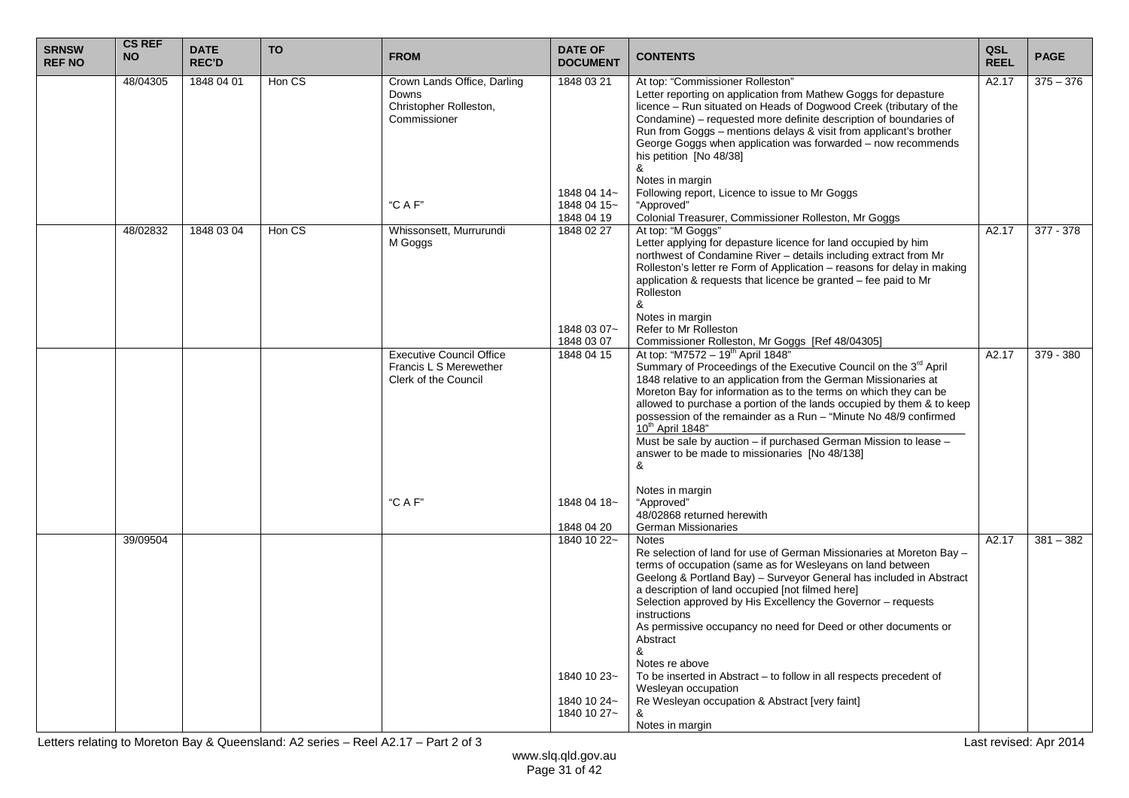| <b>SRNSW</b><br><b>REF NO</b> | <b>CS REF</b><br><b>NO</b> | <b>DATE</b><br><b>REC'D</b> | <b>TO</b> | <b>FROM</b>                                                                                  | <b>DATE OF</b><br><b>DOCUMENT</b>                                      | <b>CONTENTS</b>                                                                                                                                                                                                                                                                                                                                                                                                                                                                                                                                                                                                                                                   | QSL<br><b>REEL</b> | <b>PAGE</b> |
|-------------------------------|----------------------------|-----------------------------|-----------|----------------------------------------------------------------------------------------------|------------------------------------------------------------------------|-------------------------------------------------------------------------------------------------------------------------------------------------------------------------------------------------------------------------------------------------------------------------------------------------------------------------------------------------------------------------------------------------------------------------------------------------------------------------------------------------------------------------------------------------------------------------------------------------------------------------------------------------------------------|--------------------|-------------|
|                               | 48/04305                   | 1848 04 01                  | Hon CS    | Crown Lands Office, Darling<br>Downs<br>Christopher Rolleston,<br>Commissioner               | 1848 03 21<br>1848 04 14~                                              | At top: "Commissioner Rolleston"<br>Letter reporting on application from Mathew Goggs for depasture<br>licence - Run situated on Heads of Dogwood Creek (tributary of the<br>Condamine) – requested more definite description of boundaries of<br>Run from Goggs - mentions delays & visit from applicant's brother<br>George Goggs when application was forwarded - now recommends<br>his petition [No 48/38]<br>&<br>Notes in margin<br>Following report, Licence to issue to Mr Goggs                                                                                                                                                                          | A2.17              | $375 - 376$ |
|                               |                            |                             |           | "C A F"                                                                                      | 1848 04 15~<br>1848 04 19                                              | "Approved"<br>Colonial Treasurer, Commissioner Rolleston, Mr Goggs                                                                                                                                                                                                                                                                                                                                                                                                                                                                                                                                                                                                |                    |             |
|                               | 48/02832                   | 1848 03 04                  | Hon CS    | Whissonsett, Murrurundi<br>M Goggs                                                           | 1848 02 27<br>1848 03 07~<br>1848 03 07                                | At top: "M Goggs"<br>Letter applying for depasture licence for land occupied by him<br>northwest of Condamine River - details including extract from Mr<br>Rolleston's letter re Form of Application - reasons for delay in making<br>application & requests that licence be granted - fee paid to Mr<br>Rolleston<br>&<br>Notes in margin<br>Refer to Mr Rolleston                                                                                                                                                                                                                                                                                               | A2.17              | 377 - 378   |
|                               |                            |                             |           | <b>Executive Council Office</b><br>Francis L S Merewether<br>Clerk of the Council<br>"C A F' | 1848 04 15<br>1848 04 18~                                              | Commissioner Rolleston, Mr Goggs [Ref 48/04305]<br>At top: "M7572 - 19 <sup>th</sup> April 1848"<br>Summary of Proceedings of the Executive Council on the 3rd April<br>1848 relative to an application from the German Missionaries at<br>Moreton Bay for information as to the terms on which they can be<br>allowed to purchase a portion of the lands occupied by them & to keep<br>possession of the remainder as a Run - "Minute No 48/9 confirmed<br>10 <sup>th</sup> April 1848"<br>Must be sale by auction - if purchased German Mission to lease -<br>answer to be made to missionaries [No 48/138]<br>&<br>Notes in margin<br>"Approved"               | A2.17              | 379 - 380   |
|                               |                            |                             |           |                                                                                              |                                                                        | 48/02868 returned herewith                                                                                                                                                                                                                                                                                                                                                                                                                                                                                                                                                                                                                                        |                    |             |
|                               | 39/09504                   |                             |           |                                                                                              | 1848 04 20<br>1840 10 22~<br>1840 10 23~<br>1840 10 24~<br>1840 10 27~ | <b>German Missionaries</b><br>Notes<br>Re selection of land for use of German Missionaries at Moreton Bay -<br>terms of occupation (same as for Wesleyans on land between<br>Geelong & Portland Bay) – Surveyor General has included in Abstract<br>a description of land occupied [not filmed here]<br>Selection approved by His Excellency the Governor - requests<br>instructions<br>As permissive occupancy no need for Deed or other documents or<br>Abstract<br>&<br>Notes re above<br>To be inserted in Abstract – to follow in all respects precedent of<br>Wesleyan occupation<br>Re Wesleyan occupation & Abstract [very faint]<br>&<br>Notes in margin | A2.17              | $381 - 382$ |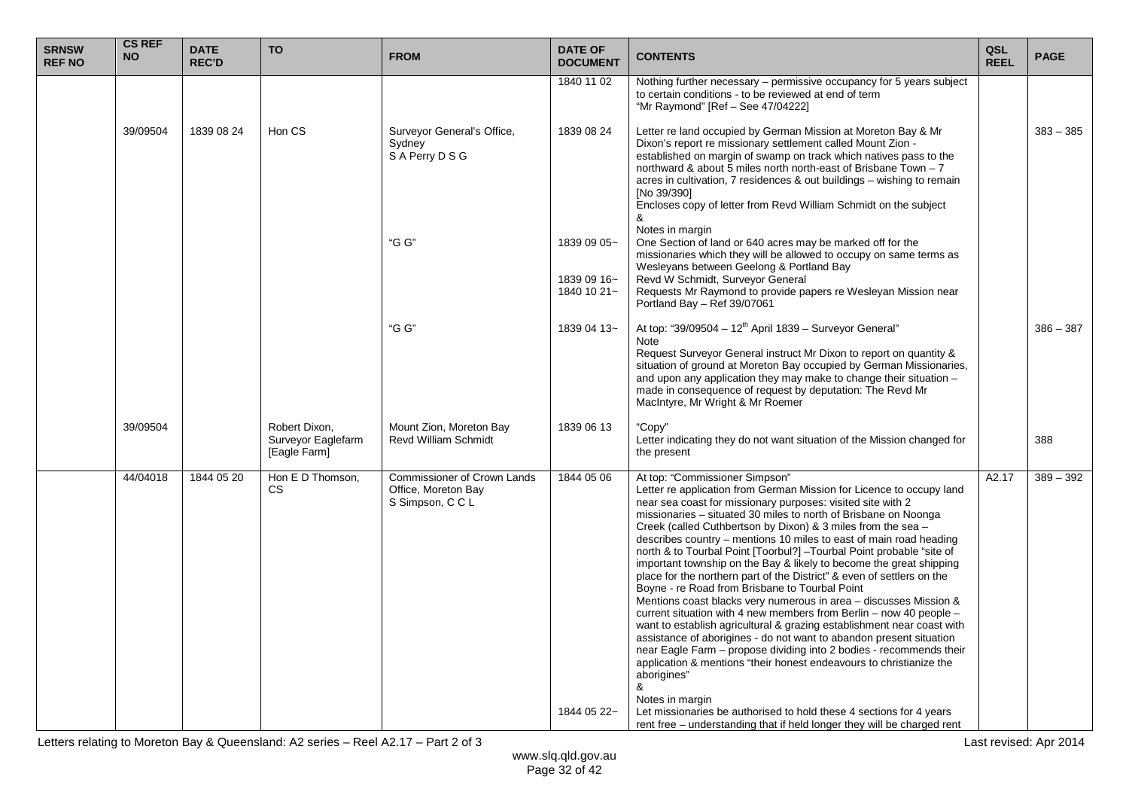| <b>SRNSW</b><br><b>REF NO</b> | <b>CS REF</b><br><b>NO</b> | <b>DATE</b><br><b>REC'D</b> | <b>TO</b>                                           | <b>FROM</b>                                                            | <b>DATE OF</b><br><b>DOCUMENT</b>         | <b>CONTENTS</b>                                                                                                                                                                                                                                                                                                                                                                                                                                                                                                                                                                                                                                                                                                                                                                                                                                                                                                                                                                                                                                                                                                                            | QSL<br><b>REEL</b> | <b>PAGE</b> |
|-------------------------------|----------------------------|-----------------------------|-----------------------------------------------------|------------------------------------------------------------------------|-------------------------------------------|--------------------------------------------------------------------------------------------------------------------------------------------------------------------------------------------------------------------------------------------------------------------------------------------------------------------------------------------------------------------------------------------------------------------------------------------------------------------------------------------------------------------------------------------------------------------------------------------------------------------------------------------------------------------------------------------------------------------------------------------------------------------------------------------------------------------------------------------------------------------------------------------------------------------------------------------------------------------------------------------------------------------------------------------------------------------------------------------------------------------------------------------|--------------------|-------------|
|                               |                            |                             |                                                     |                                                                        | 1840 11 02                                | Nothing further necessary - permissive occupancy for 5 years subject<br>to certain conditions - to be reviewed at end of term<br>"Mr Raymond" [Ref - See 47/04222]                                                                                                                                                                                                                                                                                                                                                                                                                                                                                                                                                                                                                                                                                                                                                                                                                                                                                                                                                                         |                    |             |
|                               | 39/09504                   | 1839 08 24                  | Hon CS                                              | Surveyor General's Office,<br>Sydney<br>S A Perry D S G                | 1839 08 24                                | Letter re land occupied by German Mission at Moreton Bay & Mr<br>Dixon's report re missionary settlement called Mount Zion -<br>established on margin of swamp on track which natives pass to the<br>northward & about 5 miles north north-east of Brisbane Town - 7<br>acres in cultivation, 7 residences & out buildings – wishing to remain<br>[No 39/390]<br>Encloses copy of letter from Revd William Schmidt on the subject<br>&                                                                                                                                                                                                                                                                                                                                                                                                                                                                                                                                                                                                                                                                                                     |                    | $383 - 385$ |
|                               |                            |                             |                                                     | "G G"                                                                  | 1839 09 05~<br>1839 09 16~<br>1840 10 21~ | Notes in margin<br>One Section of land or 640 acres may be marked off for the<br>missionaries which they will be allowed to occupy on same terms as<br>Wesleyans between Geelong & Portland Bay<br>Revd W Schmidt, Surveyor General<br>Requests Mr Raymond to provide papers re Wesleyan Mission near<br>Portland Bay - Ref 39/07061                                                                                                                                                                                                                                                                                                                                                                                                                                                                                                                                                                                                                                                                                                                                                                                                       |                    |             |
|                               |                            |                             |                                                     | "G G"                                                                  | 1839 04 13~                               | At top: "39/09504 - 12 <sup>th</sup> April 1839 - Surveyor General"<br><b>Note</b><br>Request Surveyor General instruct Mr Dixon to report on quantity &<br>situation of ground at Moreton Bay occupied by German Missionaries,<br>and upon any application they may make to change their situation -<br>made in consequence of request by deputation. The Revd Mr<br>MacIntyre, Mr Wright & Mr Roemer                                                                                                                                                                                                                                                                                                                                                                                                                                                                                                                                                                                                                                                                                                                                     |                    | $386 - 387$ |
|                               | 39/09504                   |                             | Robert Dixon,<br>Surveyor Eaglefarm<br>[Eagle Farm] | Mount Zion, Moreton Bay<br><b>Revd William Schmidt</b>                 | 1839 06 13                                | "Copy"<br>Letter indicating they do not want situation of the Mission changed for<br>the present                                                                                                                                                                                                                                                                                                                                                                                                                                                                                                                                                                                                                                                                                                                                                                                                                                                                                                                                                                                                                                           |                    | 388         |
|                               | 44/04018                   | 1844 05 20                  | Hon E D Thomson,<br><b>CS</b>                       | Commissioner of Crown Lands<br>Office, Moreton Bay<br>S Simpson, C C L | 1844 05 06                                | At top: "Commissioner Simpson"<br>Letter re application from German Mission for Licence to occupy land<br>near sea coast for missionary purposes: visited site with 2<br>missionaries – situated 30 miles to north of Brisbane on Noonga<br>Creek (called Cuthbertson by Dixon) & 3 miles from the sea -<br>describes country – mentions 10 miles to east of main road heading<br>north & to Tourbal Point [Toorbul?] -Tourbal Point probable "site of<br>important township on the Bay & likely to become the great shipping<br>place for the northern part of the District" & even of settlers on the<br>Boyne - re Road from Brisbane to Tourbal Point<br>Mentions coast blacks very numerous in area - discusses Mission &<br>current situation with 4 new members from Berlin – now 40 people –<br>want to establish agricultural & grazing establishment near coast with<br>assistance of aborigines - do not want to abandon present situation<br>near Eagle Farm – propose dividing into 2 bodies - recommends their<br>application & mentions "their honest endeavours to christianize the<br>aborigines"<br>&<br>Notes in margin | A2.17              | $389 - 392$ |
|                               |                            |                             |                                                     |                                                                        | 1844 05 22~                               | Let missionaries be authorised to hold these 4 sections for 4 years<br>rent free – understanding that if held longer they will be charged rent                                                                                                                                                                                                                                                                                                                                                                                                                                                                                                                                                                                                                                                                                                                                                                                                                                                                                                                                                                                             |                    |             |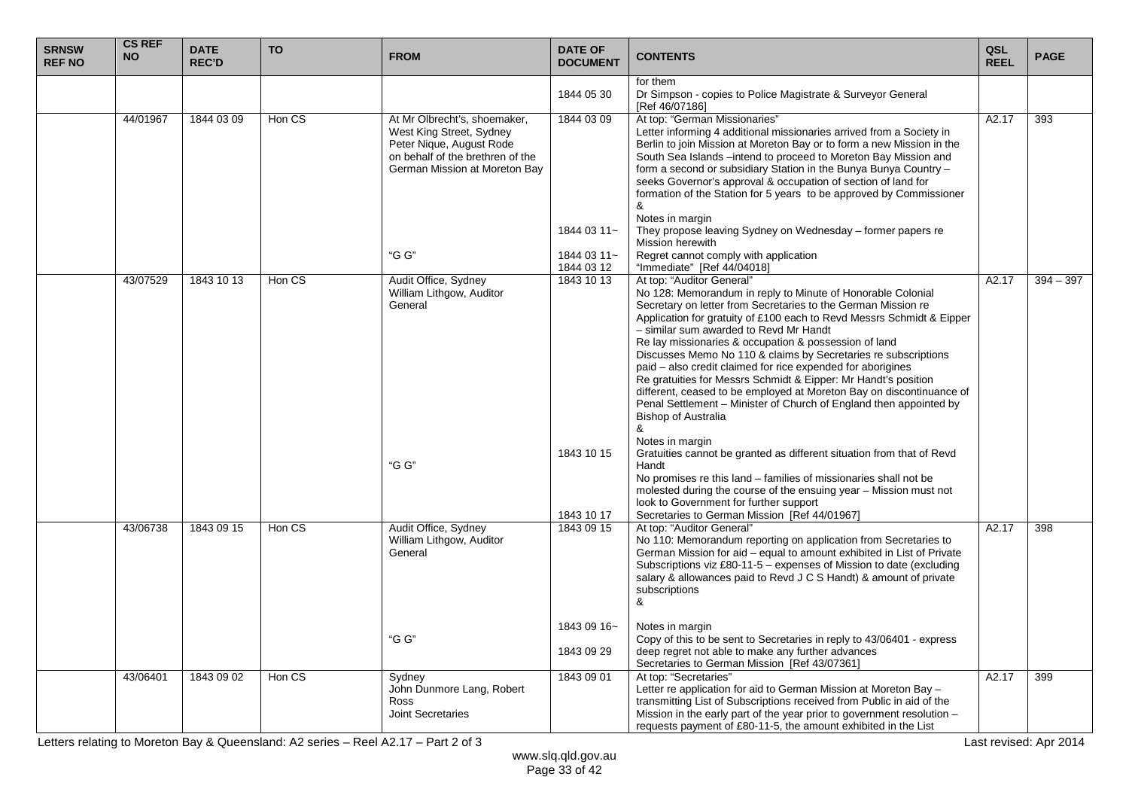| <b>SRNSW</b><br><b>REF NO</b> | <b>CS REF</b><br><b>NO</b> | <b>DATE</b><br><b>REC'D</b> | <b>TO</b> | <b>FROM</b>                                                                                                                                               | <b>DATE OF</b><br><b>DOCUMENT</b>        | <b>CONTENTS</b>                                                                                                                                                                                                                                                                                                                                                                                                                                                                                                                                                                                                                                                                                                           | QSL<br><b>REEL</b> | <b>PAGE</b> |
|-------------------------------|----------------------------|-----------------------------|-----------|-----------------------------------------------------------------------------------------------------------------------------------------------------------|------------------------------------------|---------------------------------------------------------------------------------------------------------------------------------------------------------------------------------------------------------------------------------------------------------------------------------------------------------------------------------------------------------------------------------------------------------------------------------------------------------------------------------------------------------------------------------------------------------------------------------------------------------------------------------------------------------------------------------------------------------------------------|--------------------|-------------|
|                               |                            |                             |           |                                                                                                                                                           | 1844 05 30                               | for them<br>Dr Simpson - copies to Police Magistrate & Surveyor General<br>[Ref 46/07186]                                                                                                                                                                                                                                                                                                                                                                                                                                                                                                                                                                                                                                 |                    |             |
|                               | 44/01967                   | 1844 03 09                  | Hon CS    | At Mr Olbrecht's, shoemaker,<br>West King Street, Sydney<br>Peter Nique, August Rode<br>on behalf of the brethren of the<br>German Mission at Moreton Bay | 1844 03 09                               | At top: "German Missionaries"<br>Letter informing 4 additional missionaries arrived from a Society in<br>Berlin to join Mission at Moreton Bay or to form a new Mission in the<br>South Sea Islands -intend to proceed to Moreton Bay Mission and<br>form a second or subsidiary Station in the Bunya Bunya Country -<br>seeks Governor's approval & occupation of section of land for<br>formation of the Station for 5 years to be approved by Commissioner<br>&<br>Notes in margin                                                                                                                                                                                                                                     | A2.17              | 393         |
|                               |                            |                             |           | "G G"                                                                                                                                                     | 1844 03 11~<br>1844 03 11~<br>1844 03 12 | They propose leaving Sydney on Wednesday – former papers re<br>Mission herewith<br>Regret cannot comply with application<br>"Immediate" [Ref 44/04018]                                                                                                                                                                                                                                                                                                                                                                                                                                                                                                                                                                    |                    |             |
|                               | 43/07529                   | 1843 10 13                  | Hon CS    | Audit Office, Sydney<br>William Lithgow, Auditor<br>General                                                                                               | 1843 10 13                               | At top: "Auditor General"<br>No 128: Memorandum in reply to Minute of Honorable Colonial<br>Secretary on letter from Secretaries to the German Mission re<br>Application for gratuity of £100 each to Revd Messrs Schmidt & Eipper<br>- similar sum awarded to Revd Mr Handt<br>Re lay missionaries & occupation & possession of land<br>Discusses Memo No 110 & claims by Secretaries re subscriptions<br>paid – also credit claimed for rice expended for aborigines<br>Re gratuities for Messrs Schmidt & Eipper: Mr Handt's position<br>different, ceased to be employed at Moreton Bay on discontinuance of<br>Penal Settlement - Minister of Church of England then appointed by<br><b>Bishop of Australia</b><br>& | A2.17              | $394 - 397$ |
|                               |                            |                             |           | "G G"                                                                                                                                                     | 1843 10 15<br>1843 10 17                 | Notes in margin<br>Gratuities cannot be granted as different situation from that of Revd<br>Handt<br>No promises re this land – families of missionaries shall not be<br>molested during the course of the ensuing year - Mission must not<br>look to Government for further support<br>Secretaries to German Mission [Ref 44/01967]                                                                                                                                                                                                                                                                                                                                                                                      |                    |             |
|                               | 43/06738                   | 1843 09 15                  | Hon CS    | Audit Office, Sydney<br>William Lithgow, Auditor<br>General                                                                                               | 1843 09 15                               | At top: "Auditor General"<br>No 110: Memorandum reporting on application from Secretaries to<br>German Mission for aid – equal to amount exhibited in List of Private<br>Subscriptions viz £80-11-5 - expenses of Mission to date (excluding<br>salary & allowances paid to Revd J C S Handt) & amount of private<br>subscriptions<br>&                                                                                                                                                                                                                                                                                                                                                                                   | A2.17              | 398         |
|                               |                            |                             |           | "G G"                                                                                                                                                     | 1843 09 16~<br>1843 09 29                | Notes in margin<br>Copy of this to be sent to Secretaries in reply to 43/06401 - express<br>deep regret not able to make any further advances<br>Secretaries to German Mission [Ref 43/07361]                                                                                                                                                                                                                                                                                                                                                                                                                                                                                                                             |                    |             |
|                               | 43/06401                   | 1843 09 02                  | Hon CS    | Sydney<br>John Dunmore Lang, Robert<br><b>Ross</b><br><b>Joint Secretaries</b>                                                                            | 1843 09 01                               | At top: "Secretaries"<br>Letter re application for aid to German Mission at Moreton Bay -<br>transmitting List of Subscriptions received from Public in aid of the<br>Mission in the early part of the year prior to government resolution $-$<br>requests payment of £80-11-5, the amount exhibited in the List                                                                                                                                                                                                                                                                                                                                                                                                          | A2.17              | 399         |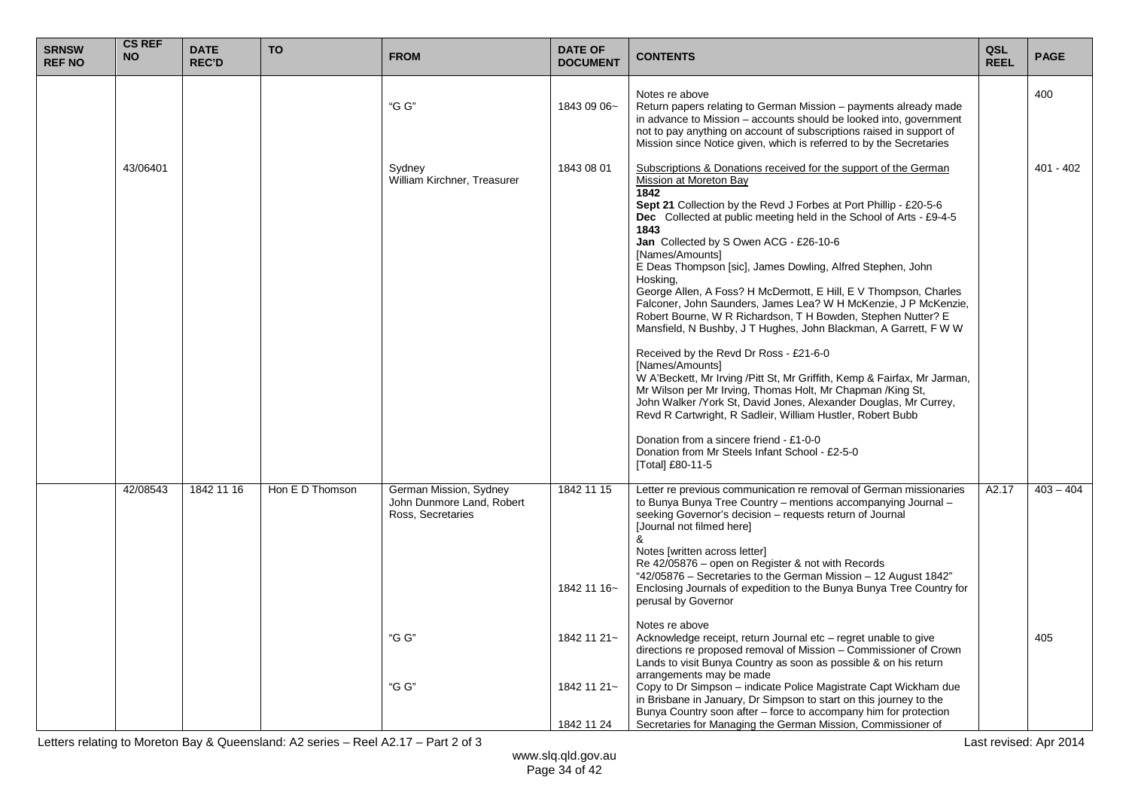| <b>SRNSW</b><br><b>REF NO</b> | <b>CS REF</b><br><b>NO</b> | <b>DATE</b><br><b>REC'D</b> | <b>TO</b>       | <b>FROM</b>                                                                                | <b>DATE OF</b><br><b>DOCUMENT</b>                                     | <b>CONTENTS</b>                                                                                                                                                                                                                                                                                                                                                                                                                                                                                                                                                                                                                                                                                                                                                                                                                                                                                                                                                                                                                                                                                                                     | QSL<br><b>REEL</b> | <b>PAGE</b>        |
|-------------------------------|----------------------------|-----------------------------|-----------------|--------------------------------------------------------------------------------------------|-----------------------------------------------------------------------|-------------------------------------------------------------------------------------------------------------------------------------------------------------------------------------------------------------------------------------------------------------------------------------------------------------------------------------------------------------------------------------------------------------------------------------------------------------------------------------------------------------------------------------------------------------------------------------------------------------------------------------------------------------------------------------------------------------------------------------------------------------------------------------------------------------------------------------------------------------------------------------------------------------------------------------------------------------------------------------------------------------------------------------------------------------------------------------------------------------------------------------|--------------------|--------------------|
|                               |                            |                             |                 | "G G"                                                                                      | 1843 09 06~                                                           | Notes re above<br>Return papers relating to German Mission – payments already made<br>in advance to Mission – accounts should be looked into, government<br>not to pay anything on account of subscriptions raised in support of<br>Mission since Notice given, which is referred to by the Secretaries                                                                                                                                                                                                                                                                                                                                                                                                                                                                                                                                                                                                                                                                                                                                                                                                                             |                    | 400                |
|                               | 43/06401                   |                             |                 | Sydney<br>William Kirchner, Treasurer                                                      | 1843 08 01                                                            | Subscriptions & Donations received for the support of the German<br>Mission at Moreton Bay<br>1842<br>Sept 21 Collection by the Revd J Forbes at Port Phillip - £20-5-6<br>Dec Collected at public meeting held in the School of Arts - £9-4-5<br>1843<br>Jan Collected by S Owen ACG - £26-10-6<br>[Names/Amounts]<br>E Deas Thompson [sic], James Dowling, Alfred Stephen, John<br>Hosking,<br>George Allen, A Foss? H McDermott, E Hill, E V Thompson, Charles<br>Falconer, John Saunders, James Lea? W H McKenzie, J P McKenzie,<br>Robert Bourne, W R Richardson, T H Bowden, Stephen Nutter? E<br>Mansfield, N Bushby, J T Hughes, John Blackman, A Garrett, F W W<br>Received by the Revd Dr Ross - £21-6-0<br>[Names/Amounts]<br>W A'Beckett, Mr Irving / Pitt St, Mr Griffith, Kemp & Fairfax, Mr Jarman,<br>Mr Wilson per Mr Irving, Thomas Holt, Mr Chapman /King St,<br>John Walker /York St, David Jones, Alexander Douglas, Mr Currey,<br>Revd R Cartwright, R Sadleir, William Hustler, Robert Bubb<br>Donation from a sincere friend - £1-0-0<br>Donation from Mr Steels Infant School - £2-5-0<br>[Total] £80-11-5 |                    | $401 - 402$        |
|                               | 42/08543                   | 1842 11 16                  | Hon E D Thomson | German Mission, Sydney<br>John Dunmore Land, Robert<br>Ross, Secretaries<br>"G G"<br>"G G" | 1842 11 15<br>1842 11 16~<br>1842 11 21~<br>1842 11 21~<br>1842 11 24 | Letter re previous communication re removal of German missionaries<br>to Bunya Bunya Tree Country - mentions accompanying Journal -<br>seeking Governor's decision - requests return of Journal<br>[Journal not filmed here]<br>&<br>Notes [written across letter]<br>Re 42/05876 - open on Register & not with Records<br>"42/05876 - Secretaries to the German Mission - 12 August 1842"<br>Enclosing Journals of expedition to the Bunya Bunya Tree Country for<br>perusal by Governor<br>Notes re above<br>Acknowledge receipt, return Journal etc – regret unable to give<br>directions re proposed removal of Mission - Commissioner of Crown<br>Lands to visit Bunya Country as soon as possible & on his return<br>arrangements may be made<br>Copy to Dr Simpson - indicate Police Magistrate Capt Wickham due<br>in Brisbane in January, Dr Simpson to start on this journey to the<br>Bunya Country soon after - force to accompany him for protection<br>Secretaries for Managing the German Mission, Commissioner of                                                                                                   | A2.17              | $403 - 404$<br>405 |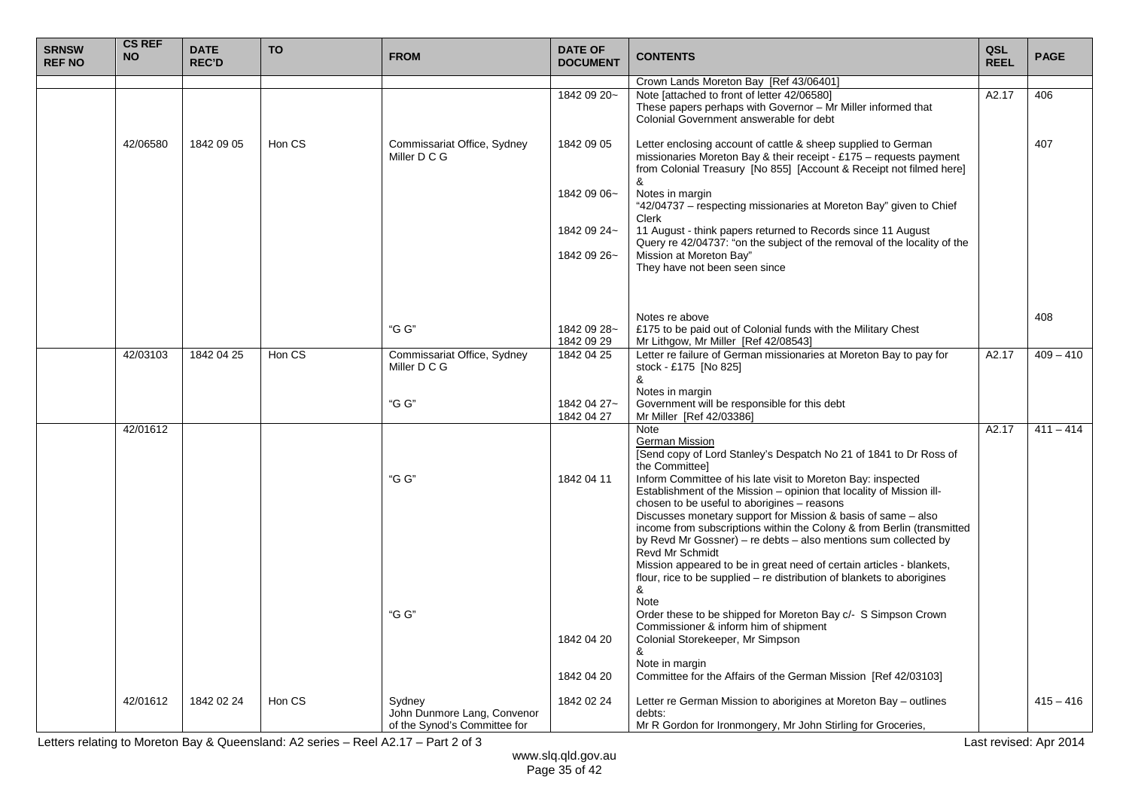| <b>SRNSW</b><br><b>REF NO</b> | <b>CS REF</b><br><b>NO</b> | <b>DATE</b><br><b>REC'D</b> | <b>TO</b> | <b>FROM</b>                                                           | <b>DATE OF</b><br><b>DOCUMENT</b> | <b>CONTENTS</b>                                                                                                                                                                                                                                                                                                                                                                 | QSL<br><b>REEL</b> | <b>PAGE</b> |
|-------------------------------|----------------------------|-----------------------------|-----------|-----------------------------------------------------------------------|-----------------------------------|---------------------------------------------------------------------------------------------------------------------------------------------------------------------------------------------------------------------------------------------------------------------------------------------------------------------------------------------------------------------------------|--------------------|-------------|
|                               |                            |                             |           |                                                                       |                                   | Crown Lands Moreton Bay [Ref 43/06401]                                                                                                                                                                                                                                                                                                                                          |                    |             |
|                               |                            |                             |           |                                                                       | 1842 09 20~                       | Note [attached to front of letter 42/06580]<br>These papers perhaps with Governor - Mr Miller informed that<br>Colonial Government answerable for debt                                                                                                                                                                                                                          | A2.17              | 406         |
|                               | 42/06580                   | 1842 09 05                  | Hon CS    | Commissariat Office, Sydney<br>Miller D C G                           | 1842 09 05                        | Letter enclosing account of cattle & sheep supplied to German<br>missionaries Moreton Bay & their receipt - £175 – requests payment<br>from Colonial Treasury [No 855] [Account & Receipt not filmed here]<br>&                                                                                                                                                                 |                    | 407         |
|                               |                            |                             |           |                                                                       | 1842 09 06~                       | Notes in margin<br>"42/04737 - respecting missionaries at Moreton Bay" given to Chief<br>Clerk                                                                                                                                                                                                                                                                                  |                    |             |
|                               |                            |                             |           |                                                                       | 1842 09 24~                       | 11 August - think papers returned to Records since 11 August<br>Query re 42/04737: "on the subject of the removal of the locality of the                                                                                                                                                                                                                                        |                    |             |
|                               |                            |                             |           |                                                                       | 1842 09 26~                       | Mission at Moreton Bay"<br>They have not been seen since                                                                                                                                                                                                                                                                                                                        |                    |             |
|                               |                            |                             |           |                                                                       |                                   | Notes re above                                                                                                                                                                                                                                                                                                                                                                  |                    | 408         |
|                               |                            |                             |           | "G G"                                                                 | 1842 09 28~<br>1842 09 29         | £175 to be paid out of Colonial funds with the Military Chest<br>Mr Lithgow, Mr Miller [Ref 42/08543]                                                                                                                                                                                                                                                                           |                    |             |
|                               | 42/03103                   | 1842 04 25                  | Hon CS    | Commissariat Office, Sydney<br>Miller D C G                           | 1842 04 25                        | Letter re failure of German missionaries at Moreton Bay to pay for<br>stock - £175 [No 825]<br>&                                                                                                                                                                                                                                                                                | A2.17              | $409 - 410$ |
|                               |                            |                             |           | "G G"                                                                 | 1842 04 27~<br>1842 04 27         | Notes in margin<br>Government will be responsible for this debt<br>Mr Miller [Ref 42/03386]                                                                                                                                                                                                                                                                                     |                    |             |
|                               | 42/01612                   |                             |           | "G G"                                                                 | 1842 04 11                        | Note<br>German Mission<br>[Send copy of Lord Stanley's Despatch No 21 of 1841 to Dr Ross of<br>the Committee]<br>Inform Committee of his late visit to Moreton Bay: inspected<br>Establishment of the Mission - opinion that locality of Mission ill-<br>chosen to be useful to aborigines - reasons                                                                            | A2.17              | $411 - 414$ |
|                               |                            |                             |           |                                                                       |                                   | Discusses monetary support for Mission & basis of same - also<br>income from subscriptions within the Colony & from Berlin (transmitted<br>by Revd Mr Gossner) - re debts - also mentions sum collected by<br>Revd Mr Schmidt<br>Mission appeared to be in great need of certain articles - blankets,<br>flour, rice to be supplied - re distribution of blankets to aborigines |                    |             |
|                               |                            |                             |           | "G G"                                                                 | 1842 04 20                        | &<br><b>Note</b><br>Order these to be shipped for Moreton Bay c/- S Simpson Crown<br>Commissioner & inform him of shipment<br>Colonial Storekeeper, Mr Simpson<br>&                                                                                                                                                                                                             |                    |             |
|                               |                            |                             |           |                                                                       | 1842 04 20                        | Note in margin<br>Committee for the Affairs of the German Mission [Ref 42/03103]                                                                                                                                                                                                                                                                                                |                    |             |
|                               | 42/01612                   | 1842 02 24                  | Hon CS    | Sydney<br>John Dunmore Lang, Convenor<br>of the Synod's Committee for | 1842 02 24                        | Letter re German Mission to aborigines at Moreton Bay – outlines<br>debts:<br>Mr R Gordon for Ironmongery, Mr John Stirling for Groceries,                                                                                                                                                                                                                                      |                    | $415 - 416$ |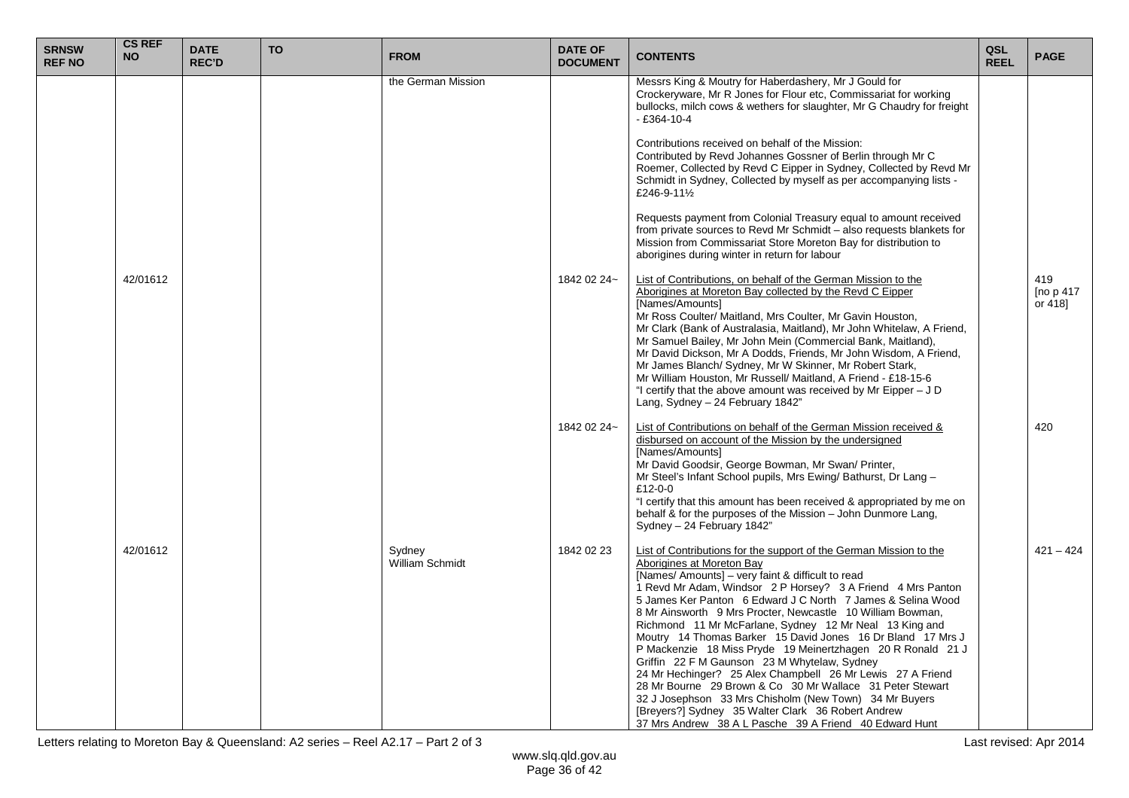| <b>SRNSW</b><br><b>REF NO</b> | <b>CS REF</b><br><b>NO</b> | <b>DATE</b><br><b>REC'D</b> | <b>TO</b> | <b>FROM</b>                      | <b>DATE OF</b><br><b>DOCUMENT</b> | <b>CONTENTS</b>                                                                                                                                                                                                                                                                                                                                                                                                                                                                                                                                                                                                                                                                                                                                                                                                                                                                                | QSL<br><b>REEL</b> | <b>PAGE</b>                 |
|-------------------------------|----------------------------|-----------------------------|-----------|----------------------------------|-----------------------------------|------------------------------------------------------------------------------------------------------------------------------------------------------------------------------------------------------------------------------------------------------------------------------------------------------------------------------------------------------------------------------------------------------------------------------------------------------------------------------------------------------------------------------------------------------------------------------------------------------------------------------------------------------------------------------------------------------------------------------------------------------------------------------------------------------------------------------------------------------------------------------------------------|--------------------|-----------------------------|
|                               |                            |                             |           | the German Mission               |                                   | Messrs King & Moutry for Haberdashery, Mr J Gould for<br>Crockeryware, Mr R Jones for Flour etc, Commissariat for working<br>bullocks, milch cows & wethers for slaughter, Mr G Chaudry for freight<br>$-$ £364-10-4                                                                                                                                                                                                                                                                                                                                                                                                                                                                                                                                                                                                                                                                           |                    |                             |
|                               |                            |                             |           |                                  |                                   | Contributions received on behalf of the Mission:<br>Contributed by Revd Johannes Gossner of Berlin through Mr C<br>Roemer, Collected by Revd C Eipper in Sydney, Collected by Revd Mr<br>Schmidt in Sydney, Collected by myself as per accompanying lists -<br>£246-9-111/2                                                                                                                                                                                                                                                                                                                                                                                                                                                                                                                                                                                                                    |                    |                             |
|                               |                            |                             |           |                                  |                                   | Requests payment from Colonial Treasury equal to amount received<br>from private sources to Revd Mr Schmidt - also requests blankets for<br>Mission from Commissariat Store Moreton Bay for distribution to<br>aborigines during winter in return for labour                                                                                                                                                                                                                                                                                                                                                                                                                                                                                                                                                                                                                                   |                    |                             |
|                               | 42/01612                   |                             |           |                                  | 1842 02 24~                       | List of Contributions, on behalf of the German Mission to the<br>Aborigines at Moreton Bay collected by the Revd C Eipper<br>[Names/Amounts]<br>Mr Ross Coulter/ Maitland, Mrs Coulter, Mr Gavin Houston,<br>Mr Clark (Bank of Australasia, Maitland), Mr John Whitelaw, A Friend,<br>Mr Samuel Bailey, Mr John Mein (Commercial Bank, Maitland),<br>Mr David Dickson, Mr A Dodds, Friends, Mr John Wisdom, A Friend,<br>Mr James Blanch/ Sydney, Mr W Skinner, Mr Robert Stark,<br>Mr William Houston, Mr Russell/ Maitland, A Friend - £18-15-6<br>"I certify that the above amount was received by Mr Eipper $-JD$<br>Lang, Sydney - 24 February 1842"                                                                                                                                                                                                                                      |                    | 419<br>[no p 417<br>or 418] |
|                               |                            |                             |           |                                  | 1842 02 24~                       | List of Contributions on behalf of the German Mission received &<br>disbursed on account of the Mission by the undersigned<br>[Names/Amounts]<br>Mr David Goodsir, George Bowman, Mr Swan/ Printer,<br>Mr Steel's Infant School pupils, Mrs Ewing/ Bathurst, Dr Lang -<br>£12-0-0<br>"I certify that this amount has been received & appropriated by me on<br>behalf & for the purposes of the Mission - John Dunmore Lang,<br>Sydney - 24 February 1842"                                                                                                                                                                                                                                                                                                                                                                                                                                      |                    | 420                         |
|                               | 42/01612                   |                             |           | Sydney<br><b>William Schmidt</b> | 1842 02 23                        | List of Contributions for the support of the German Mission to the<br>Aborigines at Moreton Bay<br>[Names/ Amounts] - very faint & difficult to read<br>1 Revd Mr Adam, Windsor 2 P Horsey? 3 A Friend 4 Mrs Panton<br>5 James Ker Panton 6 Edward J C North 7 James & Selina Wood<br>8 Mr Ainsworth 9 Mrs Procter, Newcastle 10 William Bowman,<br>Richmond 11 Mr McFarlane, Sydney 12 Mr Neal 13 King and<br>Moutry 14 Thomas Barker 15 David Jones 16 Dr Bland 17 Mrs J<br>P Mackenzie 18 Miss Pryde 19 Meinertzhagen 20 R Ronald 21 J<br>Griffin 22 F M Gaunson 23 M Whytelaw, Sydney<br>24 Mr Hechinger? 25 Alex Champbell 26 Mr Lewis 27 A Friend<br>28 Mr Bourne 29 Brown & Co 30 Mr Wallace 31 Peter Stewart<br>32 J Josephson 33 Mrs Chisholm (New Town) 34 Mr Buyers<br>[Breyers?] Sydney 35 Walter Clark 36 Robert Andrew<br>37 Mrs Andrew 38 A L Pasche 39 A Friend 40 Edward Hunt |                    | $421 - 424$                 |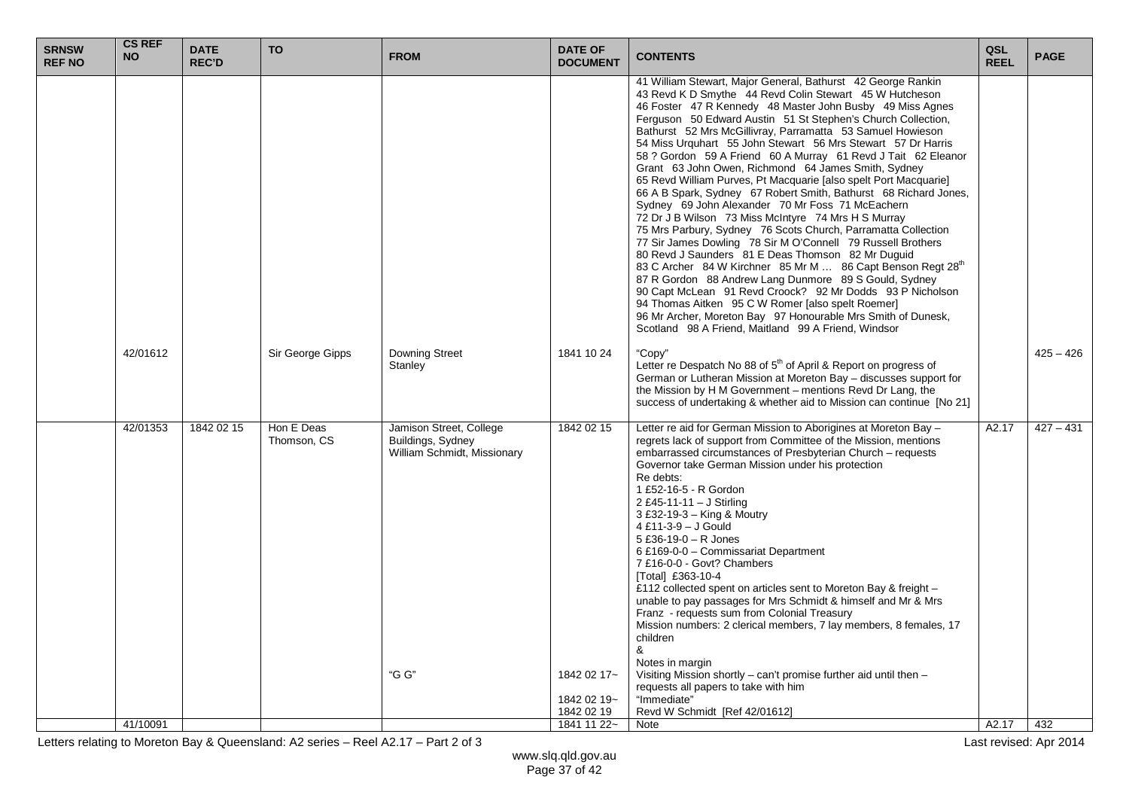| 43 Revd K D Smythe 44 Revd Colin Stewart 45 W Hutcheson<br>46 Foster 47 R Kennedy 48 Master John Busby 49 Miss Agnes<br>Ferguson 50 Edward Austin 51 St Stephen's Church Collection,<br>Bathurst 52 Mrs McGillivray, Parramatta 53 Samuel Howieson<br>54 Miss Urquhart 55 John Stewart 56 Mrs Stewart 57 Dr Harris<br>58 ? Gordon 59 A Friend 60 A Murray 61 Revd J Tait 62 Eleanor<br>Grant 63 John Owen, Richmond 64 James Smith, Sydney<br>65 Revd William Purves, Pt Macquarie [also spelt Port Macquarie]<br>66 A B Spark, Sydney 67 Robert Smith, Bathurst 68 Richard Jones,<br>Sydney 69 John Alexander 70 Mr Foss 71 McEachern<br>72 Dr J B Wilson 73 Miss McIntyre 74 Mrs H S Murray<br>75 Mrs Parbury, Sydney 76 Scots Church, Parramatta Collection<br>77 Sir James Dowling 78 Sir M O'Connell 79 Russell Brothers<br>80 Revd J Saunders 81 E Deas Thomson 82 Mr Duguid<br>83 C Archer 84 W Kirchner 85 Mr M  86 Capt Benson Regt 28th<br>87 R Gordon 88 Andrew Lang Dunmore 89 S Gould, Sydney<br>90 Capt McLean 91 Revd Croock? 92 Mr Dodds 93 P Nicholson<br>94 Thomas Aitken 95 C W Romer [also spelt Roemer]<br>96 Mr Archer, Moreton Bay 97 Honourable Mrs Smith of Dunesk,<br>Scotland 98 A Friend, Maitland 99 A Friend, Windsor<br>42/01612<br>Sir George Gipps<br>Downing Street<br>1841 10 24<br>"Copy"<br>$425 - 426$<br>Letter re Despatch No 88 of 5 <sup>th</sup> of April & Report on progress of<br>Stanley<br>German or Lutheran Mission at Moreton Bay - discusses support for<br>the Mission by H M Government - mentions Revd Dr Lang, the<br>success of undertaking & whether aid to Mission can continue [No 21]<br>1842 02 15<br>Hon E Deas<br>Jamison Street, College<br>1842 02 15<br>Letter re aid for German Mission to Aborigines at Moreton Bay -<br>42/01353<br>A2.17<br>$427 - 431$<br>Thomson, CS<br>regrets lack of support from Committee of the Mission, mentions<br>Buildings, Sydney<br>William Schmidt, Missionary<br>embarrassed circumstances of Presbyterian Church - requests<br>Governor take German Mission under his protection<br>Re debts:<br>1 £52-16-5 - R Gordon<br>2 £45-11-11 - J Stirling<br>3 £32-19-3 - King & Moutry<br>4 £11-3-9 - J Gould<br>5 £36-19-0 $-$ R Jones<br>6 £169-0-0 - Commissariat Department<br>7 £16-0-0 - Govt? Chambers<br>[Total] £363-10-4<br>£112 collected spent on articles sent to Moreton Bay & freight -<br>unable to pay passages for Mrs Schmidt & himself and Mr & Mrs<br>Franz - requests sum from Colonial Treasury<br>Mission numbers: 2 clerical members, 7 lay members, 8 females, 17<br>children<br>&<br>Notes in margin<br>"G G"<br>Visiting Mission shortly - can't promise further aid until then -<br>1842 02 17~<br>requests all papers to take with him<br>1842 02 19~<br>"Immediate"<br>1842 02 19<br>Revd W Schmidt [Ref 42/01612]<br>A2.17<br>432<br>Note | <b>SRNSW</b><br><b>REF NO</b> | <b>CS REF</b><br><b>NO</b> | <b>DATE</b><br><b>REC'D</b> | <b>TO</b> | <b>FROM</b> | <b>DATE OF</b><br><b>DOCUMENT</b> | <b>CONTENTS</b>                                              | QSL<br><b>REEL</b> | <b>PAGE</b> |
|-----------------------------------------------------------------------------------------------------------------------------------------------------------------------------------------------------------------------------------------------------------------------------------------------------------------------------------------------------------------------------------------------------------------------------------------------------------------------------------------------------------------------------------------------------------------------------------------------------------------------------------------------------------------------------------------------------------------------------------------------------------------------------------------------------------------------------------------------------------------------------------------------------------------------------------------------------------------------------------------------------------------------------------------------------------------------------------------------------------------------------------------------------------------------------------------------------------------------------------------------------------------------------------------------------------------------------------------------------------------------------------------------------------------------------------------------------------------------------------------------------------------------------------------------------------------------------------------------------------------------------------------------------------------------------------------------------------------------------------------------------------------------------------------------------------------------------------------------------------------------------------------------------------------------------------------------------------------------------------------------------------------------------------------------------------------------------------------------------------------------------------------------------------------------------------------------------------------------------------------------------------------------------------------------------------------------------------------------------------------------------------------------------------------------------------------------------------------------------------------------------------------------------------------------------------------------------------------------------------------------------------------------------------------------------------------------------------------------------------------------------------------------------------------------------------------------------------------------------------------------------|-------------------------------|----------------------------|-----------------------------|-----------|-------------|-----------------------------------|--------------------------------------------------------------|--------------------|-------------|
|                                                                                                                                                                                                                                                                                                                                                                                                                                                                                                                                                                                                                                                                                                                                                                                                                                                                                                                                                                                                                                                                                                                                                                                                                                                                                                                                                                                                                                                                                                                                                                                                                                                                                                                                                                                                                                                                                                                                                                                                                                                                                                                                                                                                                                                                                                                                                                                                                                                                                                                                                                                                                                                                                                                                                                                                                                                                             |                               |                            |                             |           |             |                                   | 41 William Stewart, Major General, Bathurst 42 George Rankin |                    |             |
|                                                                                                                                                                                                                                                                                                                                                                                                                                                                                                                                                                                                                                                                                                                                                                                                                                                                                                                                                                                                                                                                                                                                                                                                                                                                                                                                                                                                                                                                                                                                                                                                                                                                                                                                                                                                                                                                                                                                                                                                                                                                                                                                                                                                                                                                                                                                                                                                                                                                                                                                                                                                                                                                                                                                                                                                                                                                             |                               |                            |                             |           |             |                                   |                                                              |                    |             |
|                                                                                                                                                                                                                                                                                                                                                                                                                                                                                                                                                                                                                                                                                                                                                                                                                                                                                                                                                                                                                                                                                                                                                                                                                                                                                                                                                                                                                                                                                                                                                                                                                                                                                                                                                                                                                                                                                                                                                                                                                                                                                                                                                                                                                                                                                                                                                                                                                                                                                                                                                                                                                                                                                                                                                                                                                                                                             |                               |                            |                             |           |             |                                   |                                                              |                    |             |
|                                                                                                                                                                                                                                                                                                                                                                                                                                                                                                                                                                                                                                                                                                                                                                                                                                                                                                                                                                                                                                                                                                                                                                                                                                                                                                                                                                                                                                                                                                                                                                                                                                                                                                                                                                                                                                                                                                                                                                                                                                                                                                                                                                                                                                                                                                                                                                                                                                                                                                                                                                                                                                                                                                                                                                                                                                                                             |                               |                            |                             |           |             |                                   |                                                              |                    |             |
|                                                                                                                                                                                                                                                                                                                                                                                                                                                                                                                                                                                                                                                                                                                                                                                                                                                                                                                                                                                                                                                                                                                                                                                                                                                                                                                                                                                                                                                                                                                                                                                                                                                                                                                                                                                                                                                                                                                                                                                                                                                                                                                                                                                                                                                                                                                                                                                                                                                                                                                                                                                                                                                                                                                                                                                                                                                                             |                               | 41/10091                   |                             |           |             | 1841 11 22~                       |                                                              |                    |             |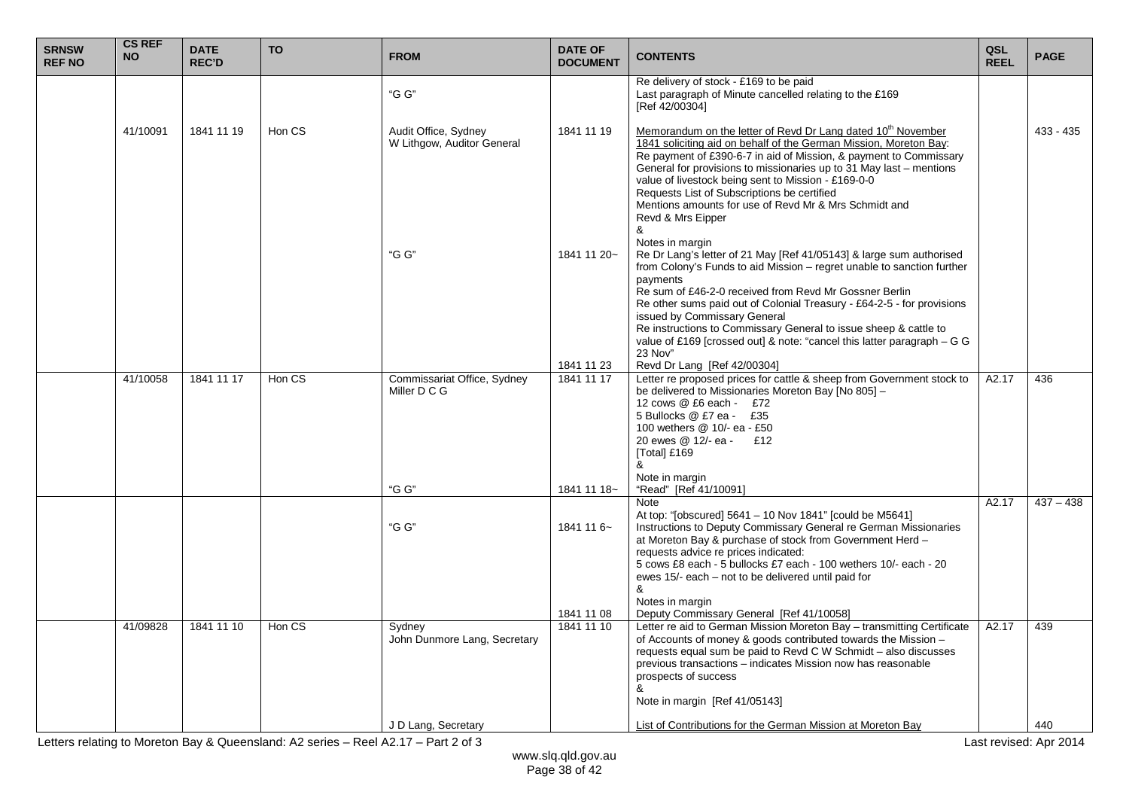| <b>SRNSW</b><br><b>REF NO</b> | <b>CS REF</b><br><b>NO</b> | <b>DATE</b><br><b>REC'D</b> | <b>TO</b> | <b>FROM</b>                                                   | <b>DATE OF</b><br><b>DOCUMENT</b>       | <b>CONTENTS</b>                                                                                                                                                                                                                                                                                                                                                                                                                                                                                                                           | QSL<br><b>REEL</b> | <b>PAGE</b> |
|-------------------------------|----------------------------|-----------------------------|-----------|---------------------------------------------------------------|-----------------------------------------|-------------------------------------------------------------------------------------------------------------------------------------------------------------------------------------------------------------------------------------------------------------------------------------------------------------------------------------------------------------------------------------------------------------------------------------------------------------------------------------------------------------------------------------------|--------------------|-------------|
|                               |                            |                             |           | "G G"                                                         |                                         | Re delivery of stock - £169 to be paid<br>Last paragraph of Minute cancelled relating to the £169<br>[Ref 42/00304]                                                                                                                                                                                                                                                                                                                                                                                                                       |                    |             |
|                               | 41/10091                   | 1841 11 19                  | Hon CS    | Audit Office, Sydney<br>W Lithgow, Auditor General            | 1841 11 19                              | Memorandum on the letter of Revd Dr Lang dated 10 <sup>th</sup> November<br>1841 soliciting aid on behalf of the German Mission, Moreton Bay:<br>Re payment of £390-6-7 in aid of Mission, & payment to Commissary<br>General for provisions to missionaries up to 31 May last – mentions<br>value of livestock being sent to Mission - £169-0-0<br>Requests List of Subscriptions be certified<br>Mentions amounts for use of Revd Mr & Mrs Schmidt and<br>Revd & Mrs Eipper<br>&                                                        |                    | $433 - 435$ |
|                               |                            |                             |           | "G G"                                                         | 1841 11 20~<br>1841 11 23               | Notes in margin<br>Re Dr Lang's letter of 21 May [Ref 41/05143] & large sum authorised<br>from Colony's Funds to aid Mission – regret unable to sanction further<br>payments<br>Re sum of £46-2-0 received from Revd Mr Gossner Berlin<br>Re other sums paid out of Colonial Treasury - £64-2-5 - for provisions<br>issued by Commissary General<br>Re instructions to Commissary General to issue sheep & cattle to<br>value of £169 [crossed out] & note: "cancel this latter paragraph - G G<br>23 Nov"<br>Revd Dr Lang [Ref 42/00304] |                    |             |
|                               | 41/10058                   | 1841 11 17                  | Hon CS    | Commissariat Office, Sydney<br>Miller D C G                   | 1841 11 17                              | Letter re proposed prices for cattle & sheep from Government stock to<br>be delivered to Missionaries Moreton Bay [No 805] -<br>12 cows @ £6 each - £72<br>5 Bullocks @ £7 ea - £35<br>100 wethers @ 10/- ea - £50<br>20 ewes @ 12/- ea - £12<br>[Total] £169<br>&<br>Note in margin                                                                                                                                                                                                                                                      | A2.17              | 436         |
|                               |                            |                             |           | "G G"<br>"G G"                                                | 1841 11 18~<br>1841 11 6~<br>1841 11 08 | "Read" [Ref 41/10091]<br>Note<br>At top: "[obscured] 5641 - 10 Nov 1841" [could be M5641]<br>Instructions to Deputy Commissary General re German Missionaries<br>at Moreton Bay & purchase of stock from Government Herd -<br>requests advice re prices indicated:<br>5 cows £8 each - 5 bullocks £7 each - 100 wethers 10/- each - 20<br>ewes 15/- each – not to be delivered until paid for<br>&<br>Notes in margin<br>Deputy Commissary General [Ref 41/10058]                                                                         | A2.17              | $437 - 438$ |
|                               | 41/09828                   | 1841 11 10                  | Hon CS    | Sydney<br>John Dunmore Lang, Secretary<br>J D Lang, Secretary | 1841 11 10                              | Letter re aid to German Mission Moreton Bay - transmitting Certificate<br>of Accounts of money & goods contributed towards the Mission -<br>requests equal sum be paid to Revd C W Schmidt - also discusses<br>previous transactions - indicates Mission now has reasonable<br>prospects of success<br>&<br>Note in margin [Ref 41/05143]<br>List of Contributions for the German Mission at Moreton Bay                                                                                                                                  | A2.17              | 439<br>440  |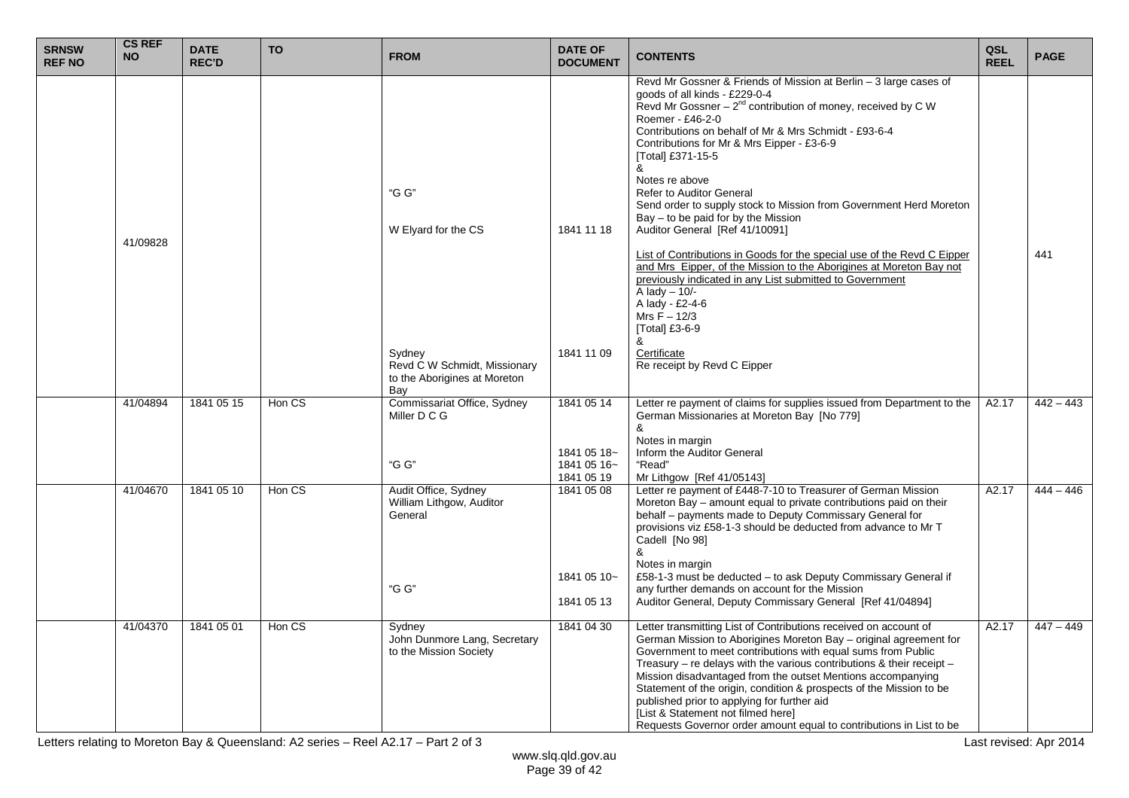| <b>SRNSW</b><br><b>REF NO</b> | <b>CS REF</b><br><b>NO</b>                                                                                                                                                                                                                                                                                                                                                                                                             | <b>DATE</b><br><b>REC'D</b> | <b>TO</b>                                                                                                                                                                                                                                                                                                                                                                                      | <b>FROM</b>                                                                   | <b>DATE OF</b><br><b>DOCUMENT</b>        | <b>CONTENTS</b>                                                                                                                                                                                                                                                                                                                                                                                                                                                                                                                                                                  | QSL<br><b>REEL</b> | <b>PAGE</b> |
|-------------------------------|----------------------------------------------------------------------------------------------------------------------------------------------------------------------------------------------------------------------------------------------------------------------------------------------------------------------------------------------------------------------------------------------------------------------------------------|-----------------------------|------------------------------------------------------------------------------------------------------------------------------------------------------------------------------------------------------------------------------------------------------------------------------------------------------------------------------------------------------------------------------------------------|-------------------------------------------------------------------------------|------------------------------------------|----------------------------------------------------------------------------------------------------------------------------------------------------------------------------------------------------------------------------------------------------------------------------------------------------------------------------------------------------------------------------------------------------------------------------------------------------------------------------------------------------------------------------------------------------------------------------------|--------------------|-------------|
|                               | goods of all kinds - £229-0-4<br>Roemer - £46-2-0<br>Contributions on behalf of Mr & Mrs Schmidt - £93-6-4<br>Contributions for Mr & Mrs Eipper - £3-6-9<br>[Total] £371-15-5<br>&<br>Notes re above<br>"G G"<br><b>Refer to Auditor General</b><br>Bay - to be paid for by the Mission<br>Auditor General [Ref 41/10091]<br>W Elyard for the CS<br>1841 11 18<br>41/09828<br>previously indicated in any List submitted to Government |                             | Revd Mr Gossner & Friends of Mission at Berlin - 3 large cases of<br>Revd Mr Gossner – $2^{nd}$ contribution of money, received by C W<br>Send order to supply stock to Mission from Government Herd Moreton<br>List of Contributions in Goods for the special use of the Revd C Eipper<br>and Mrs Eipper, of the Mission to the Aborigines at Moreton Bay not<br>$\overline{A}$ lady $-10$ /- |                                                                               | 441                                      |                                                                                                                                                                                                                                                                                                                                                                                                                                                                                                                                                                                  |                    |             |
|                               |                                                                                                                                                                                                                                                                                                                                                                                                                                        |                             |                                                                                                                                                                                                                                                                                                                                                                                                | Sydney<br>Revd C W Schmidt, Missionary<br>to the Aborigines at Moreton<br>Bay | 1841 11 09                               | A lady - £2-4-6<br>Mrs $F - 12/3$<br>[Total] £3-6-9<br>&<br>Certificate<br>Re receipt by Revd C Eipper                                                                                                                                                                                                                                                                                                                                                                                                                                                                           |                    |             |
|                               | 41/04894                                                                                                                                                                                                                                                                                                                                                                                                                               | 1841 05 15                  | Hon CS                                                                                                                                                                                                                                                                                                                                                                                         | Commissariat Office, Sydney<br>Miller D C G                                   | 1841 05 14                               | Letter re payment of claims for supplies issued from Department to the<br>German Missionaries at Moreton Bay [No 779]<br>&                                                                                                                                                                                                                                                                                                                                                                                                                                                       | A2.17              | $442 - 443$ |
|                               |                                                                                                                                                                                                                                                                                                                                                                                                                                        |                             |                                                                                                                                                                                                                                                                                                                                                                                                | "G G"                                                                         | 1841 05 18~<br>1841 05 16~<br>1841 05 19 | Notes in margin<br>Inform the Auditor General<br>"Read"<br>Mr Lithgow [Ref 41/05143]                                                                                                                                                                                                                                                                                                                                                                                                                                                                                             |                    |             |
|                               | 41/04670                                                                                                                                                                                                                                                                                                                                                                                                                               | 1841 05 10                  | Hon CS                                                                                                                                                                                                                                                                                                                                                                                         | Audit Office, Sydney<br>William Lithgow, Auditor<br>General                   | 1841 05 08                               | Letter re payment of £448-7-10 to Treasurer of German Mission<br>Moreton Bay – amount equal to private contributions paid on their<br>behalf - payments made to Deputy Commissary General for<br>provisions viz £58-1-3 should be deducted from advance to Mr T<br>Cadell [No 98]<br>&<br>Notes in margin                                                                                                                                                                                                                                                                        | A2.17              | $444 - 446$ |
|                               |                                                                                                                                                                                                                                                                                                                                                                                                                                        |                             |                                                                                                                                                                                                                                                                                                                                                                                                | "G G"                                                                         | 1841 05 10~<br>1841 05 13                | £58-1-3 must be deducted - to ask Deputy Commissary General if<br>any further demands on account for the Mission<br>Auditor General, Deputy Commissary General [Ref 41/04894]                                                                                                                                                                                                                                                                                                                                                                                                    |                    |             |
|                               | 41/04370                                                                                                                                                                                                                                                                                                                                                                                                                               | 1841 05 01                  | Hon CS                                                                                                                                                                                                                                                                                                                                                                                         | Sydney<br>John Dunmore Lang, Secretary<br>to the Mission Society              | 1841 04 30                               | Letter transmitting List of Contributions received on account of<br>German Mission to Aborigines Moreton Bay - original agreement for<br>Government to meet contributions with equal sums from Public<br>Treasury – re delays with the various contributions & their receipt –<br>Mission disadvantaged from the outset Mentions accompanying<br>Statement of the origin, condition & prospects of the Mission to be<br>published prior to applying for further aid<br>[List & Statement not filmed here]<br>Requests Governor order amount equal to contributions in List to be | A2.17              | $447 - 449$ |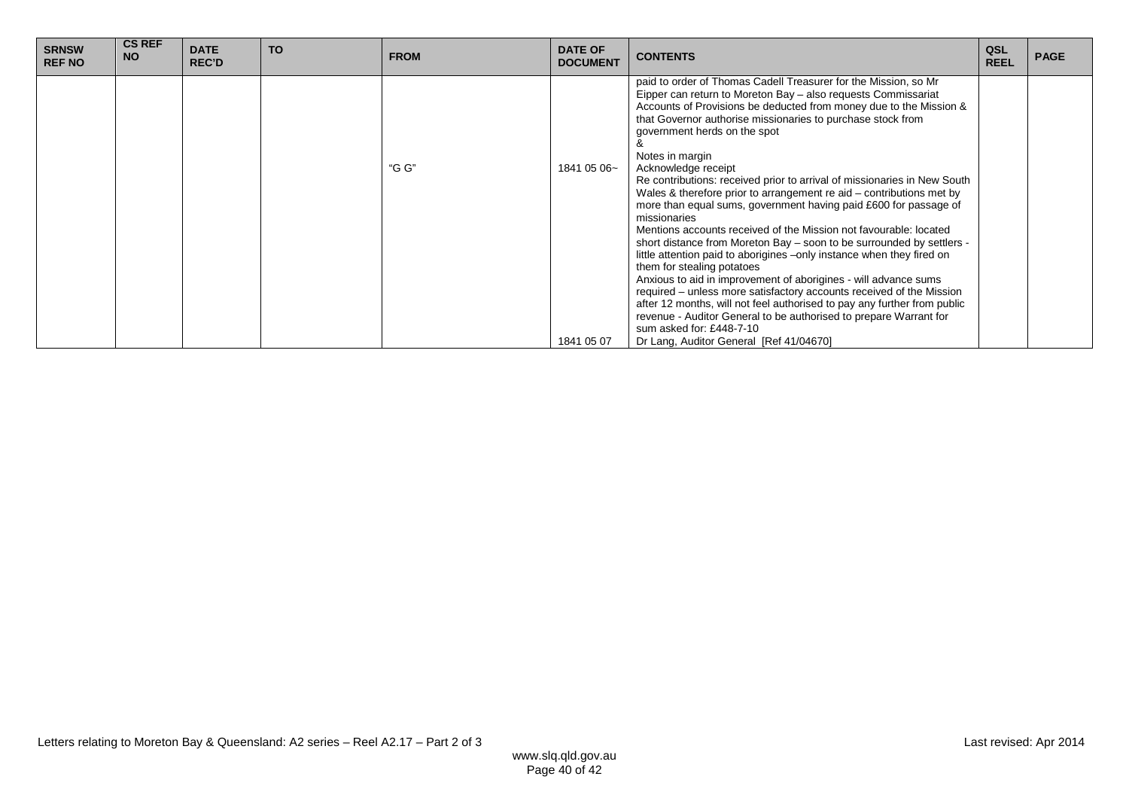| <b>SRNSW</b><br><b>REF NO</b> | <b>CS REF</b><br><b>NO</b> | <b>DATE</b><br><b>REC'D</b> | <b>TO</b> | <b>FROM</b> | <b>DATE OF</b><br><b>DOCUMENT</b> | <b>CONTENTS</b>                                                                                                                                                                                                                                                                                                                                                                                                                                                                                                                                                                                                                                                                                                                                                                                                                                                                                                                                                                                                                                                                                                                                                                                                 | QSL<br><b>REEL</b> | <b>PAGE</b> |
|-------------------------------|----------------------------|-----------------------------|-----------|-------------|-----------------------------------|-----------------------------------------------------------------------------------------------------------------------------------------------------------------------------------------------------------------------------------------------------------------------------------------------------------------------------------------------------------------------------------------------------------------------------------------------------------------------------------------------------------------------------------------------------------------------------------------------------------------------------------------------------------------------------------------------------------------------------------------------------------------------------------------------------------------------------------------------------------------------------------------------------------------------------------------------------------------------------------------------------------------------------------------------------------------------------------------------------------------------------------------------------------------------------------------------------------------|--------------------|-------------|
|                               |                            |                             |           | "G G"       | 1841 05 06~<br>1841 05 07         | paid to order of Thomas Cadell Treasurer for the Mission, so Mr<br>Eipper can return to Moreton Bay - also requests Commissariat<br>Accounts of Provisions be deducted from money due to the Mission &<br>that Governor authorise missionaries to purchase stock from<br>government herds on the spot<br>Notes in margin<br>Acknowledge receipt<br>Re contributions: received prior to arrival of missionaries in New South<br>Wales & therefore prior to arrangement re aid – contributions met by<br>more than equal sums, government having paid £600 for passage of<br>missionaries<br>Mentions accounts received of the Mission not favourable: located<br>short distance from Moreton Bay – soon to be surrounded by settlers -<br>little attention paid to aborigines –only instance when they fired on<br>them for stealing potatoes<br>Anxious to aid in improvement of aborigines - will advance sums<br>required – unless more satisfactory accounts received of the Mission<br>after 12 months, will not feel authorised to pay any further from public<br>revenue - Auditor General to be authorised to prepare Warrant for<br>sum asked for: £448-7-10<br>Dr Lang, Auditor General [Ref 41/04670] |                    |             |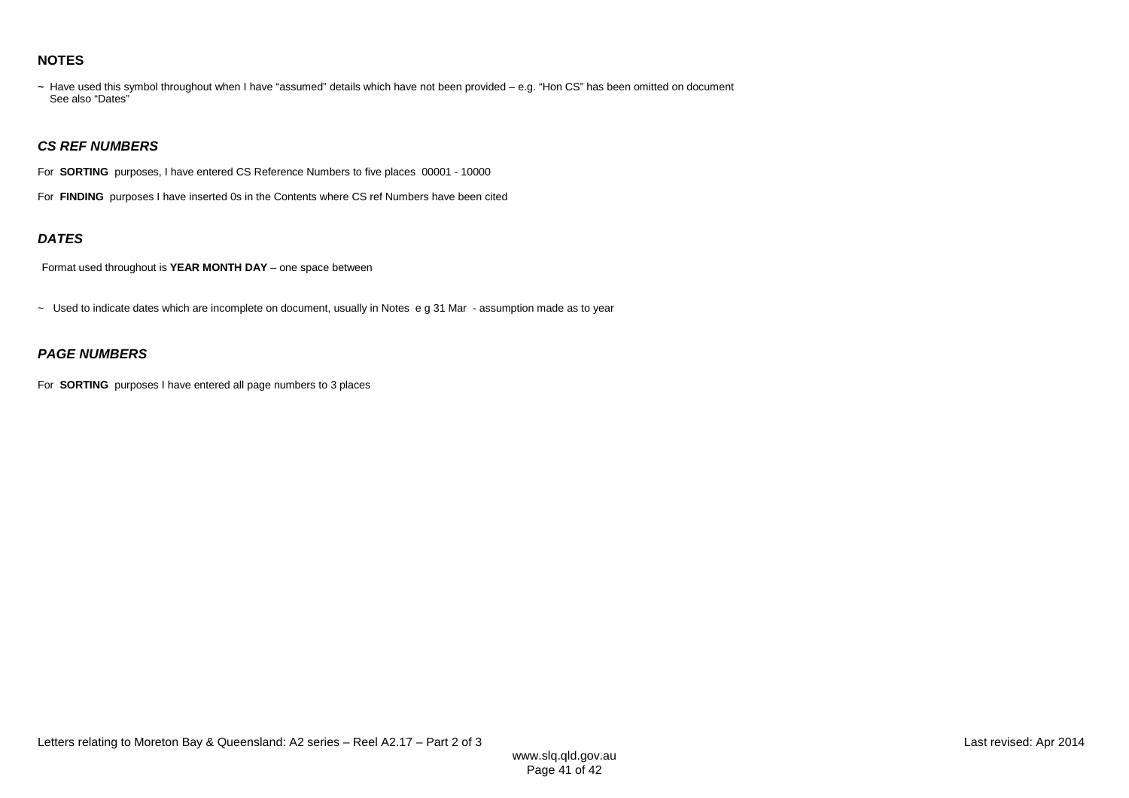#### **NOTES**

**~** Have used this symbol throughout when I have "assumed" details which have not been provided – e.g. "Hon CS" has been omitted on document See also "Dates"

#### **CS REF NUMBERS**

For **SORTING** purposes, I have entered CS Reference Numbers to five places 00001 - 10000

For **FINDING** purposes I have inserted 0s in the Contents where CS ref Numbers have been cited

#### **DATES**

Format used throughout is **YEAR MONTH DAY** – one space between

~ Used to indicate dates which are incomplete on document, usually in Notes e g 31 Mar - assumption made as to year

### **PAGE NUMBERS**

For **SORTING** purposes I have entered all page numbers to 3 places